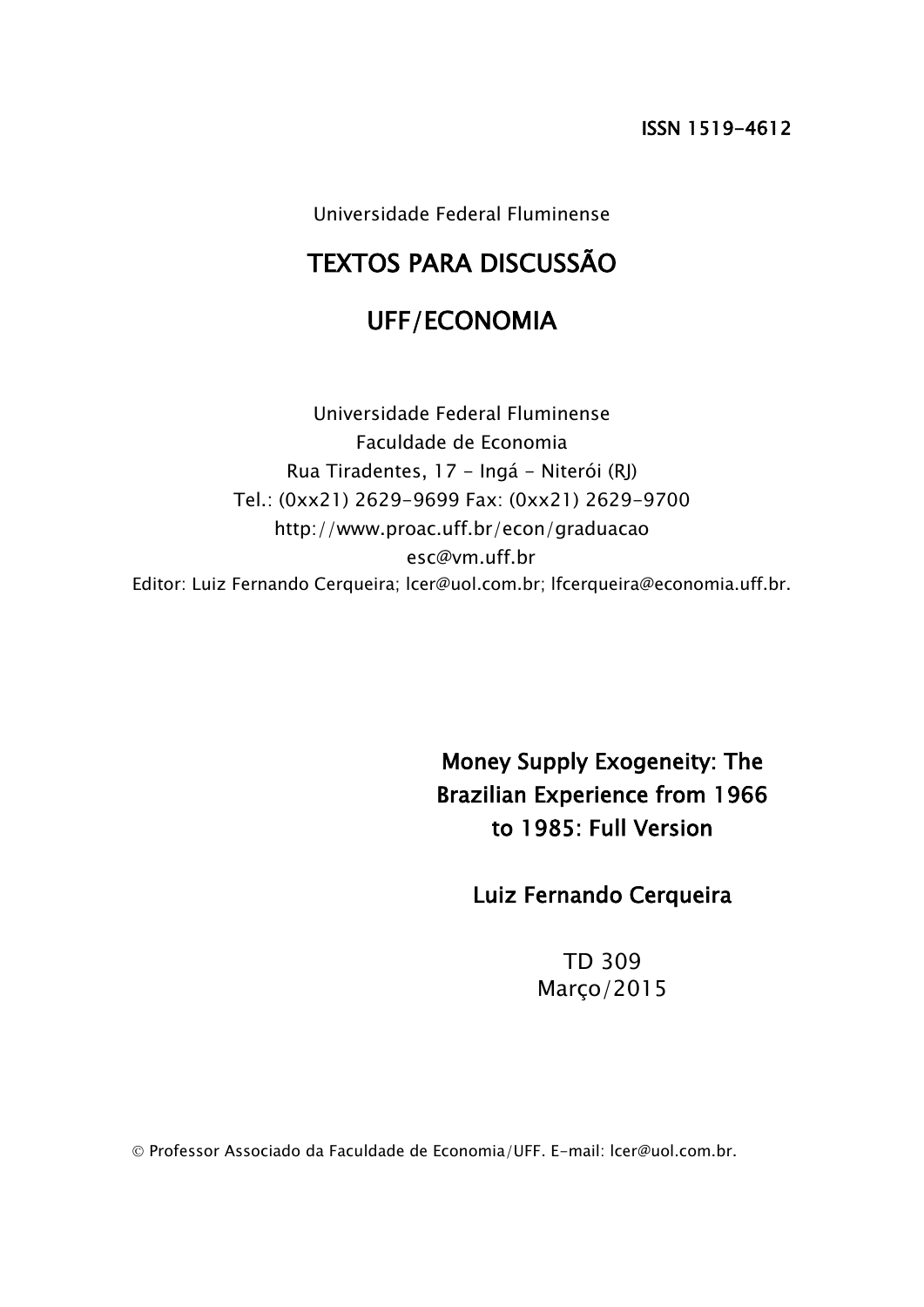Universidade Federal Fluminense

# TEXTOS PARA DISCUSSÃO

# UFF/ECONOMIA

Universidade Federal Fluminense Faculdade de Economia Rua Tiradentes, 17 - Ingá - Niterói (RJ) Tel.: (0xx21) 2629-9699 Fax: (0xx21) 2629-9700 http://www.proac.uff.br/econ/graduacao esc@vm.uff.br Editor: Luiz Fernando Cerqueira; lcer@uol.com.br; lfcerqueira@economia.uff.br.

> Money Supply Exogeneity: The Brazilian Experience from 1966 to 1985: Full Version

> > Luiz Fernando Cerqueira

TD 309 Março/2015

Professor Associado da Faculdade de Economia/UFF. E-mail: lcer@uol.com.br.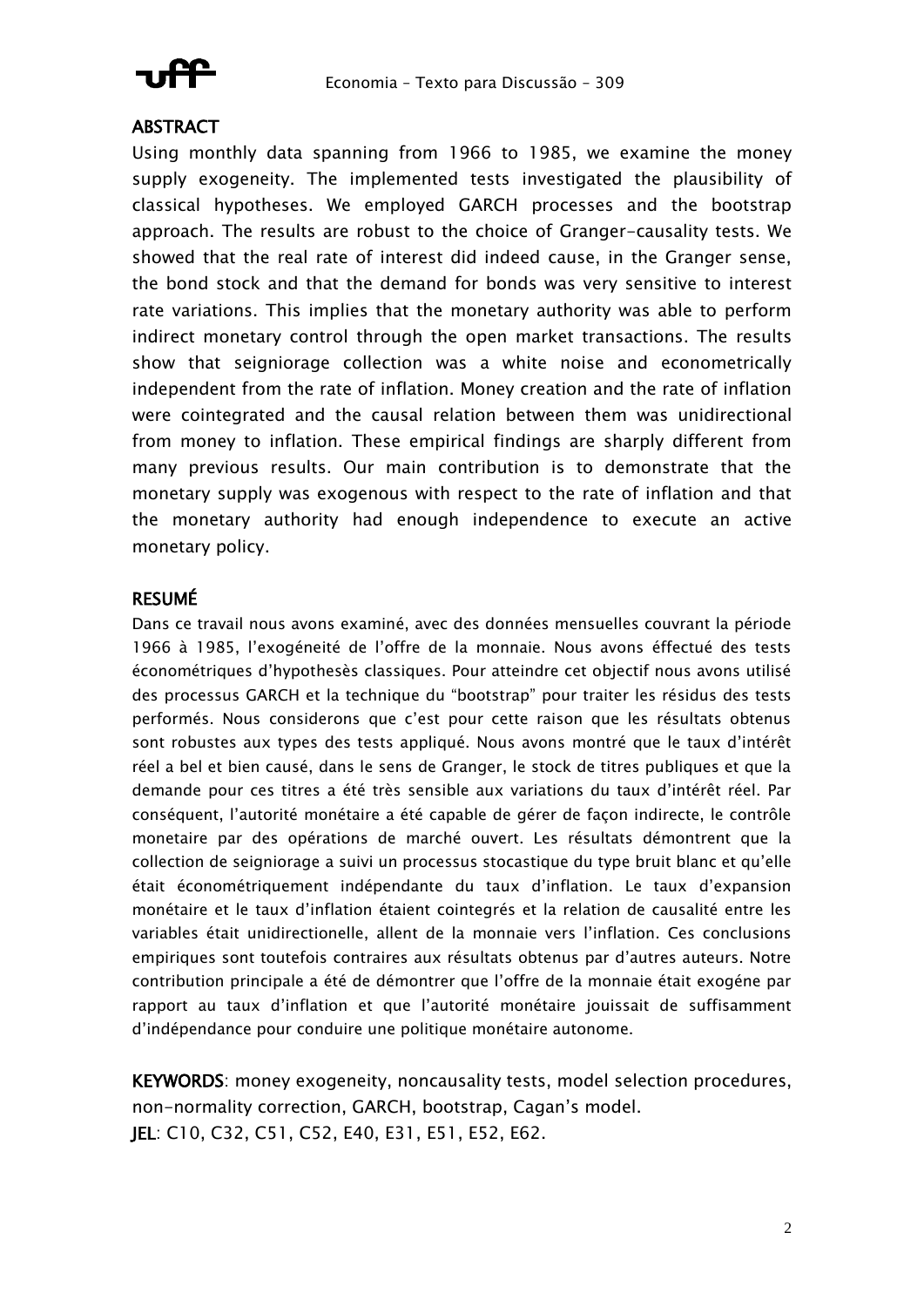

### **ABSTRACT**

Using monthly data spanning from 1966 to 1985, we examine the money supply exogeneity. The implemented tests investigated the plausibility of classical hypotheses. We employed GARCH processes and the bootstrap approach. The results are robust to the choice of Granger-causality tests. We showed that the real rate of interest did indeed cause, in the Granger sense, the bond stock and that the demand for bonds was very sensitive to interest rate variations. This implies that the monetary authority was able to perform indirect monetary control through the open market transactions. The results show that seigniorage collection was a white noise and econometrically independent from the rate of inflation. Money creation and the rate of inflation were cointegrated and the causal relation between them was unidirectional from money to inflation. These empirical findings are sharply different from many previous results. Our main contribution is to demonstrate that the monetary supply was exogenous with respect to the rate of inflation and that the monetary authority had enough independence to execute an active monetary policy.

### RESUMÉ

Dans ce travail nous avons examiné, avec des données mensuelles couvrant la période 1966 à 1985, l'exogéneité de l'offre de la monnaie. Nous avons éffectué des tests économétriques d'hypothesès classiques. Pour atteindre cet objectif nous avons utilisé des processus GARCH et la technique du "bootstrap" pour traiter les résidus des tests performés. Nous considerons que c'est pour cette raison que les résultats obtenus sont robustes aux types des tests appliqué. Nous avons montré que le taux d'intérêt réel a bel et bien causé, dans le sens de Granger, le stock de titres publiques et que la demande pour ces titres a été très sensible aux variations du taux d'intérêt réel. Par conséquent, l'autorité monétaire a été capable de gérer de façon indirecte, le contrôle monetaire par des opérations de marché ouvert. Les résultats démontrent que la collection de seigniorage a suivi un processus stocastique du type bruit blanc et qu'elle était économétriquement indépendante du taux d'inflation. Le taux d'expansion monétaire et le taux d'inflation étaient cointegrés et la relation de causalité entre les variables était unidirectionelle, allent de la monnaie vers l'inflation. Ces conclusions empiriques sont toutefois contraires aux résultats obtenus par d'autres auteurs. Notre contribution principale a été de démontrer que l'offre de la monnaie était exogéne par rapport au taux d'inflation et que l'autorité monétaire jouissait de suffisamment d'indépendance pour conduire une politique monétaire autonome.

KEYWORDS: money exogeneity, noncausality tests, model selection procedures, non-normality correction, GARCH, bootstrap, Cagan's model. JEL: C10, C32, C51, C52, E40, E31, E51, E52, E62.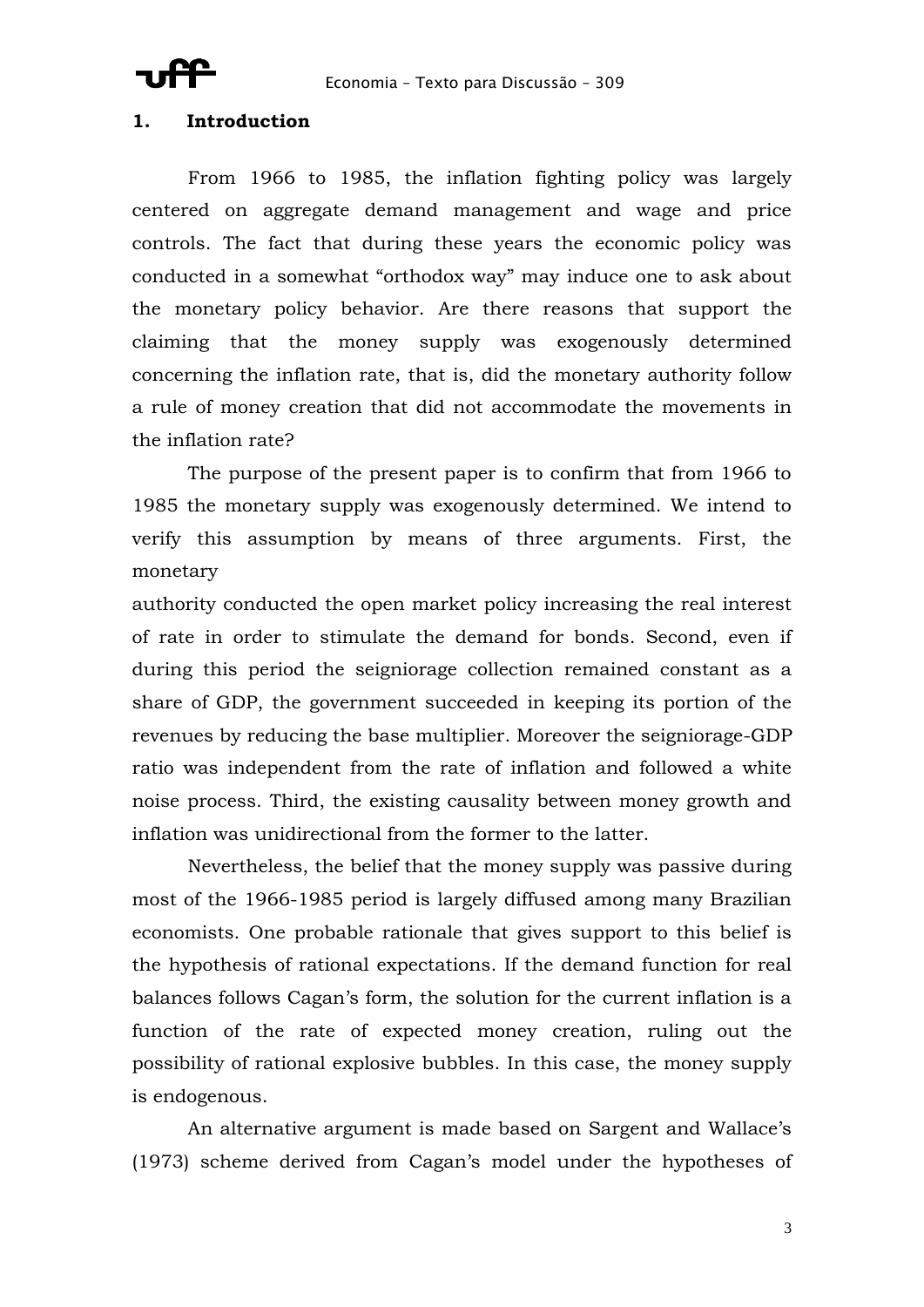### **1. Introduction**

From 1966 to 1985, the inflation fighting policy was largely centered on aggregate demand management and wage and price controls. The fact that during these years the economic policy was conducted in a somewhat "orthodox way" may induce one to ask about the monetary policy behavior. Are there reasons that support the claiming that the money supply was exogenously determined concerning the inflation rate, that is, did the monetary authority follow a rule of money creation that did not accommodate the movements in the inflation rate?

The purpose of the present paper is to confirm that from 1966 to 1985 the monetary supply was exogenously determined. We intend to verify this assumption by means of three arguments. First, the monetary

authority conducted the open market policy increasing the real interest of rate in order to stimulate the demand for bonds. Second, even if during this period the seigniorage collection remained constant as a share of GDP, the government succeeded in keeping its portion of the revenues by reducing the base multiplier. Moreover the seigniorage-GDP ratio was independent from the rate of inflation and followed a white noise process. Third, the existing causality between money growth and inflation was unidirectional from the former to the latter.

Nevertheless, the belief that the money supply was passive during most of the 1966-1985 period is largely diffused among many Brazilian economists. One probable rationale that gives support to this belief is the hypothesis of rational expectations. If the demand function for real balances follows Cagan's form, the solution for the current inflation is a function of the rate of expected money creation, ruling out the possibility of rational explosive bubbles. In this case, the money supply is endogenous.

An alternative argument is made based on Sargent and Wallace's (1973) scheme derived from Cagan's model under the hypotheses of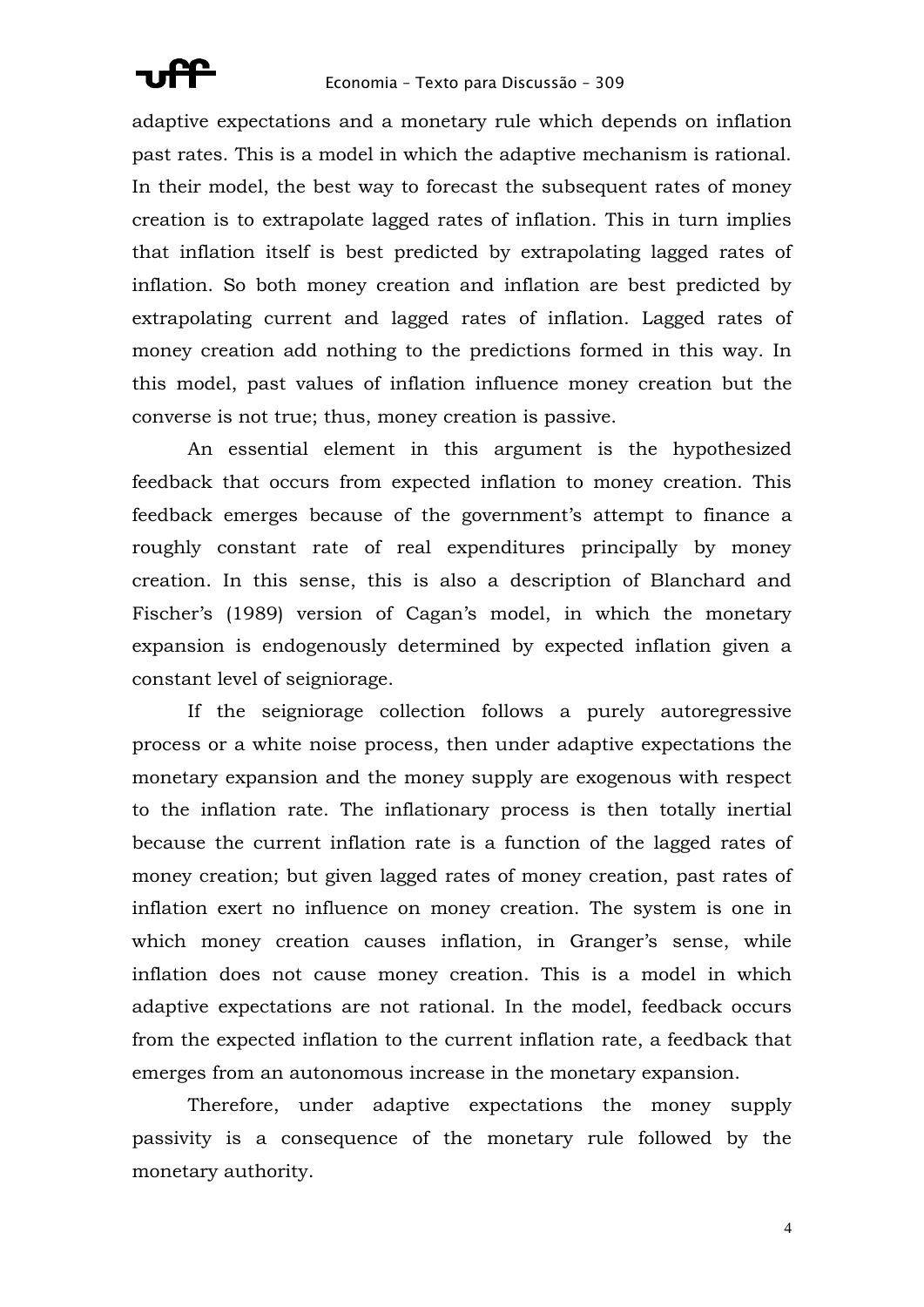

adaptive expectations and a monetary rule which depends on inflation past rates. This is a model in which the adaptive mechanism is rational. In their model, the best way to forecast the subsequent rates of money creation is to extrapolate lagged rates of inflation. This in turn implies that inflation itself is best predicted by extrapolating lagged rates of inflation. So both money creation and inflation are best predicted by extrapolating current and lagged rates of inflation. Lagged rates of money creation add nothing to the predictions formed in this way. In this model, past values of inflation influence money creation but the converse is not true; thus, money creation is passive.

An essential element in this argument is the hypothesized feedback that occurs from expected inflation to money creation. This feedback emerges because of the government's attempt to finance a roughly constant rate of real expenditures principally by money creation. In this sense, this is also a description of Blanchard and Fischer's (1989) version of Cagan's model, in which the monetary expansion is endogenously determined by expected inflation given a constant level of seigniorage.

If the seigniorage collection follows a purely autoregressive process or a white noise process, then under adaptive expectations the monetary expansion and the money supply are exogenous with respect to the inflation rate. The inflationary process is then totally inertial because the current inflation rate is a function of the lagged rates of money creation; but given lagged rates of money creation, past rates of inflation exert no influence on money creation. The system is one in which money creation causes inflation, in Granger's sense, while inflation does not cause money creation. This is a model in which adaptive expectations are not rational. In the model, feedback occurs from the expected inflation to the current inflation rate, a feedback that emerges from an autonomous increase in the monetary expansion.

Therefore, under adaptive expectations the money supply passivity is a consequence of the monetary rule followed by the monetary authority.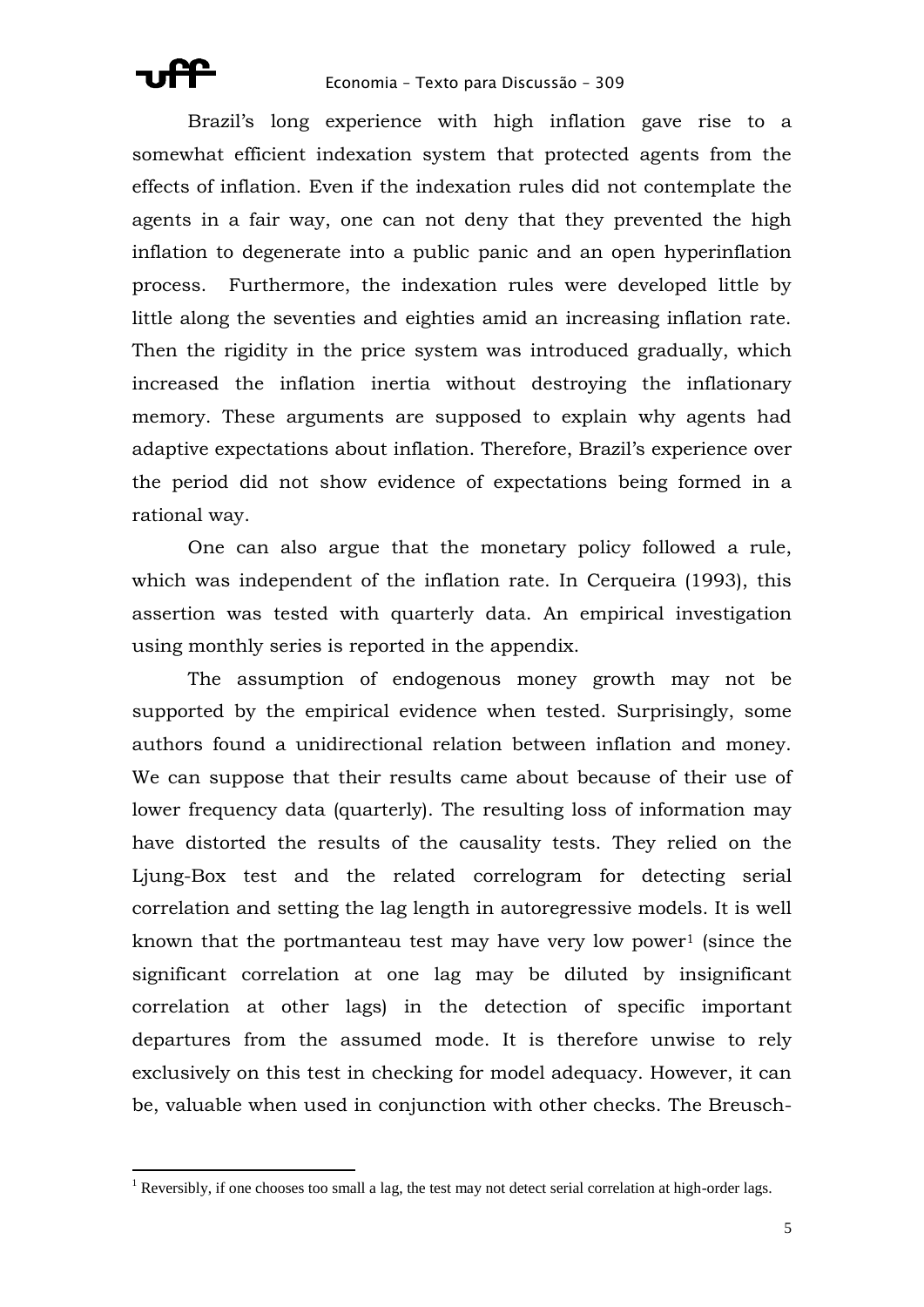1

Brazil's long experience with high inflation gave rise to a somewhat efficient indexation system that protected agents from the effects of inflation. Even if the indexation rules did not contemplate the agents in a fair way, one can not deny that they prevented the high inflation to degenerate into a public panic and an open hyperinflation process. Furthermore, the indexation rules were developed little by little along the seventies and eighties amid an increasing inflation rate. Then the rigidity in the price system was introduced gradually, which increased the inflation inertia without destroying the inflationary memory. These arguments are supposed to explain why agents had adaptive expectations about inflation. Therefore, Brazil's experience over the period did not show evidence of expectations being formed in a rational way.

One can also argue that the monetary policy followed a rule, which was independent of the inflation rate. In Cerqueira (1993), this assertion was tested with quarterly data. An empirical investigation using monthly series is reported in the appendix.

The assumption of endogenous money growth may not be supported by the empirical evidence when tested. Surprisingly, some authors found a unidirectional relation between inflation and money. We can suppose that their results came about because of their use of lower frequency data (quarterly). The resulting loss of information may have distorted the results of the causality tests. They relied on the Ljung-Box test and the related correlogram for detecting serial correlation and setting the lag length in autoregressive models. It is well known that the portmanteau test may have very low power<sup>1</sup> (since the significant correlation at one lag may be diluted by insignificant correlation at other lags) in the detection of specific important departures from the assumed mode. It is therefore unwise to rely exclusively on this test in checking for model adequacy. However, it can be, valuable when used in conjunction with other checks. The Breusch-

<sup>&</sup>lt;sup>1</sup> Reversibly, if one chooses too small a lag, the test may not detect serial correlation at high-order lags.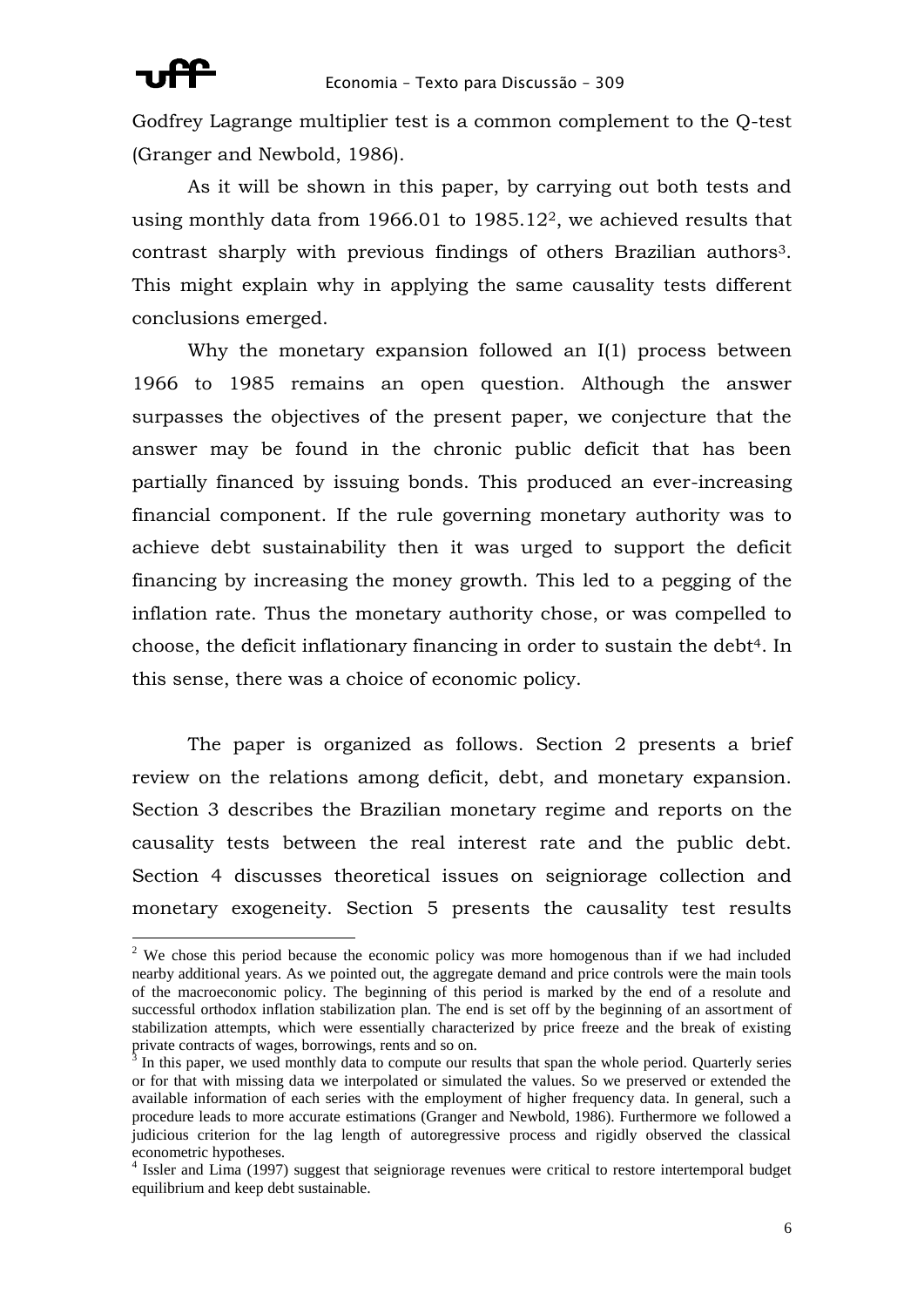Godfrey Lagrange multiplier test is a common complement to the Q-test (Granger and Newbold, 1986).

As it will be shown in this paper, by carrying out both tests and using monthly data from 1966.01 to 1985.122, we achieved results that contrast sharply with previous findings of others Brazilian authors3. This might explain why in applying the same causality tests different conclusions emerged.

Why the monetary expansion followed an I(1) process between 1966 to 1985 remains an open question. Although the answer surpasses the objectives of the present paper, we conjecture that the answer may be found in the chronic public deficit that has been partially financed by issuing bonds. This produced an ever-increasing financial component. If the rule governing monetary authority was to achieve debt sustainability then it was urged to support the deficit financing by increasing the money growth. This led to a pegging of the inflation rate. Thus the monetary authority chose, or was compelled to choose, the deficit inflationary financing in order to sustain the debt4. In this sense, there was a choice of economic policy.

The paper is organized as follows. Section 2 presents a brief review on the relations among deficit, debt, and monetary expansion. Section 3 describes the Brazilian monetary regime and reports on the causality tests between the real interest rate and the public debt. Section 4 discusses theoretical issues on seigniorage collection and monetary exogeneity. Section 5 presents the causality test results

 $2$  We chose this period because the economic policy was more homogenous than if we had included nearby additional years. As we pointed out, the aggregate demand and price controls were the main tools of the macroeconomic policy. The beginning of this period is marked by the end of a resolute and successful orthodox inflation stabilization plan. The end is set off by the beginning of an assortment of stabilization attempts, which were essentially characterized by price freeze and the break of existing private contracts of wages, borrowings, rents and so on.

 $3$  In this paper, we used monthly data to compute our results that span the whole period. Quarterly series or for that with missing data we interpolated or simulated the values. So we preserved or extended the available information of each series with the employment of higher frequency data. In general, such a procedure leads to more accurate estimations (Granger and Newbold, 1986). Furthermore we followed a judicious criterion for the lag length of autoregressive process and rigidly observed the classical econometric hypotheses.

<sup>&</sup>lt;sup>4</sup> Issler and Lima (1997) suggest that seigniorage revenues were critical to restore intertemporal budget equilibrium and keep debt sustainable.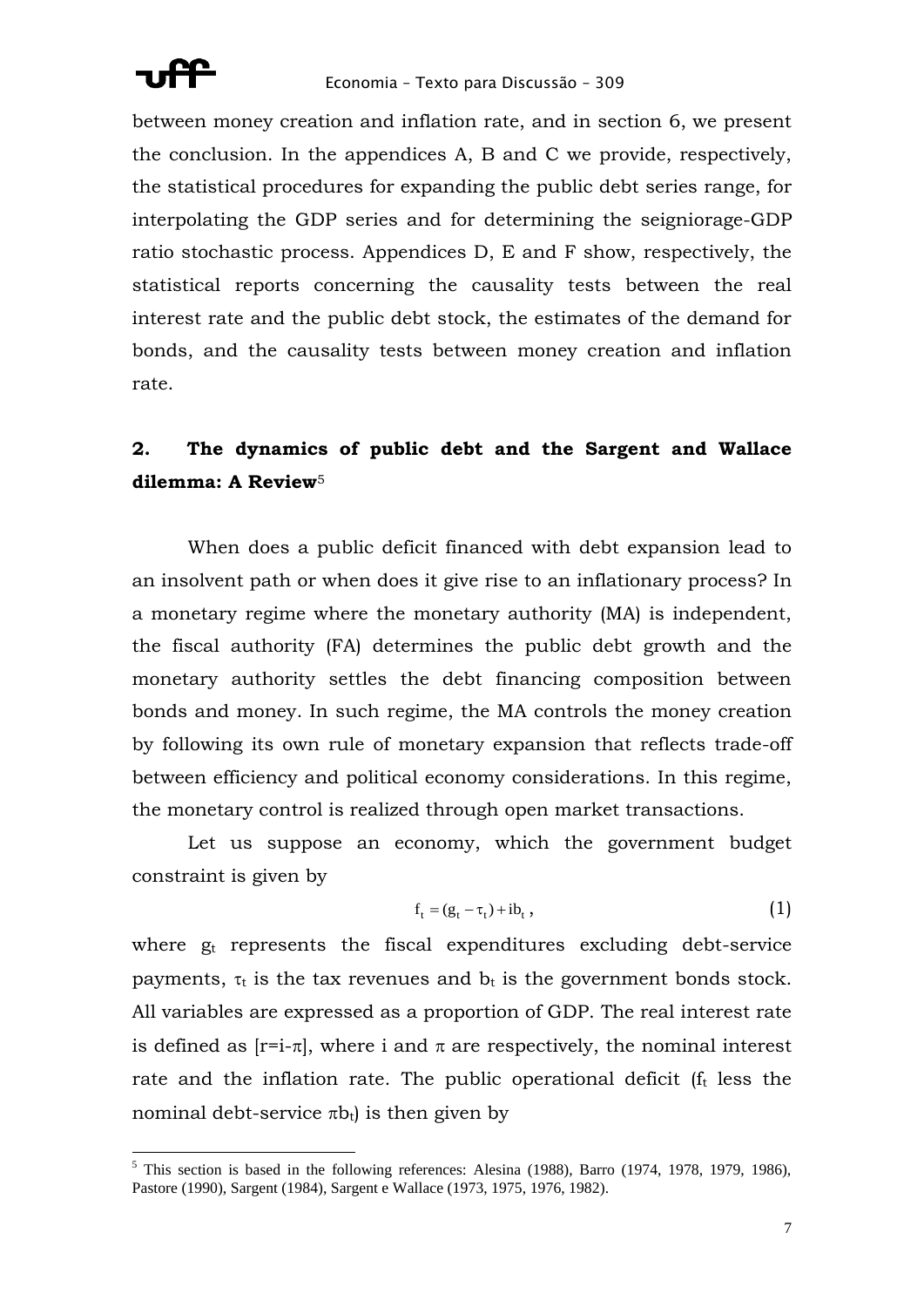

between money creation and inflation rate, and in section 6, we present the conclusion. In the appendices A, B and C we provide, respectively, the statistical procedures for expanding the public debt series range, for interpolating the GDP series and for determining the seigniorage-GDP ratio stochastic process. Appendices D, E and F show, respectively, the statistical reports concerning the causality tests between the real interest rate and the public debt stock, the estimates of the demand for bonds, and the causality tests between money creation and inflation rate.

# **2. The dynamics of public debt and the Sargent and Wallace dilemma: A Review**<sup>5</sup>

When does a public deficit financed with debt expansion lead to an insolvent path or when does it give rise to an inflationary process? In a monetary regime where the monetary authority (MA) is independent, the fiscal authority (FA) determines the public debt growth and the monetary authority settles the debt financing composition between bonds and money. In such regime, the MA controls the money creation by following its own rule of monetary expansion that reflects trade-off between efficiency and political economy considerations. In this regime, the monetary control is realized through open market transactions.

Let us suppose an economy, which the government budget constraint is given by

$$
f_t = (g_t - \tau_t) + ib_t, \qquad (1)
$$

where  $g_t$  represents the fiscal expenditures excluding debt-service payments,  $\tau_t$  is the tax revenues and  $b_t$  is the government bonds stock. All variables are expressed as a proportion of GDP. The real interest rate is defined as  $[r=i-\pi]$ , where i and  $\pi$  are respectively, the nominal interest rate and the inflation rate. The public operational deficit ( $f_t$  less the nominal debt-service  $\pi b_t$ ) is then given by

 $<sup>5</sup>$  This section is based in the following references: Alesina (1988), Barro (1974, 1978, 1979, 1986),</sup> Pastore (1990), Sargent (1984), Sargent e Wallace (1973, 1975, 1976, 1982).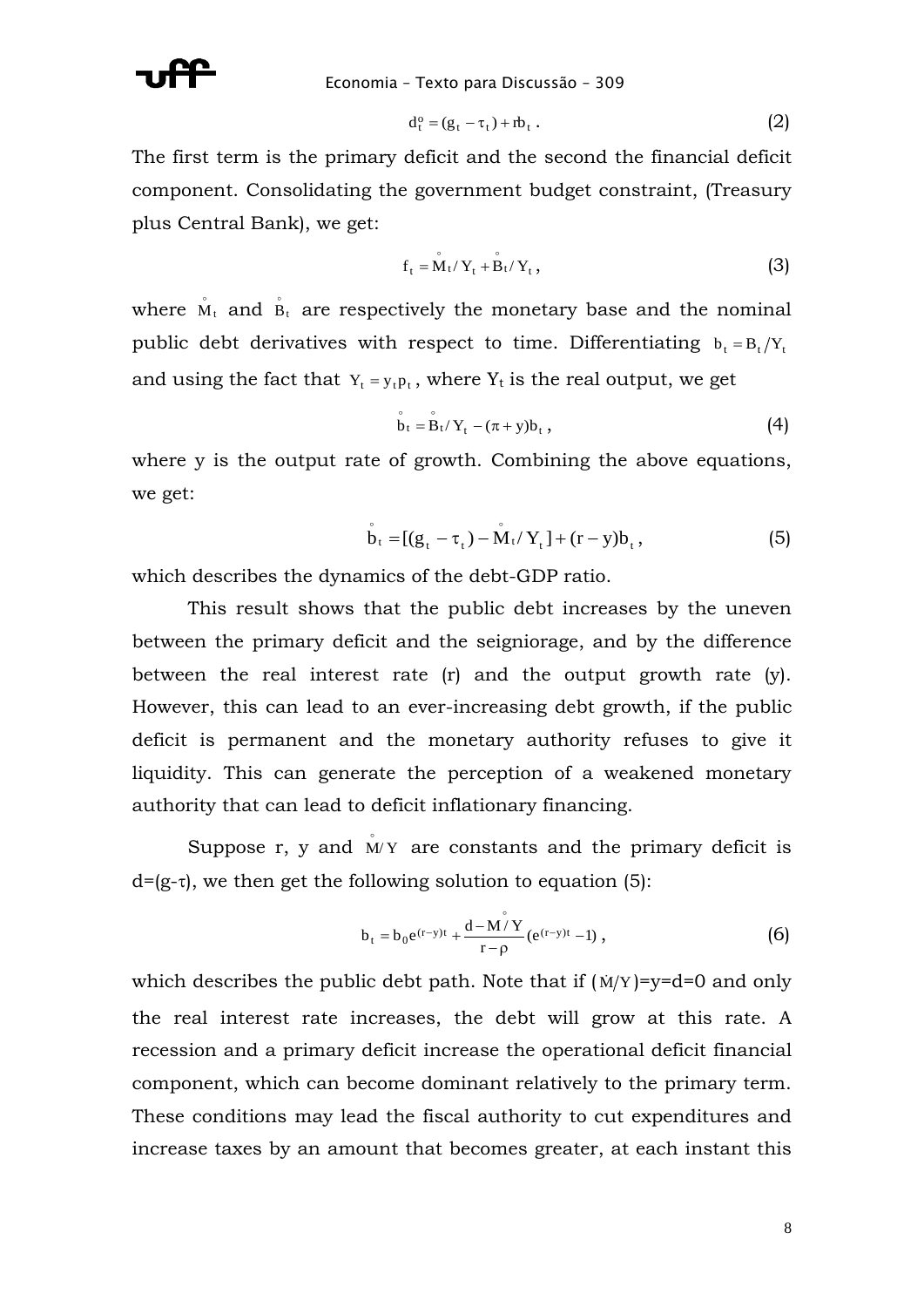

$$
d_t^o = (g_t - \tau_t) + rb_t \t\t(2)
$$

The first term is the primary deficit and the second the financial deficit component. Consolidating the government budget constraint, (Treasury plus Central Bank), we get:

$$
\mathbf{f}_{t} = \mathbf{M}_{t} / \mathbf{Y}_{t} + \mathbf{B}_{t} / \mathbf{Y}_{t}, \qquad (3)
$$

where  $\mathring{M}_t$  and  $\mathring{B}_t$  are respectively the monetary base and the nominal public debt derivatives with respect to time. Differentiating  $b_t = B_t/Y_t$ and using the fact that  $Y_t = y_t p_t$ , where  $Y_t$  is the real output, we get

$$
\mathbf{\dot{b}}_t = \mathbf{\dot{B}}_t / \mathbf{Y}_t - (\pi + \mathbf{y}) \mathbf{b}_t, \qquad (4)
$$

where y is the output rate of growth. Combining the above equations, we get:

$$
\dot{b}_{t} = [(g_{t} - \tau_{t}) - \dot{M}_{t}/Y_{t}] + (r - y)b_{t}, \qquad (5)
$$

which describes the dynamics of the debt-GDP ratio.

This result shows that the public debt increases by the uneven between the primary deficit and the seigniorage, and by the difference between the real interest rate (r) and the output growth rate (y). However, this can lead to an ever-increasing debt growth, if the public deficit is permanent and the monetary authority refuses to give it liquidity. This can generate the perception of a weakened monetary authority that can lead to deficit inflationary financing.

Suppose  $r$ ,  $y$  and  $M/Y$  are constants and the primary deficit is  $d=(g-\tau)$ , we then get the following solution to equation (5):

$$
b_{t} = b_{0}e^{(r-y)t} + \frac{d - M\overset{\circ}{/}Y}{r - \rho}(e^{(r-y)t} - 1) , \qquad (6)
$$

which describes the public debt path. Note that if  $(N/Y) = y = d = 0$  and only the real interest rate increases, the debt will grow at this rate. A recession and a primary deficit increase the operational deficit financial component, which can become dominant relatively to the primary term. These conditions may lead the fiscal authority to cut expenditures and increase taxes by an amount that becomes greater, at each instant this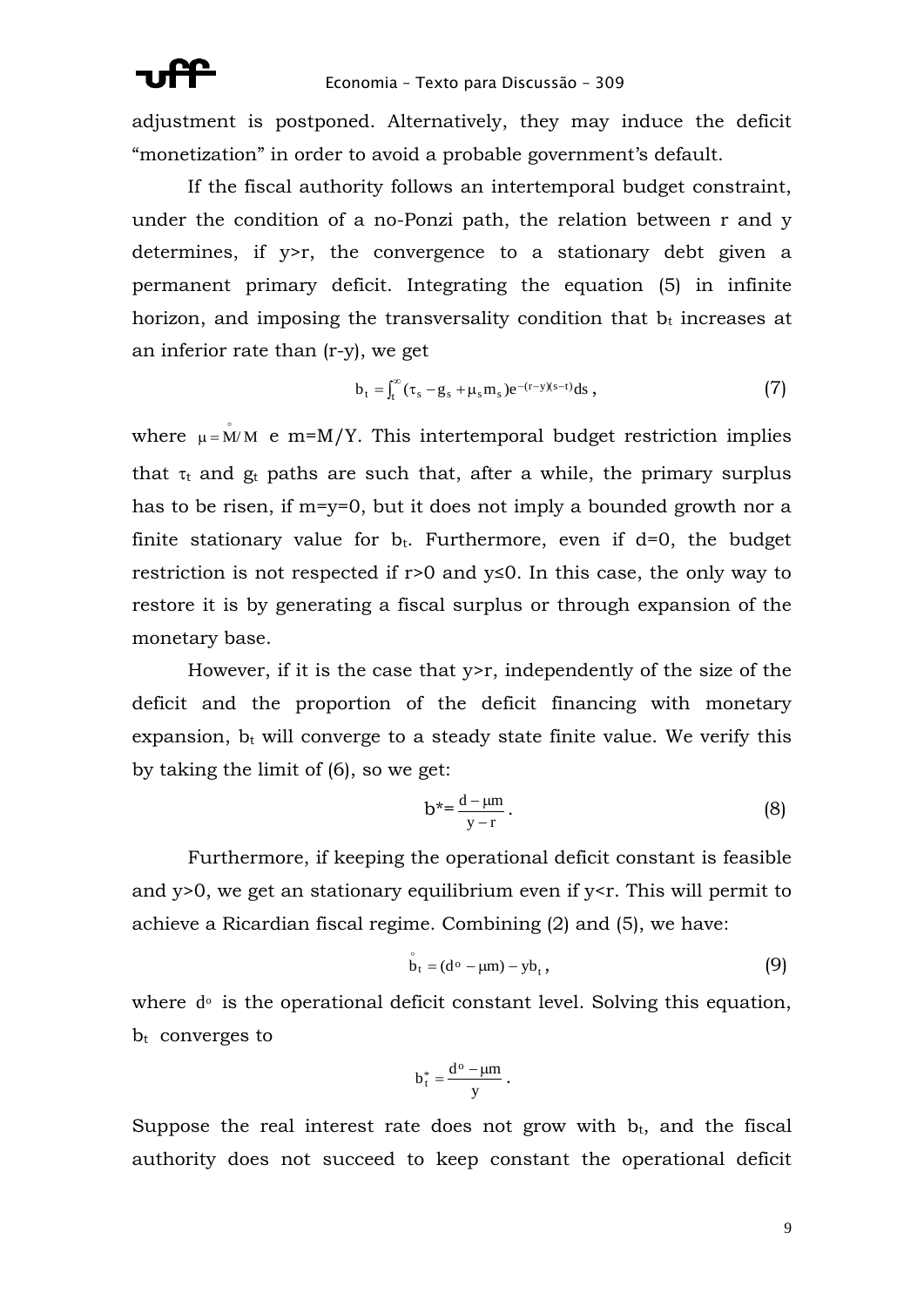adjustment is postponed. Alternatively, they may induce the deficit "monetization" in order to avoid a probable government's default.

If the fiscal authority follows an intertemporal budget constraint, under the condition of a no-Ponzi path, the relation between r and y determines, if y>r, the convergence to a stationary debt given a permanent primary deficit. Integrating the equation (5) in infinite horizon, and imposing the transversality condition that  $b_t$  increases at an inferior rate than (r-y), we get

$$
b_t = \int_t^{\infty} (\tau_s - g_s + \mu_s m_s) e^{-(r-y)(s-t)} ds , \qquad (7)
$$

where  $\mu = M/M$  e m=M/Y. This intertemporal budget restriction implies that  $\tau_t$  and  $g_t$  paths are such that, after a while, the primary surplus has to be risen, if m=y=0, but it does not imply a bounded growth nor a finite stationary value for  $b_t$ . Furthermore, even if d=0, the budget restriction is not respected if r>0 and y≤0. In this case, the only way to restore it is by generating a fiscal surplus or through expansion of the monetary base.

However, if it is the case that  $y > r$ , independently of the size of the deficit and the proportion of the deficit financing with monetary expansion,  $b_t$  will converge to a steady state finite value. We verify this by taking the limit of (6), so we get:

$$
b^* = \frac{d - \mu m}{y - r} \,. \tag{8}
$$

Furthermore, if keeping the operational deficit constant is feasible and  $y>0$ , we get an stationary equilibrium even if  $y < r$ . This will permit to achieve a Ricardian fiscal regime. Combining (2) and (5), we have:

$$
\dot{\mathbf{b}}_t = (\mathbf{d}^\circ - \mu \mathbf{m}) - \mathbf{y} \mathbf{b}_t, \qquad (9)
$$

where  $d<sup>o</sup>$  is the operational deficit constant level. Solving this equation,  $b_t$  converges to

$$
b_t^* = \frac{d^o - \mu m}{y} \; .
$$

Suppose the real interest rate does not grow with  $b_t$ , and the fiscal authority does not succeed to keep constant the operational deficit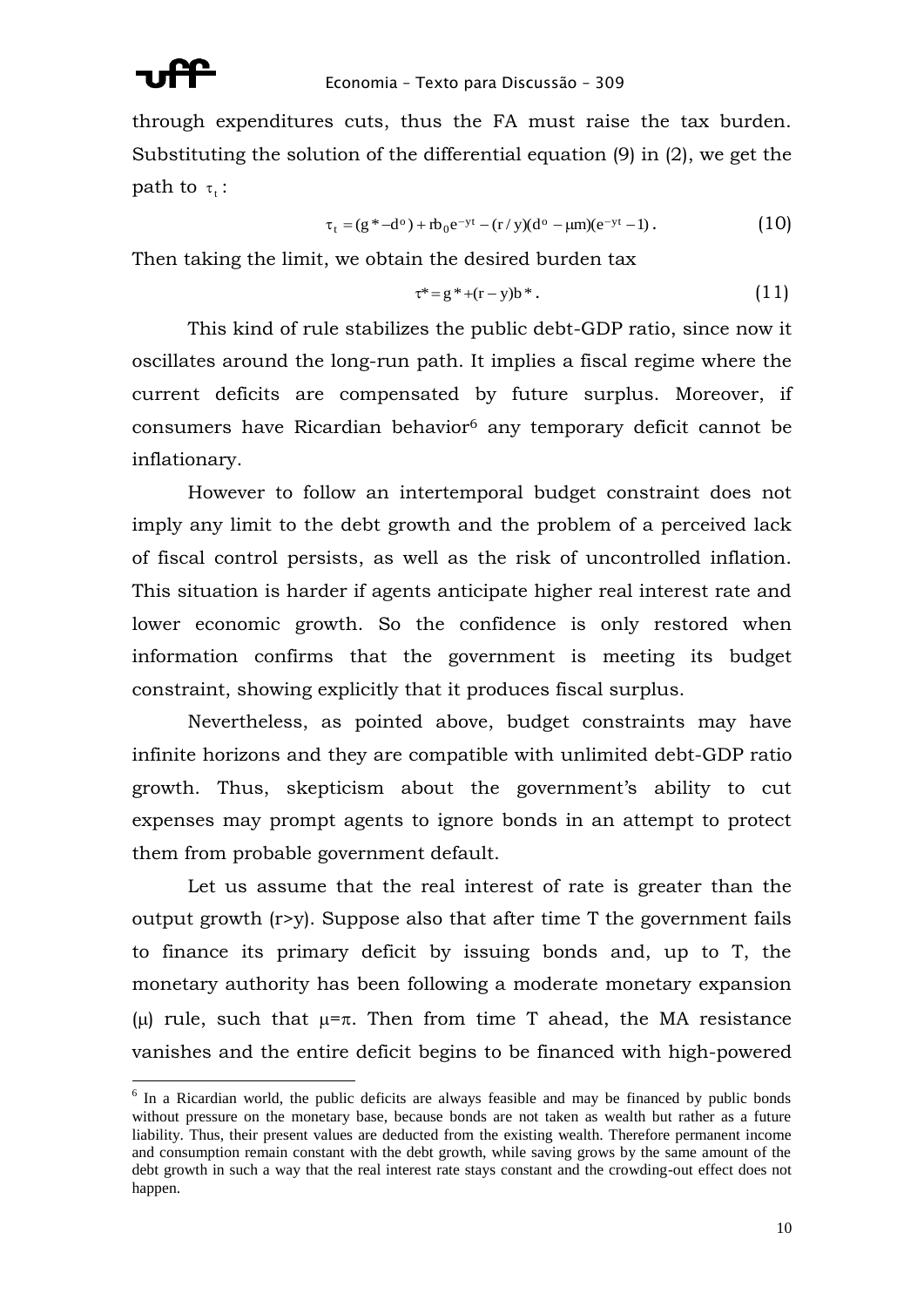

1

through expenditures cuts, thus the FA must raise the tax burden. Substituting the solution of the differential equation (9) in (2), we get the path to  $\tau_t$  :

$$
\tau_t = (g^* - d^o) + rb_0 e^{-yt} - (r/y)(d^o - \mu m)(e^{-yt} - 1).
$$
 (10)

Then taking the limit, we obtain the desired burden tax

$$
\tau^* = g^* + (r - y)b^* \,. \tag{11}
$$

This kind of rule stabilizes the public debt-GDP ratio, since now it oscillates around the long-run path. It implies a fiscal regime where the current deficits are compensated by future surplus. Moreover, if consumers have Ricardian behavior<sup>6</sup> any temporary deficit cannot be inflationary.

However to follow an intertemporal budget constraint does not imply any limit to the debt growth and the problem of a perceived lack of fiscal control persists, as well as the risk of uncontrolled inflation. This situation is harder if agents anticipate higher real interest rate and lower economic growth. So the confidence is only restored when information confirms that the government is meeting its budget constraint, showing explicitly that it produces fiscal surplus.

Nevertheless, as pointed above, budget constraints may have infinite horizons and they are compatible with unlimited debt-GDP ratio growth. Thus, skepticism about the government's ability to cut expenses may prompt agents to ignore bonds in an attempt to protect them from probable government default.

Let us assume that the real interest of rate is greater than the output growth (r>y). Suppose also that after time T the government fails to finance its primary deficit by issuing bonds and, up to T, the monetary authority has been following a moderate monetary expansion (u) rule, such that  $\mu = \pi$ . Then from time T ahead, the MA resistance vanishes and the entire deficit begins to be financed with high-powered

<sup>&</sup>lt;sup>6</sup> In a Ricardian world, the public deficits are always feasible and may be financed by public bonds without pressure on the monetary base, because bonds are not taken as wealth but rather as a future liability. Thus, their present values are deducted from the existing wealth. Therefore permanent income and consumption remain constant with the debt growth, while saving grows by the same amount of the debt growth in such a way that the real interest rate stays constant and the crowding-out effect does not happen.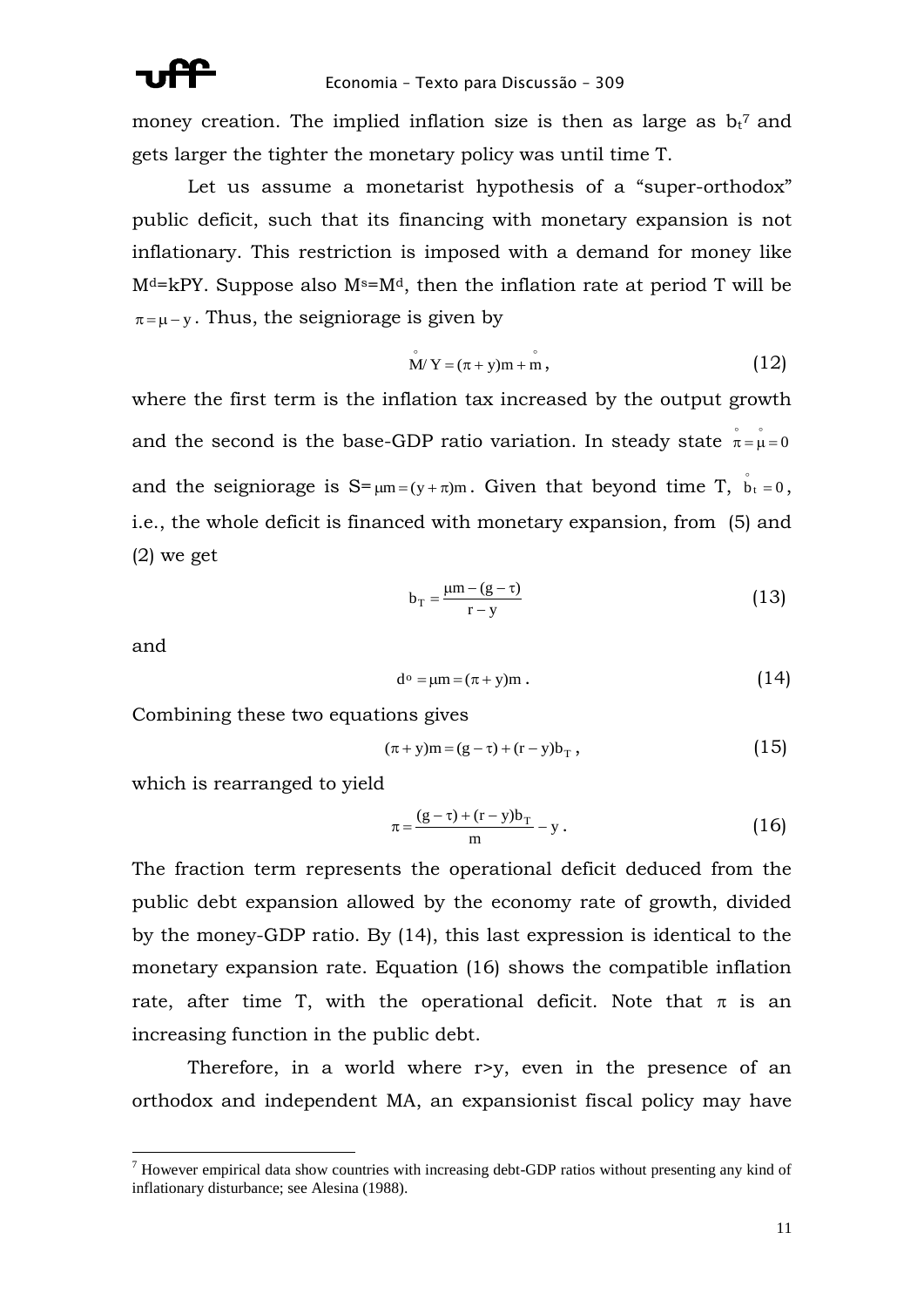money creation. The implied inflation size is then as large as  $b_t^7$  and gets larger the tighter the monetary policy was until time T.

Let us assume a monetarist hypothesis of a "super-orthodox" public deficit, such that its financing with monetary expansion is not inflationary. This restriction is imposed with a demand for money like  $M<sup>d</sup>=kPY$ . Suppose also  $M<sup>s</sup>=M<sup>d</sup>$ , then the inflation rate at period T will be  $\pi = \mu - y$ . Thus, the seigniorage is given by

$$
\mathbf{M}'\mathbf{Y} = (\pi + \mathbf{y})\mathbf{m} + \mathbf{m},\tag{12}
$$

where the first term is the inflation tax increased by the output growth and the second is the base-GDP ratio variation. In steady state  $\stackrel{\circ}{\pi} = \stackrel{\circ}{\mu} = 0$ and the seigniorage is  $S = \mu m = (y + \pi)m$ . Given that beyond time T,  $\dot{b}_t = 0$ , i.e., the whole deficit is financed with monetary expansion, from (5) and (2) we get

$$
b_T = \frac{\mu m - (g - \tau)}{r - y} \tag{13}
$$

and

<u>.</u>

$$
d^{\circ} = \mu m = (\pi + y)m . \qquad (14)
$$

Combining these two equations gives

$$
(\pi + y)m = (g - \tau) + (r - y)b_{T}, \qquad (15)
$$

which is rearranged to yield

$$
\pi = \frac{(g - \tau) + (r - y)b_{\rm T}}{m} - y \,. \tag{16}
$$

The fraction term represents the operational deficit deduced from the public debt expansion allowed by the economy rate of growth, divided by the money-GDP ratio. By (14), this last expression is identical to the monetary expansion rate. Equation (16) shows the compatible inflation rate, after time T, with the operational deficit. Note that  $\pi$  is an increasing function in the public debt.

Therefore, in a world where r>y, even in the presence of an orthodox and independent MA, an expansionist fiscal policy may have

 $<sup>7</sup>$  However empirical data show countries with increasing debt-GDP ratios without presenting any kind of</sup> inflationary disturbance; see Alesina (1988).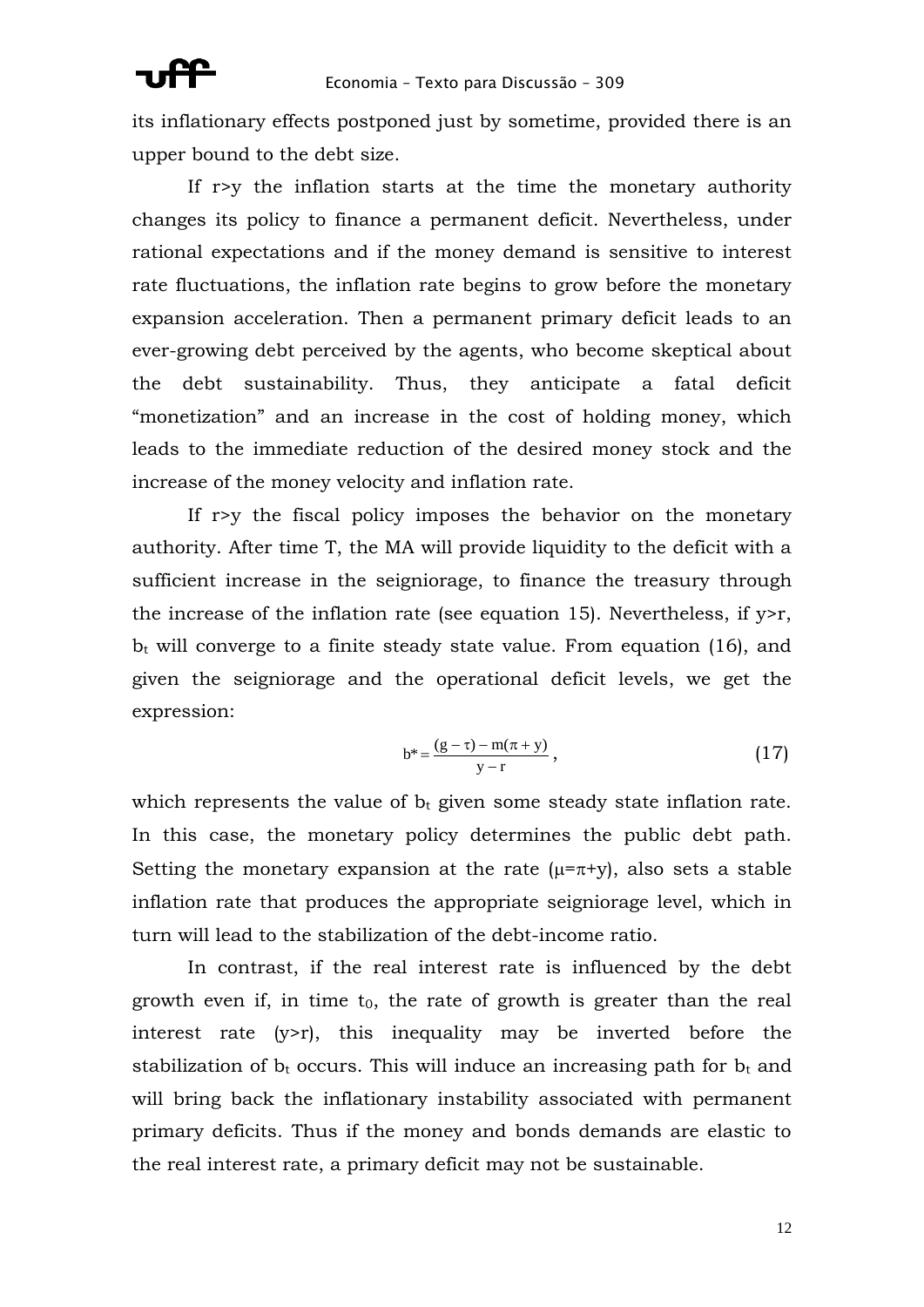its inflationary effects postponed just by sometime, provided there is an upper bound to the debt size.

If r>y the inflation starts at the time the monetary authority changes its policy to finance a permanent deficit. Nevertheless, under rational expectations and if the money demand is sensitive to interest rate fluctuations, the inflation rate begins to grow before the monetary expansion acceleration. Then a permanent primary deficit leads to an ever-growing debt perceived by the agents, who become skeptical about the debt sustainability. Thus, they anticipate a fatal deficit "monetization" and an increase in the cost of holding money, which leads to the immediate reduction of the desired money stock and the increase of the money velocity and inflation rate.

If r>y the fiscal policy imposes the behavior on the monetary authority. After time T, the MA will provide liquidity to the deficit with a sufficient increase in the seigniorage, to finance the treasury through the increase of the inflation rate (see equation 15). Nevertheless, if  $y > r$ ,  $b_t$  will converge to a finite steady state value. From equation (16), and given the seigniorage and the operational deficit levels, we get the expression:

$$
b^* = \frac{(g - \tau) - m(\pi + y)}{y - r},
$$
\n(17)

which represents the value of  $b_t$  given some steady state inflation rate. In this case, the monetary policy determines the public debt path. Setting the monetary expansion at the rate  $(\mu = \pi + y)$ , also sets a stable inflation rate that produces the appropriate seigniorage level, which in turn will lead to the stabilization of the debt-income ratio.

In contrast, if the real interest rate is influenced by the debt growth even if, in time  $t_0$ , the rate of growth is greater than the real interest rate  $(y>r)$ , this inequality may be inverted before the stabilization of  $b_t$  occurs. This will induce an increasing path for  $b_t$  and will bring back the inflationary instability associated with permanent primary deficits. Thus if the money and bonds demands are elastic to the real interest rate, a primary deficit may not be sustainable.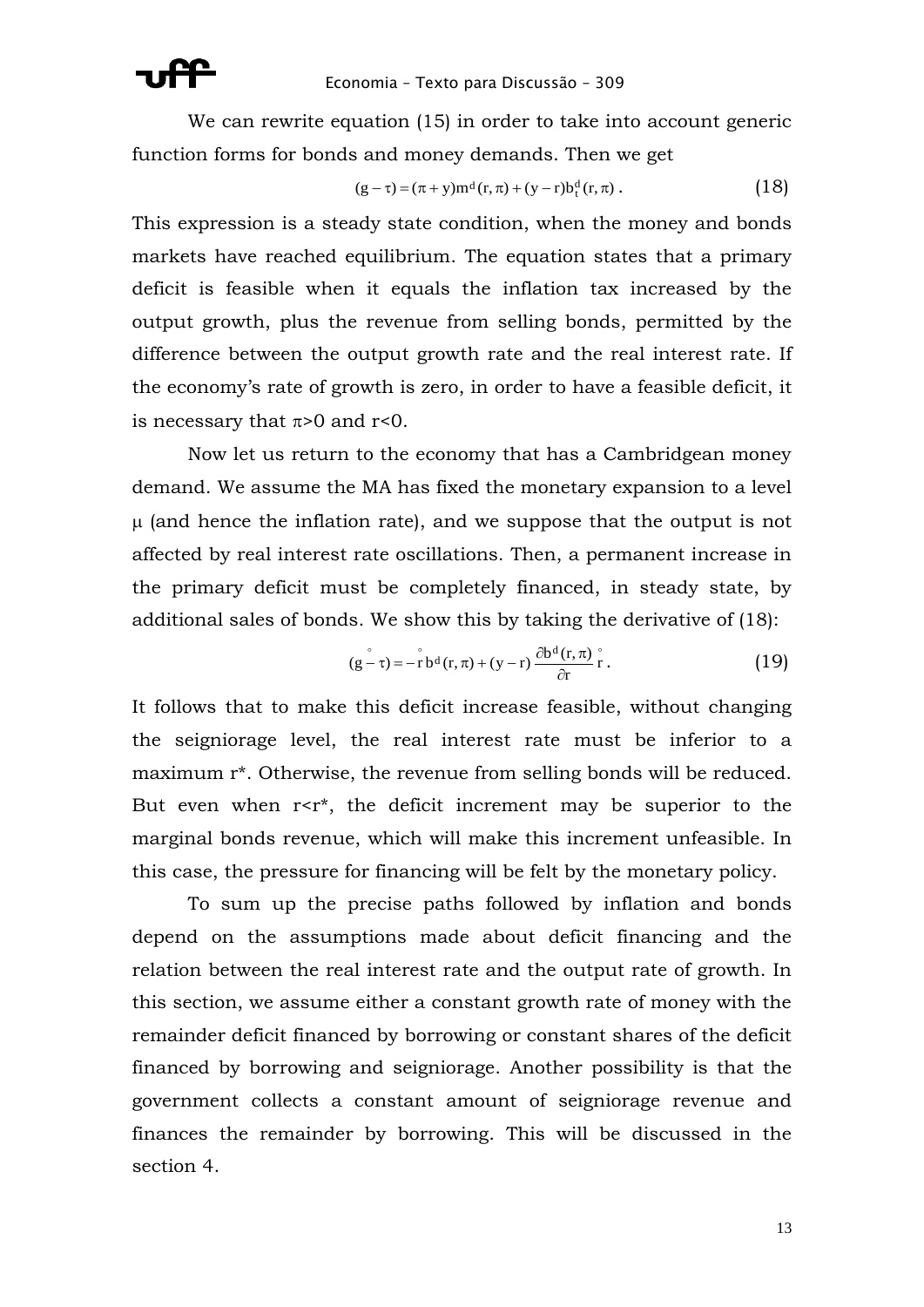

We can rewrite equation (15) in order to take into account generic function forms for bonds and money demands. Then we get

$$
(g - \tau) = (\pi + y) m^{d} (r, \pi) + (y - r) b_{t}^{d} (r, \pi).
$$
 (18)

This expression is a steady state condition, when the money and bonds markets have reached equilibrium. The equation states that a primary deficit is feasible when it equals the inflation tax increased by the output growth, plus the revenue from selling bonds, permitted by the difference between the output growth rate and the real interest rate. If the economy's rate of growth is zero, in order to have a feasible deficit, it is necessary that  $\pi$ >0 and r<0.

Now let us return to the economy that has a Cambridgean money demand. We assume the MA has fixed the monetary expansion to a level  $\mu$  (and hence the inflation rate), and we suppose that the output is not affected by real interest rate oscillations. Then, a permanent increase in the primary deficit must be completely financed, in steady state, by additional sales of bonds. We show this by taking the derivative of (18):

$$
(g - \tau) = -\overset{\circ}{r} b^d(r, \pi) + (y - r) \frac{\partial b^d(r, \pi)}{\partial r} \overset{\circ}{r}.
$$
 (19)

It follows that to make this deficit increase feasible, without changing the seigniorage level, the real interest rate must be inferior to a maximum r\*. Otherwise, the revenue from selling bonds will be reduced. But even when  $r < r^*$ , the deficit increment may be superior to the marginal bonds revenue, which will make this increment unfeasible. In this case, the pressure for financing will be felt by the monetary policy.

To sum up the precise paths followed by inflation and bonds depend on the assumptions made about deficit financing and the relation between the real interest rate and the output rate of growth. In this section, we assume either a constant growth rate of money with the remainder deficit financed by borrowing or constant shares of the deficit financed by borrowing and seigniorage. Another possibility is that the government collects a constant amount of seigniorage revenue and finances the remainder by borrowing. This will be discussed in the section 4.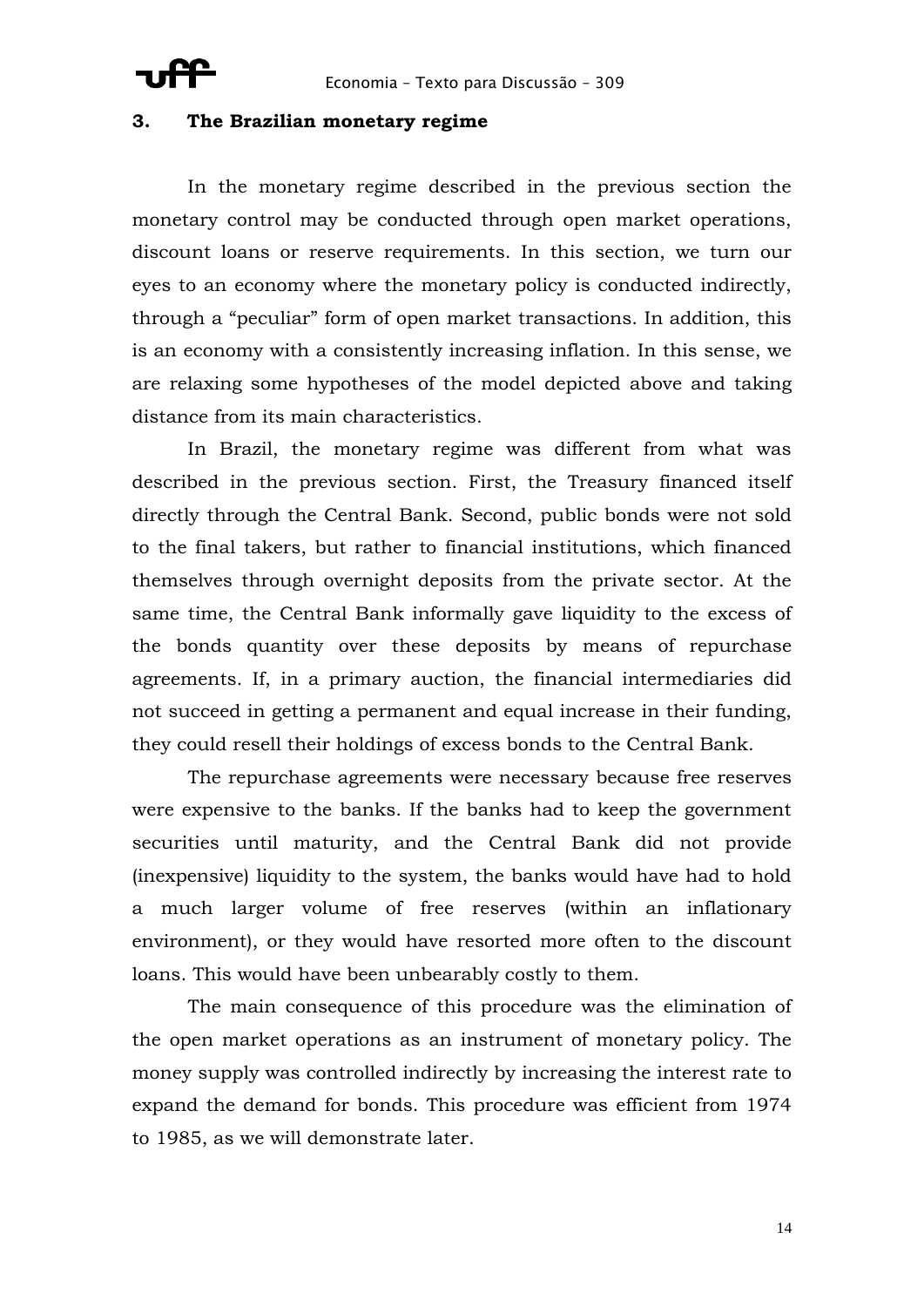## **3. The Brazilian monetary regime**

In the monetary regime described in the previous section the monetary control may be conducted through open market operations, discount loans or reserve requirements. In this section, we turn our eyes to an economy where the monetary policy is conducted indirectly, through a "peculiar" form of open market transactions. In addition, this is an economy with a consistently increasing inflation. In this sense, we are relaxing some hypotheses of the model depicted above and taking distance from its main characteristics.

In Brazil, the monetary regime was different from what was described in the previous section. First, the Treasury financed itself directly through the Central Bank. Second, public bonds were not sold to the final takers, but rather to financial institutions, which financed themselves through overnight deposits from the private sector. At the same time, the Central Bank informally gave liquidity to the excess of the bonds quantity over these deposits by means of repurchase agreements. If, in a primary auction, the financial intermediaries did not succeed in getting a permanent and equal increase in their funding, they could resell their holdings of excess bonds to the Central Bank.

The repurchase agreements were necessary because free reserves were expensive to the banks. If the banks had to keep the government securities until maturity, and the Central Bank did not provide (inexpensive) liquidity to the system, the banks would have had to hold a much larger volume of free reserves (within an inflationary environment), or they would have resorted more often to the discount loans. This would have been unbearably costly to them.

The main consequence of this procedure was the elimination of the open market operations as an instrument of monetary policy. The money supply was controlled indirectly by increasing the interest rate to expand the demand for bonds. This procedure was efficient from 1974 to 1985, as we will demonstrate later.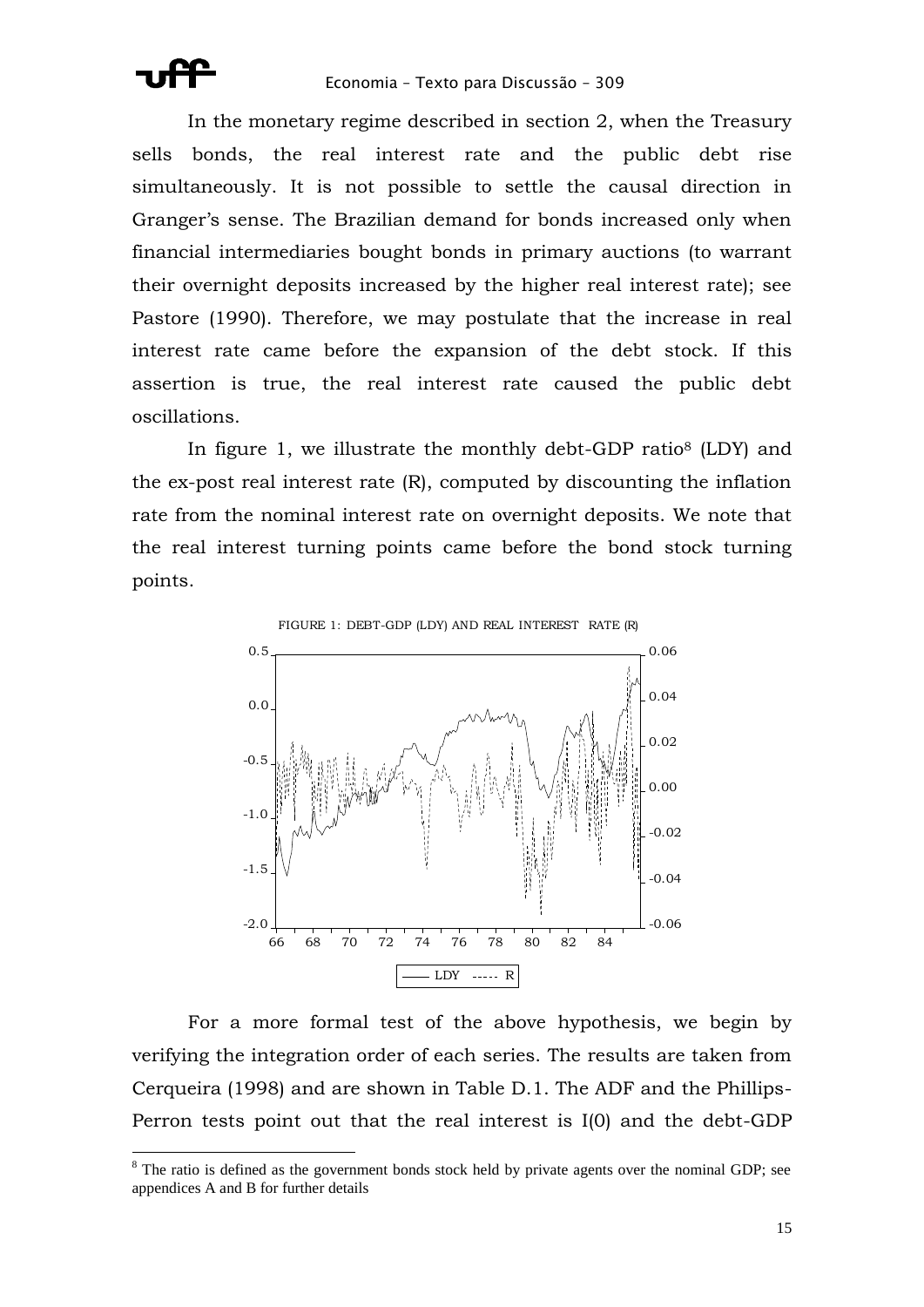

In the monetary regime described in section 2, when the Treasury sells bonds, the real interest rate and the public debt rise simultaneously. It is not possible to settle the causal direction in Granger's sense. The Brazilian demand for bonds increased only when financial intermediaries bought bonds in primary auctions (to warrant their overnight deposits increased by the higher real interest rate); see Pastore (1990). Therefore, we may postulate that the increase in real interest rate came before the expansion of the debt stock. If this assertion is true, the real interest rate caused the public debt oscillations.

In figure 1, we illustrate the monthly debt-GDP ratio<sup>8</sup> (LDY) and the ex-post real interest rate (R), computed by discounting the inflation rate from the nominal interest rate on overnight deposits. We note that the real interest turning points came before the bond stock turning points.



For a more formal test of the above hypothesis, we begin by verifying the integration order of each series. The results are taken from Cerqueira (1998) and are shown in Table D.1. The ADF and the Phillips-Perron tests point out that the real interest is I(0) and the debt-GDP

 $8$  The ratio is defined as the government bonds stock held by private agents over the nominal GDP; see appendices A and B for further details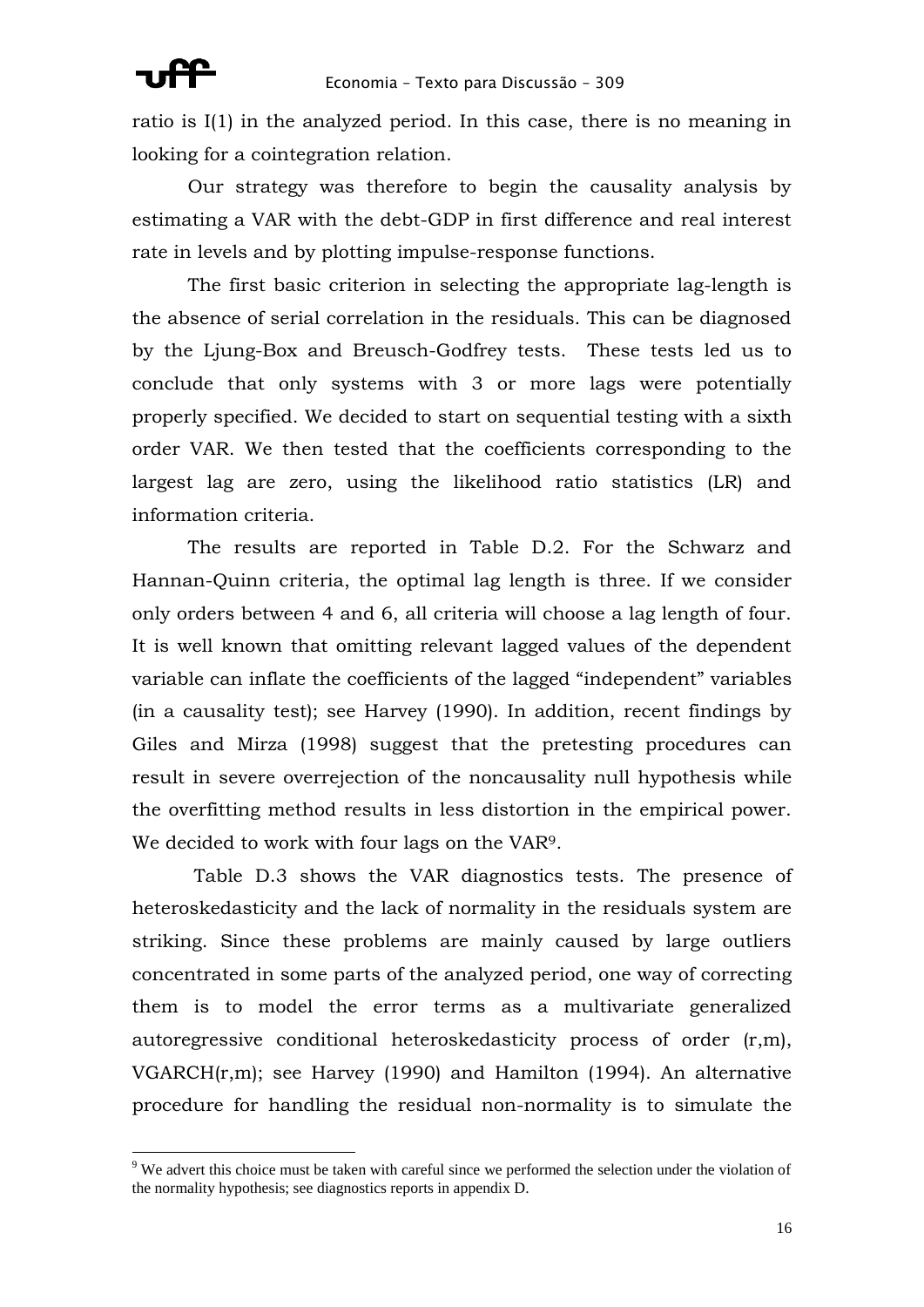### Economia – Texto para Discussão – 309

<u>.</u>

ratio is I(1) in the analyzed period. In this case, there is no meaning in looking for a cointegration relation.

Our strategy was therefore to begin the causality analysis by estimating a VAR with the debt-GDP in first difference and real interest rate in levels and by plotting impulse-response functions.

The first basic criterion in selecting the appropriate lag-length is the absence of serial correlation in the residuals. This can be diagnosed by the Ljung-Box and Breusch-Godfrey tests. These tests led us to conclude that only systems with 3 or more lags were potentially properly specified. We decided to start on sequential testing with a sixth order VAR. We then tested that the coefficients corresponding to the largest lag are zero, using the likelihood ratio statistics (LR) and information criteria.

The results are reported in Table D.2. For the Schwarz and Hannan-Quinn criteria, the optimal lag length is three. If we consider only orders between 4 and 6, all criteria will choose a lag length of four. It is well known that omitting relevant lagged values of the dependent variable can inflate the coefficients of the lagged "independent" variables (in a causality test); see Harvey (1990). In addition, recent findings by Giles and Mirza (1998) suggest that the pretesting procedures can result in severe overrejection of the noncausality null hypothesis while the overfitting method results in less distortion in the empirical power. We decided to work with four lags on the VAR9.

Table D.3 shows the VAR diagnostics tests. The presence of heteroskedasticity and the lack of normality in the residuals system are striking. Since these problems are mainly caused by large outliers concentrated in some parts of the analyzed period, one way of correcting them is to model the error terms as a multivariate generalized autoregressive conditional heteroskedasticity process of order (r,m), VGARCH(r,m); see Harvey (1990) and Hamilton (1994). An alternative procedure for handling the residual non-normality is to simulate the

<sup>&</sup>lt;sup>9</sup> We advert this choice must be taken with careful since we performed the selection under the violation of the normality hypothesis; see diagnostics reports in appendix D.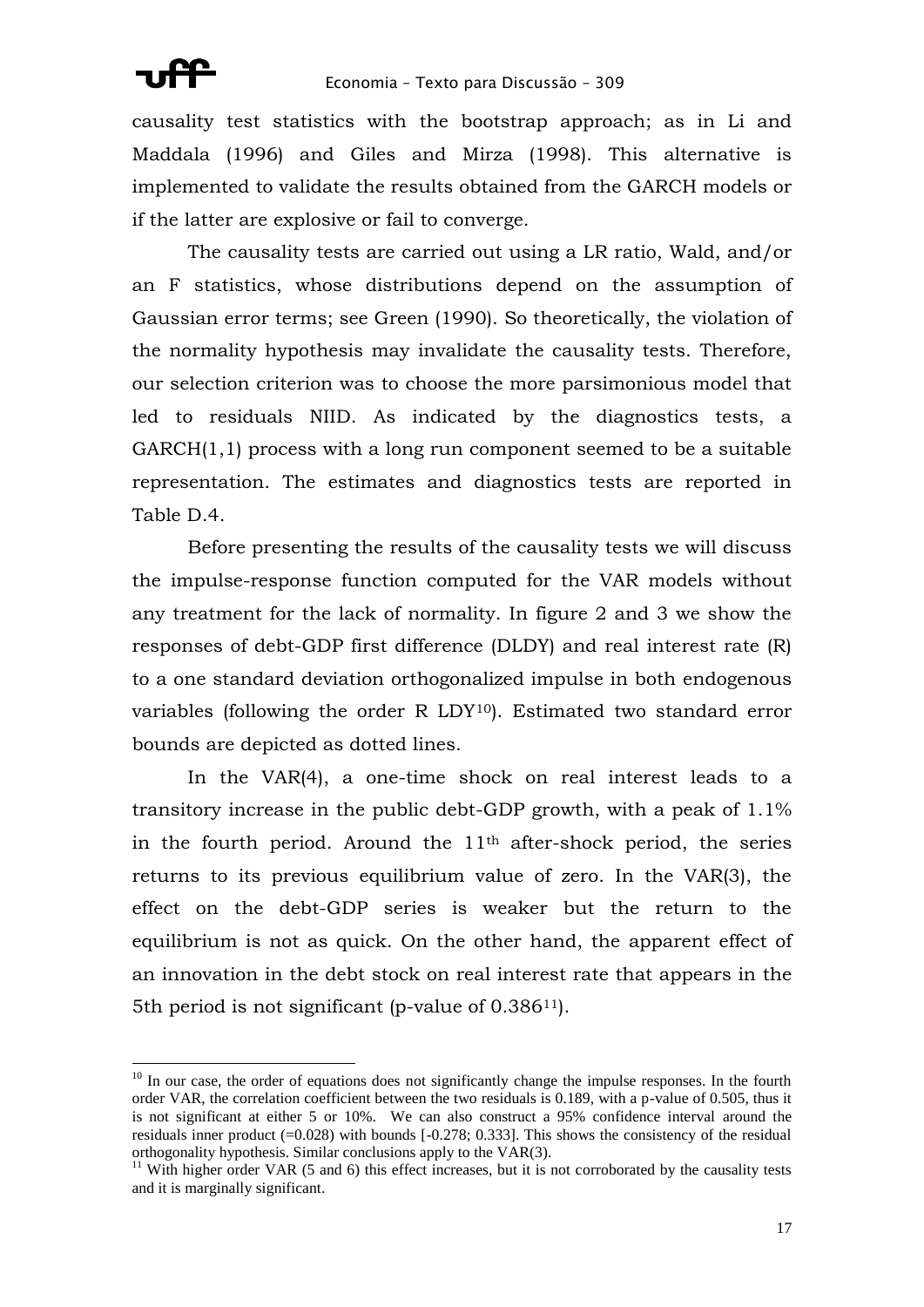causality test statistics with the bootstrap approach; as in Li and Maddala (1996) and Giles and Mirza (1998). This alternative is implemented to validate the results obtained from the GARCH models or if the latter are explosive or fail to converge.

The causality tests are carried out using a LR ratio, Wald, and/or an F statistics, whose distributions depend on the assumption of Gaussian error terms; see Green (1990). So theoretically, the violation of the normality hypothesis may invalidate the causality tests. Therefore, our selection criterion was to choose the more parsimonious model that led to residuals NIID. As indicated by the diagnostics tests, a GARCH(1,1) process with a long run component seemed to be a suitable representation. The estimates and diagnostics tests are reported in Table D.4.

Before presenting the results of the causality tests we will discuss the impulse-response function computed for the VAR models without any treatment for the lack of normality. In figure 2 and 3 we show the responses of debt-GDP first difference (DLDY) and real interest rate (R) to a one standard deviation orthogonalized impulse in both endogenous variables (following the order R LDY10). Estimated two standard error bounds are depicted as dotted lines.

In the VAR(4), a one-time shock on real interest leads to a transitory increase in the public debt-GDP growth, with a peak of 1.1% in the fourth period. Around the  $11<sup>th</sup>$  after-shock period, the series returns to its previous equilibrium value of zero. In the VAR(3), the effect on the debt-GDP series is weaker but the return to the equilibrium is not as quick. On the other hand, the apparent effect of an innovation in the debt stock on real interest rate that appears in the 5th period is not significant (p-value of 0.38611).

<sup>&</sup>lt;sup>10</sup> In our case, the order of equations does not significantly change the impulse responses. In the fourth order VAR, the correlation coefficient between the two residuals is 0.189, with a p-value of 0.505, thus it is not significant at either 5 or 10%. We can also construct a 95% confidence interval around the residuals inner product  $(=0.028)$  with bounds  $[-0.278; 0.333]$ . This shows the consistency of the residual orthogonality hypothesis. Similar conclusions apply to the VAR(3).

 $11$  With higher order VAR (5 and 6) this effect increases, but it is not corroborated by the causality tests and it is marginally significant.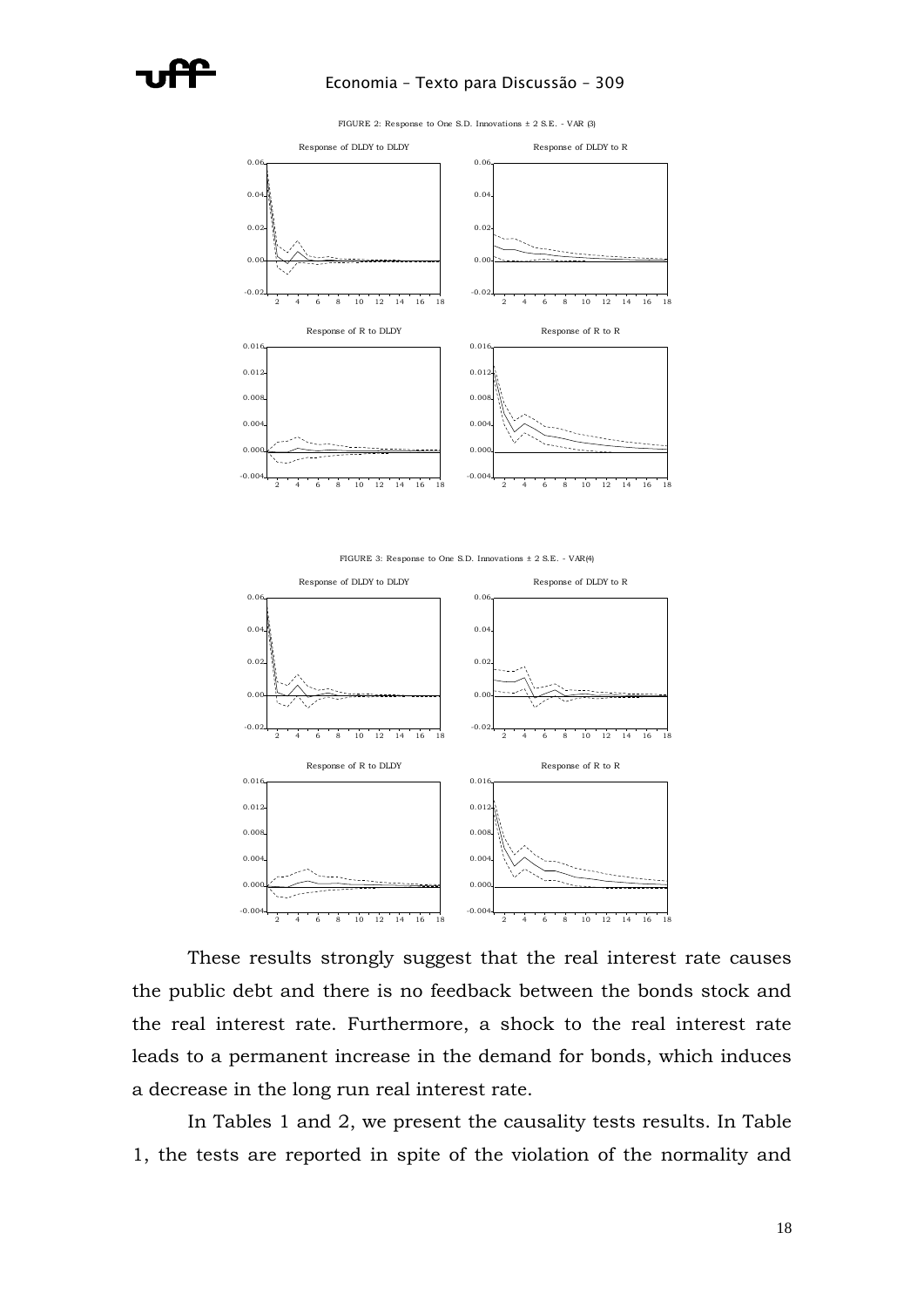

### Economia – Texto para Discussão – 309



FIGURE 2: Response to One S.D. Innovations ± 2 S.E. - VAR (3)





These results strongly suggest that the real interest rate causes the public debt and there is no feedback between the bonds stock and the real interest rate. Furthermore, a shock to the real interest rate leads to a permanent increase in the demand for bonds, which induces a decrease in the long run real interest rate.

In Tables 1 and 2, we present the causality tests results. In Table 1, the tests are reported in spite of the violation of the normality and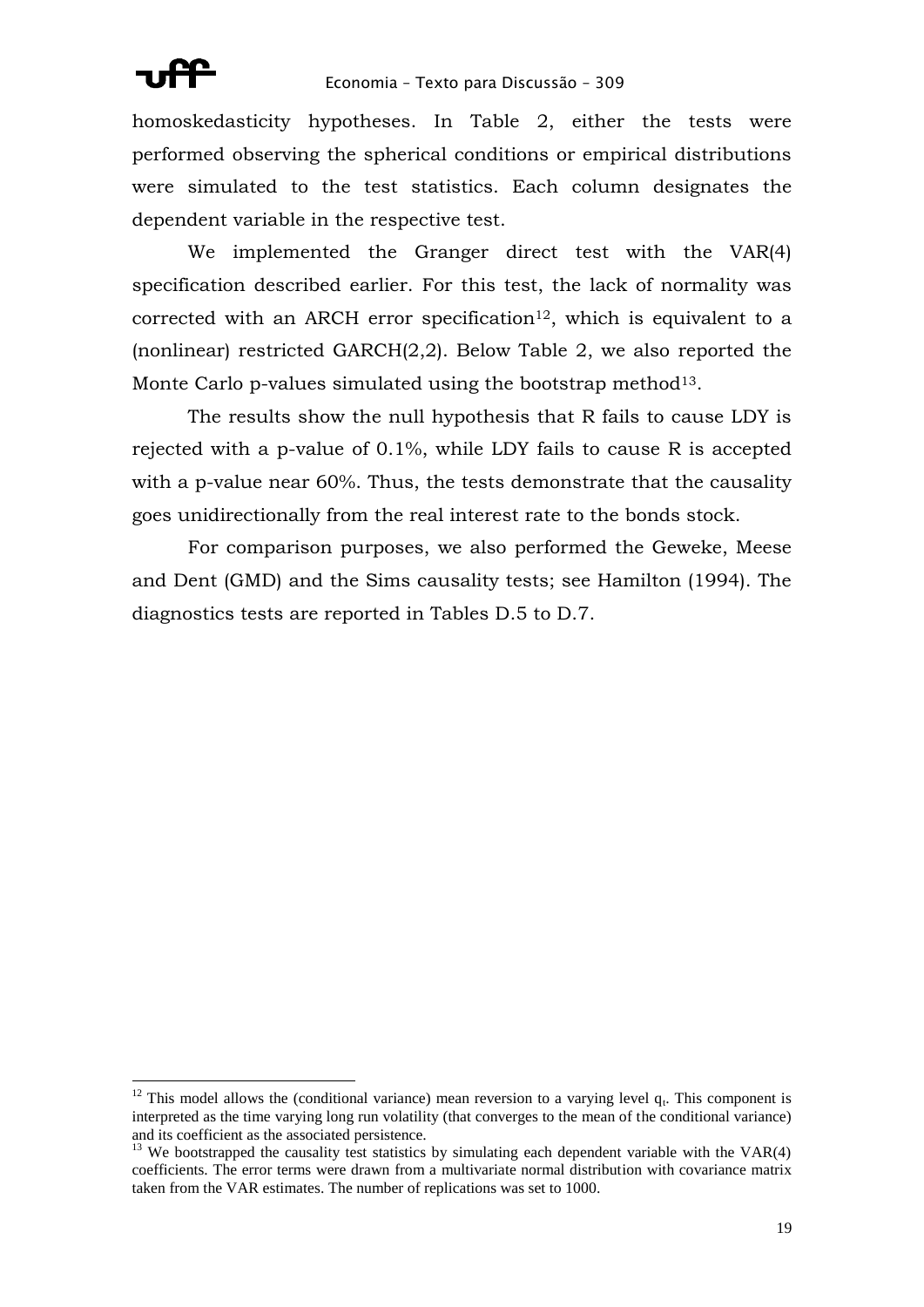

1

homoskedasticity hypotheses. In Table 2, either the tests were performed observing the spherical conditions or empirical distributions were simulated to the test statistics. Each column designates the dependent variable in the respective test.

We implemented the Granger direct test with the VAR(4) specification described earlier. For this test, the lack of normality was corrected with an ARCH error specification<sup>12</sup>, which is equivalent to a (nonlinear) restricted GARCH(2,2). Below Table 2, we also reported the Monte Carlo p-values simulated using the bootstrap method<sup>13</sup>.

The results show the null hypothesis that R fails to cause LDY is rejected with a p-value of 0.1%, while LDY fails to cause R is accepted with a p-value near 60%. Thus, the tests demonstrate that the causality goes unidirectionally from the real interest rate to the bonds stock.

For comparison purposes, we also performed the Geweke, Meese and Dent (GMD) and the Sims causality tests; see Hamilton (1994). The diagnostics tests are reported in Tables D.5 to D.7.

<sup>&</sup>lt;sup>12</sup> This model allows the (conditional variance) mean reversion to a varying level  $q_t$ . This component is interpreted as the time varying long run volatility (that converges to the mean of the conditional variance) and its coefficient as the associated persistence.

 $13$  We bootstrapped the causality test statistics by simulating each dependent variable with the VAR(4) coefficients. The error terms were drawn from a multivariate normal distribution with covariance matrix taken from the VAR estimates. The number of replications was set to 1000.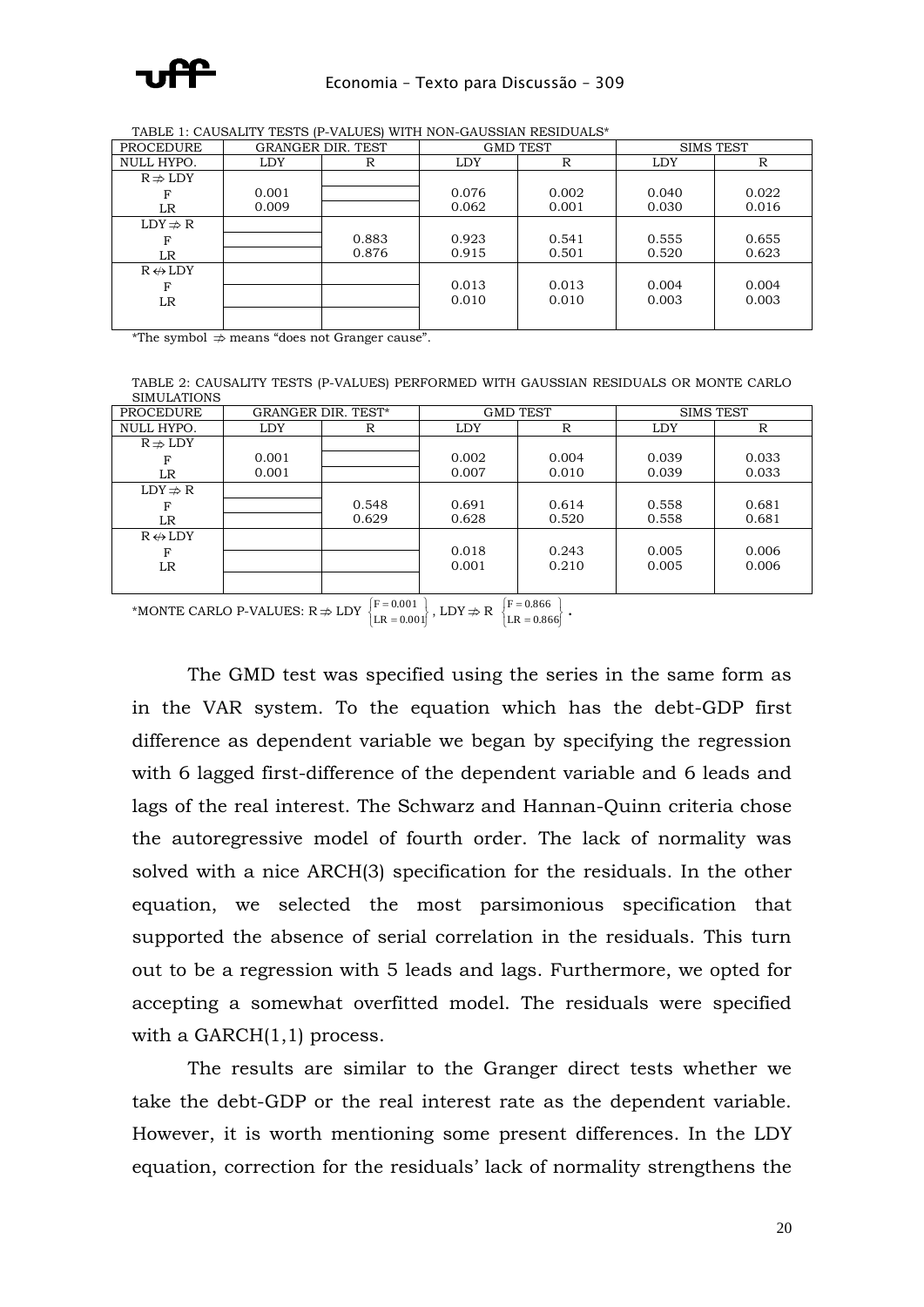

| <b>PROCEDURE</b>        | <b>GRANGER DIR. TEST</b> |       | <b>GMD TEST</b> |       | <b>SIMS TEST</b> |       |
|-------------------------|--------------------------|-------|-----------------|-------|------------------|-------|
| NULL HYPO.              | <b>LDY</b>               | R     | R<br><b>LDY</b> |       | <b>LDY</b>       | R     |
| $R \nRightarrow LDY$    |                          |       |                 |       |                  |       |
| F                       | 0.001                    |       | 0.076           | 0.002 | 0.040            | 0.022 |
| LR                      | 0.009                    |       | 0.062           | 0.001 | 0.030            | 0.016 |
| $LDY \nRightarrow R$    |                          |       |                 |       |                  |       |
| F                       |                          | 0.883 | 0.923           | 0.541 | 0.555            | 0.655 |
| LR                      |                          | 0.876 | 0.915           | 0.501 | 0.520            | 0.623 |
| $R \leftrightarrow LDY$ |                          |       |                 |       |                  |       |
| F                       |                          |       | 0.013           | 0.013 | 0.004            | 0.004 |
| LR                      |                          |       | 0.010           | 0.010 | 0.003            | 0.003 |
|                         |                          |       |                 |       |                  |       |

TABLE 1: CAUSALITY TESTS (P-VALUES) WITH NON-GAUSSIAN RESIDUALS\*

\*The symbol  $\Rightarrow$  means "does not Granger cause".

TABLE 2: CAUSALITY TESTS (P-VALUES) PERFORMED WITH GAUSSIAN RESIDUALS OR MONTE CARLO SIMULATIONS

| PROCEDURE               |            | <b>GRANGER DIR. TEST*</b> | <b>GMD TEST</b> |                           | <b>SIMS TEST</b> |       |
|-------------------------|------------|---------------------------|-----------------|---------------------------|------------------|-------|
| NULL HYPO.              | <b>LDY</b> | R                         | <b>LDY</b>      | R                         |                  | R     |
| $R \nRightarrow LDY$    |            |                           |                 |                           |                  |       |
|                         | 0.001      |                           | 0.002           | 0.004                     | 0.039            | 0.033 |
| LR                      | 0.001      |                           | 0.007           | 0.010                     | 0.039            | 0.033 |
| $LDY \nRightarrow R$    |            |                           |                 |                           |                  |       |
| F                       |            | 0.548                     | 0.691           | 0.614                     | 0.558            | 0.681 |
| LR                      |            | 0.629                     | 0.628           | 0.520                     | 0.558            | 0.681 |
| $R \leftrightarrow LDY$ |            |                           |                 |                           |                  |       |
| F                       |            |                           | 0.018           | 0.243                     | 0.005            | 0.006 |
| LR                      |            |                           | 0.001           | 0.210                     | 0.005            | 0.006 |
|                         |            |                           |                 |                           |                  |       |
|                         |            | $\sim$ $\sim$             |                 | $\epsilon$ and $\epsilon$ |                  |       |

\*MONTE CARLO P-VALUES:  $R \Rightarrow LDY \begin{cases} F = 0.001 \\ LR = 0.001 \end{cases}$  $\left\{$  $\overline{a}$ =  $LR = 0.001$  $F = 0.001$ <br>  $LR = 0.001$ ,  $LDY \nRightarrow R$   $\begin{cases} F = 0.866 \\ LR = 0.866 \end{cases}$  $\left\{$ =  $\overline{a}$  $LR = 0.866$  $F = 0.866$ 

The GMD test was specified using the series in the same form as in the VAR system. To the equation which has the debt-GDP first difference as dependent variable we began by specifying the regression with 6 lagged first-difference of the dependent variable and 6 leads and lags of the real interest. The Schwarz and Hannan-Quinn criteria chose the autoregressive model of fourth order. The lack of normality was solved with a nice ARCH(3) specification for the residuals. In the other equation, we selected the most parsimonious specification that supported the absence of serial correlation in the residuals. This turn out to be a regression with 5 leads and lags. Furthermore, we opted for accepting a somewhat overfitted model. The residuals were specified with a GARCH(1,1) process.

The results are similar to the Granger direct tests whether we take the debt-GDP or the real interest rate as the dependent variable. However, it is worth mentioning some present differences. In the LDY equation, correction for the residuals' lack of normality strengthens the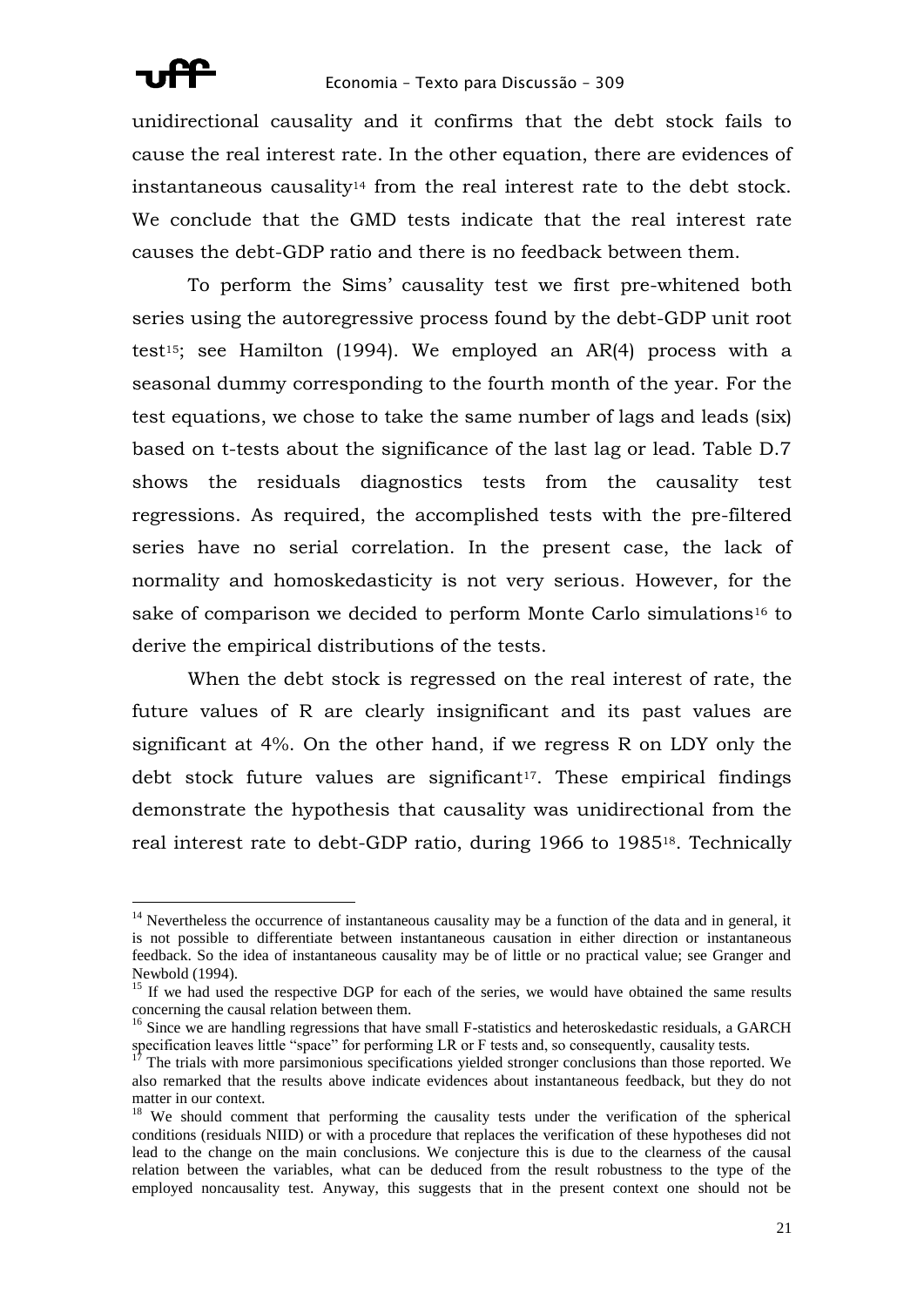

unidirectional causality and it confirms that the debt stock fails to cause the real interest rate. In the other equation, there are evidences of instantaneous causality<sup>14</sup> from the real interest rate to the debt stock. We conclude that the GMD tests indicate that the real interest rate causes the debt-GDP ratio and there is no feedback between them.

To perform the Sims' causality test we first pre-whitened both series using the autoregressive process found by the debt-GDP unit root test15; see Hamilton (1994). We employed an AR(4) process with a seasonal dummy corresponding to the fourth month of the year. For the test equations, we chose to take the same number of lags and leads (six) based on t-tests about the significance of the last lag or lead. Table D.7 shows the residuals diagnostics tests from the causality test regressions. As required, the accomplished tests with the pre-filtered series have no serial correlation. In the present case, the lack of normality and homoskedasticity is not very serious. However, for the sake of comparison we decided to perform Monte Carlo simulations<sup>16</sup> to derive the empirical distributions of the tests.

When the debt stock is regressed on the real interest of rate, the future values of R are clearly insignificant and its past values are significant at 4%. On the other hand, if we regress R on LDY only the debt stock future values are significant<sup>17</sup>. These empirical findings demonstrate the hypothesis that causality was unidirectional from the real interest rate to debt-GDP ratio, during 1966 to 198518. Technically

<sup>&</sup>lt;sup>14</sup> Nevertheless the occurrence of instantaneous causality may be a function of the data and in general, it is not possible to differentiate between instantaneous causation in either direction or instantaneous feedback. So the idea of instantaneous causality may be of little or no practical value; see Granger and Newbold (1994).

<sup>&</sup>lt;sup>15</sup> If we had used the respective DGP for each of the series, we would have obtained the same results concerning the causal relation between them.

<sup>&</sup>lt;sup>16</sup> Since we are handling regressions that have small F-statistics and heteroskedastic residuals, a GARCH specification leaves little "space" for performing LR or F tests and, so consequently, causality tests.

<sup>&</sup>lt;sup>17</sup> The trials with more parsimonious specifications yielded stronger conclusions than those reported. We also remarked that the results above indicate evidences about instantaneous feedback, but they do not matter in our context.

<sup>&</sup>lt;sup>18</sup> We should comment that performing the causality tests under the verification of the spherical conditions (residuals NIID) or with a procedure that replaces the verification of these hypotheses did not lead to the change on the main conclusions. We conjecture this is due to the clearness of the causal relation between the variables, what can be deduced from the result robustness to the type of the employed noncausality test. Anyway, this suggests that in the present context one should not be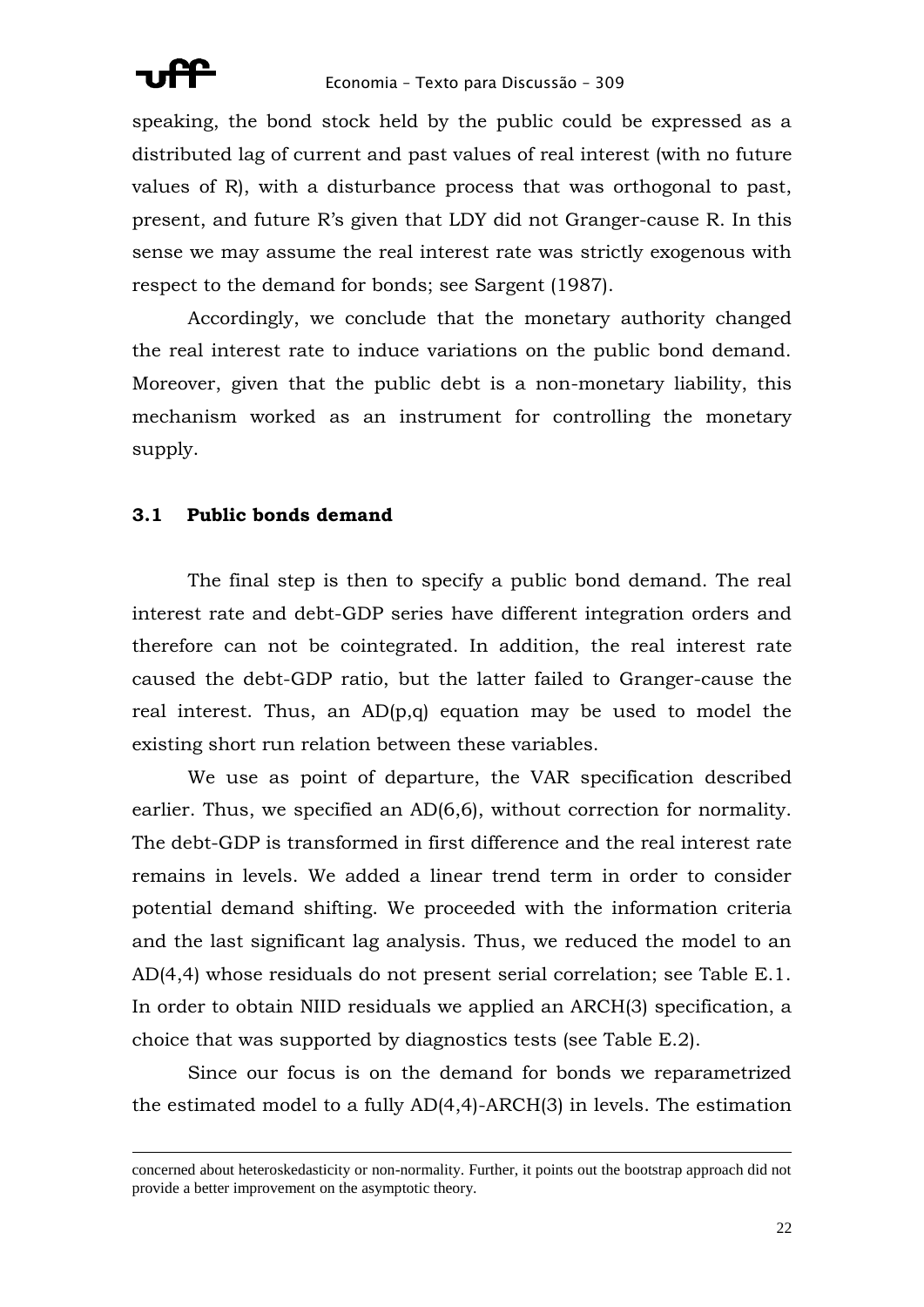

speaking, the bond stock held by the public could be expressed as a distributed lag of current and past values of real interest (with no future values of R), with a disturbance process that was orthogonal to past, present, and future R's given that LDY did not Granger-cause R. In this sense we may assume the real interest rate was strictly exogenous with respect to the demand for bonds; see Sargent (1987).

Accordingly, we conclude that the monetary authority changed the real interest rate to induce variations on the public bond demand. Moreover, given that the public debt is a non-monetary liability, this mechanism worked as an instrument for controlling the monetary supply.

## **3.1 Public bonds demand**

<u>.</u>

The final step is then to specify a public bond demand. The real interest rate and debt-GDP series have different integration orders and therefore can not be cointegrated. In addition, the real interest rate caused the debt-GDP ratio, but the latter failed to Granger-cause the real interest. Thus, an AD(p,q) equation may be used to model the existing short run relation between these variables.

We use as point of departure, the VAR specification described earlier. Thus, we specified an AD(6,6), without correction for normality. The debt-GDP is transformed in first difference and the real interest rate remains in levels. We added a linear trend term in order to consider potential demand shifting. We proceeded with the information criteria and the last significant lag analysis. Thus, we reduced the model to an AD(4,4) whose residuals do not present serial correlation; see Table E.1. In order to obtain NIID residuals we applied an ARCH(3) specification, a choice that was supported by diagnostics tests (see Table E.2).

Since our focus is on the demand for bonds we reparametrized the estimated model to a fully AD(4,4)-ARCH(3) in levels. The estimation

concerned about heteroskedasticity or non-normality. Further, it points out the bootstrap approach did not provide a better improvement on the asymptotic theory.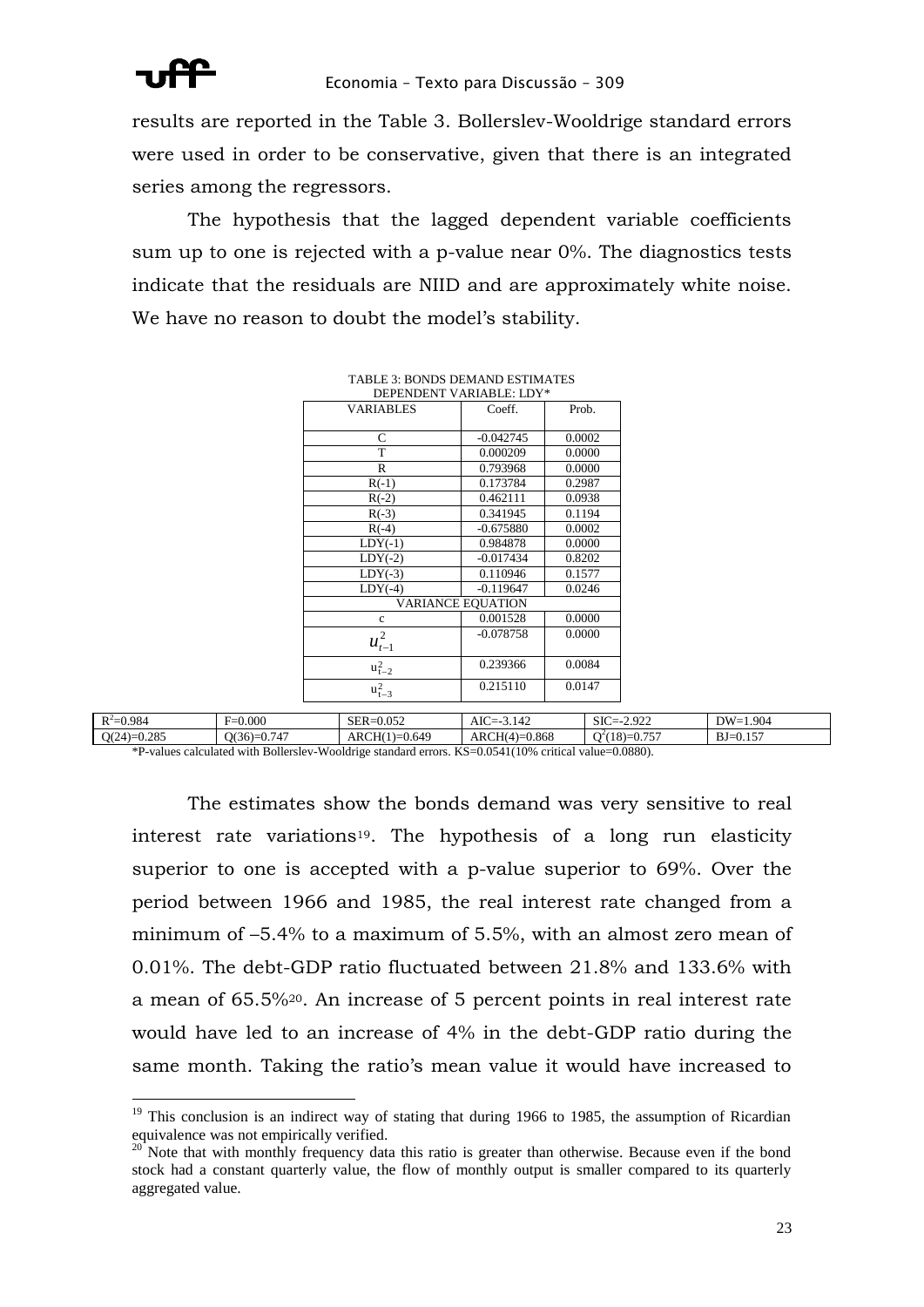

results are reported in the Table 3. Bollerslev-Wooldrige standard errors were used in order to be conservative, given that there is an integrated series among the regressors.

The hypothesis that the lagged dependent variable coefficients sum up to one is rejected with a p-value near 0%. The diagnostics tests indicate that the residuals are NIID and are approximately white noise. We have no reason to doubt the model's stability.

| DEPENDENT VARIABLE: LDY*<br>Coeff.<br>$-0.042745$<br>0.000209<br>0.793968<br>0.173784<br>0.462111 | Prob.<br>0.0002<br>0.0000<br>0.0000<br>0.2987                      |
|---------------------------------------------------------------------------------------------------|--------------------------------------------------------------------|
|                                                                                                   |                                                                    |
|                                                                                                   |                                                                    |
|                                                                                                   |                                                                    |
|                                                                                                   |                                                                    |
|                                                                                                   |                                                                    |
|                                                                                                   |                                                                    |
|                                                                                                   | 0.0938                                                             |
| 0.341945                                                                                          | 0.1194                                                             |
| $-0.675880$                                                                                       | 0.0002                                                             |
| 0.984878                                                                                          | 0.0000                                                             |
| $-0.017434$                                                                                       | 0.8202                                                             |
| 0.110946                                                                                          | 0.1577                                                             |
|                                                                                                   | 0.0246                                                             |
|                                                                                                   |                                                                    |
| 0.001528                                                                                          | 0.0000                                                             |
|                                                                                                   | 0.0000                                                             |
| 0.239366                                                                                          | 0.0084                                                             |
|                                                                                                   | 0.0147                                                             |
|                                                                                                   | $-0.119647$<br><b>VARIANCE EOUATION</b><br>$-0.078758$<br>0.215110 |

| <b>TABLE 3: BONDS DEMAND ESTIMATES</b> |                       |  |  |  |
|----------------------------------------|-----------------------|--|--|--|
| DEPENDENT VARIABLE: LDY*               |                       |  |  |  |
| VA DIA DI EC                           | $C_{\alpha\alpha}$ ff |  |  |  |

| $R^2 = 0.984$                                                                                                                                                                                                                                                                                                                                                                                                                                                                         | $F=0.000$                        | $SER = 0.052$           | AIC=-3<br>3.142             | $SIC = -$<br>$-2.922$      | $DW=1.904$              |
|---------------------------------------------------------------------------------------------------------------------------------------------------------------------------------------------------------------------------------------------------------------------------------------------------------------------------------------------------------------------------------------------------------------------------------------------------------------------------------------|----------------------------------|-------------------------|-----------------------------|----------------------------|-------------------------|
| $Q(24)=0.285$                                                                                                                                                                                                                                                                                                                                                                                                                                                                         | O(36)<br>$\sim$ $ -$<br>$= 0.74$ | ARCH(1)<br>$1) = 0.649$ | $(-) = 0.868$<br>$ARCH(4)=$ | $-0.757$<br>$Q^2(18)=0.75$ | 157<br>$BJ =$<br>-U.I.J |
| 0.0000<br>$\mathbf{L}^T \mathbf{C} = \mathbf{C} \cdot \mathbf{C} \cdot \mathbf{C} + \mathbf{C} \cdot \mathbf{C} \cdot \mathbf{C} \cdot \mathbf{C} \cdot \mathbf{C} \cdot \mathbf{C} \cdot \mathbf{C} \cdot \mathbf{C} \cdot \mathbf{C} \cdot \mathbf{C} \cdot \mathbf{C} \cdot \mathbf{C} \cdot \mathbf{C} \cdot \mathbf{C} \cdot \mathbf{C} \cdot \mathbf{C} \cdot \mathbf{C} \cdot \mathbf{C} \cdot \mathbf{C} \cdot \mathbf{C} \cdot \mathbf{C} \cdot \mathbf{C} \cdot \mathbf{C}$ |                                  |                         |                             |                            |                         |

\*P-values calculated with Bollerslev-Wooldrige standard errors. KS=0.0541(10% critical value=0.0880).

The estimates show the bonds demand was very sensitive to real interest rate variations<sup>19</sup>. The hypothesis of a long run elasticity superior to one is accepted with a p-value superior to 69%. Over the period between 1966 and 1985, the real interest rate changed from a minimum of –5.4% to a maximum of 5.5%, with an almost zero mean of 0.01%. The debt-GDP ratio fluctuated between 21.8% and 133.6% with a mean of 65.5%20. An increase of 5 percent points in real interest rate would have led to an increase of 4% in the debt-GDP ratio during the same month. Taking the ratio's mean value it would have increased to

 $19$  This conclusion is an indirect way of stating that during 1966 to 1985, the assumption of Ricardian equivalence was not empirically verified.

Note that with monthly frequency data this ratio is greater than otherwise. Because even if the bond stock had a constant quarterly value, the flow of monthly output is smaller compared to its quarterly aggregated value.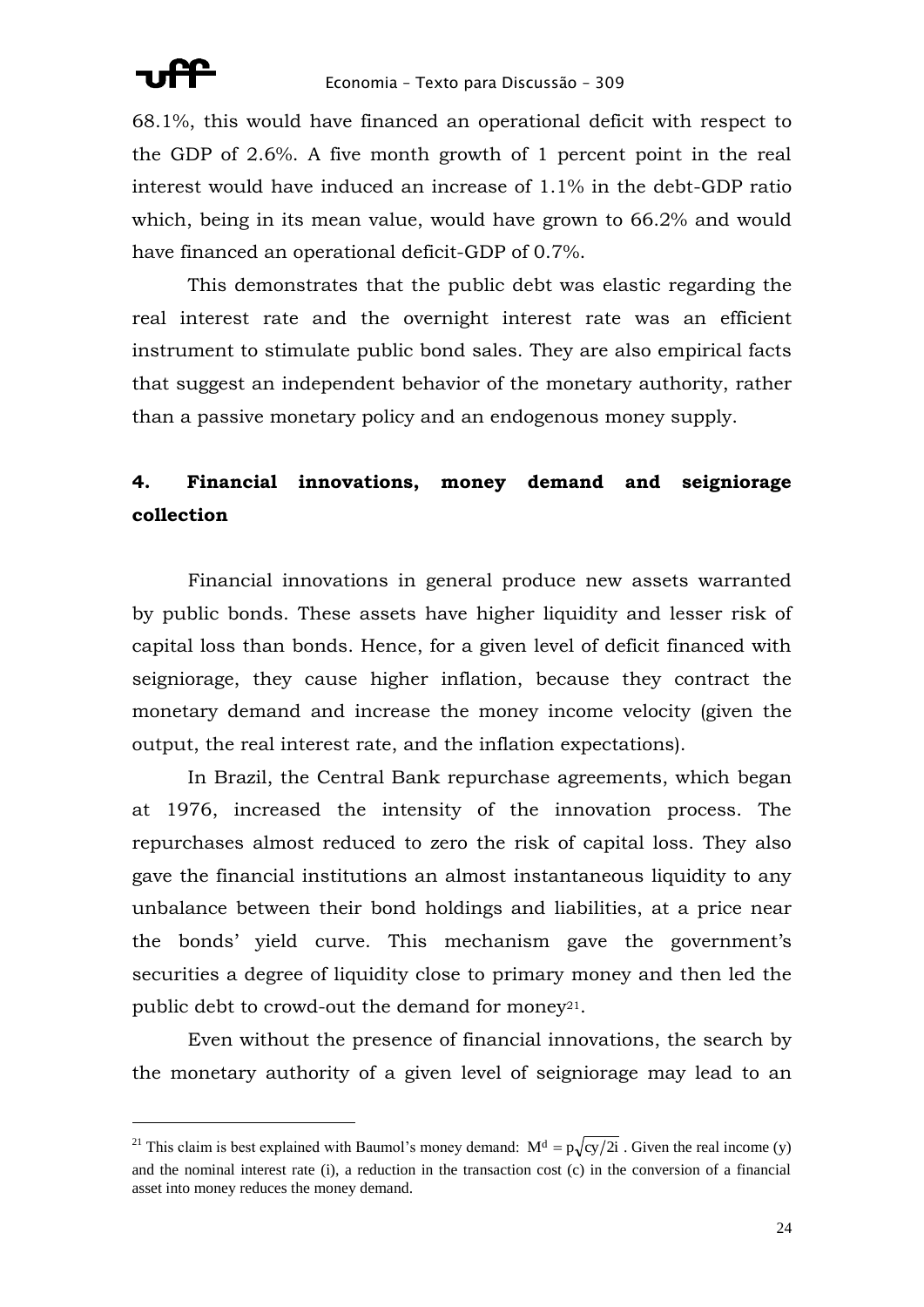1

68.1%, this would have financed an operational deficit with respect to the GDP of 2.6%. A five month growth of 1 percent point in the real interest would have induced an increase of 1.1% in the debt-GDP ratio which, being in its mean value, would have grown to 66.2% and would have financed an operational deficit-GDP of 0.7%.

This demonstrates that the public debt was elastic regarding the real interest rate and the overnight interest rate was an efficient instrument to stimulate public bond sales. They are also empirical facts that suggest an independent behavior of the monetary authority, rather than a passive monetary policy and an endogenous money supply.

# **4. Financial innovations, money demand and seigniorage collection**

Financial innovations in general produce new assets warranted by public bonds. These assets have higher liquidity and lesser risk of capital loss than bonds. Hence, for a given level of deficit financed with seigniorage, they cause higher inflation, because they contract the monetary demand and increase the money income velocity (given the output, the real interest rate, and the inflation expectations).

In Brazil, the Central Bank repurchase agreements, which began at 1976, increased the intensity of the innovation process. The repurchases almost reduced to zero the risk of capital loss. They also gave the financial institutions an almost instantaneous liquidity to any unbalance between their bond holdings and liabilities, at a price near the bonds' yield curve. This mechanism gave the government's securities a degree of liquidity close to primary money and then led the public debt to crowd-out the demand for money<sup>21</sup>.

Even without the presence of financial innovations, the search by the monetary authority of a given level of seigniorage may lead to an

<sup>&</sup>lt;sup>21</sup> This claim is best explained with Baumol's money demand:  $M<sup>d</sup> = p\sqrt{cy/2i}$ . Given the real income (y) and the nominal interest rate (i), a reduction in the transaction cost (c) in the conversion of a financial asset into money reduces the money demand.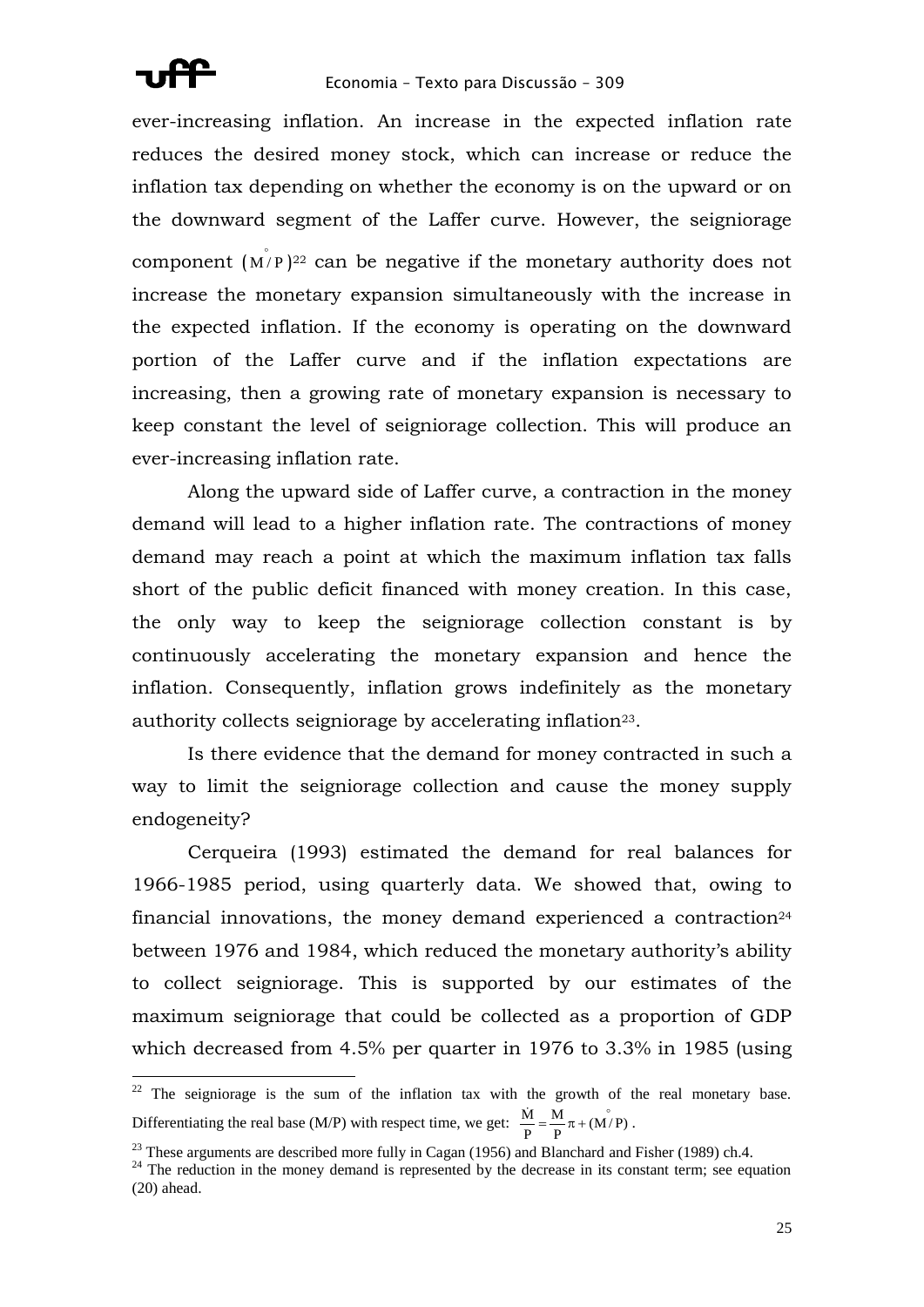

1

ever-increasing inflation. An increase in the expected inflation rate reduces the desired money stock, which can increase or reduce the inflation tax depending on whether the economy is on the upward or on the downward segment of the Laffer curve. However, the seigniorage component  $(M/P)^{22}$  can be negative if the monetary authority does not increase the monetary expansion simultaneously with the increase in the expected inflation. If the economy is operating on the downward portion of the Laffer curve and if the inflation expectations are increasing, then a growing rate of monetary expansion is necessary to keep constant the level of seigniorage collection. This will produce an ever-increasing inflation rate.

Along the upward side of Laffer curve, a contraction in the money demand will lead to a higher inflation rate. The contractions of money demand may reach a point at which the maximum inflation tax falls short of the public deficit financed with money creation. In this case, the only way to keep the seigniorage collection constant is by continuously accelerating the monetary expansion and hence the inflation. Consequently, inflation grows indefinitely as the monetary authority collects seigniorage by accelerating inflation23.

Is there evidence that the demand for money contracted in such a way to limit the seigniorage collection and cause the money supply endogeneity?

Cerqueira (1993) estimated the demand for real balances for 1966-1985 period, using quarterly data. We showed that, owing to financial innovations, the money demand experienced a contraction<sup>24</sup> between 1976 and 1984, which reduced the monetary authority's ability to collect seigniorage. This is supported by our estimates of the maximum seigniorage that could be collected as a proportion of GDP which decreased from 4.5% per quarter in 1976 to 3.3% in 1985 (using

 $22$  The seigniorage is the sum of the inflation tax with the growth of the real monetary base. Differentiating the real base (M/P) with respect time, we get:  $\frac{M}{P} = \frac{M}{P} \pi + (M/P)$ M P  $\frac{\dot{M}}{R} = \frac{M}{R} \pi + (\dot{M/P})$ .

 $23$  These arguments are described more fully in Cagan (1956) and Blanchard and Fisher (1989) ch.4.

<sup>&</sup>lt;sup>24</sup> The reduction in the money demand is represented by the decrease in its constant term; see equation (20) ahead.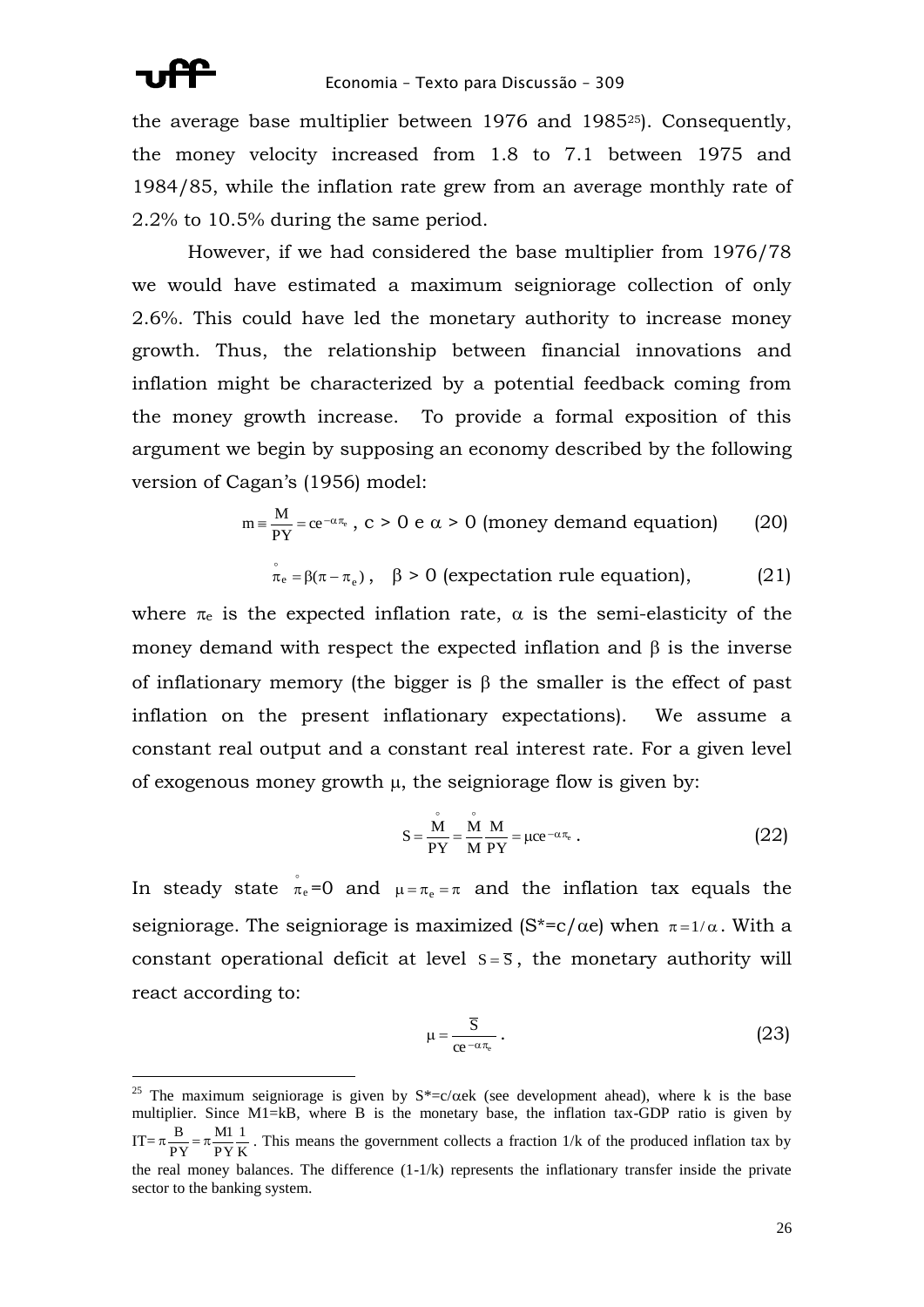the average base multiplier between 1976 and 198525). Consequently, the money velocity increased from 1.8 to 7.1 between 1975 and 1984/85, while the inflation rate grew from an average monthly rate of 2.2% to 10.5% during the same period.

However, if we had considered the base multiplier from 1976/78 we would have estimated a maximum seigniorage collection of only 2.6%. This could have led the monetary authority to increase money growth. Thus, the relationship between financial innovations and inflation might be characterized by a potential feedback coming from the money growth increase. To provide a formal exposition of this argument we begin by supposing an economy described by the following version of Cagan's (1956) model:

$$
m = \frac{M}{PY} = ce^{-\alpha \pi_e}, c > 0 e \alpha > 0 \text{ (money demand equation)} \qquad (20)
$$
  

$$
\pi_e = \beta(\pi - \pi_e), \quad \beta > 0 \text{ (expectation rule equation)}, \qquad (21)
$$

where  $\pi_e$  is the expected inflation rate,  $\alpha$  is the semi-elasticity of the money demand with respect the expected inflation and  $\beta$  is the inverse of inflationary memory (the bigger is  $\beta$  the smaller is the effect of past inflation on the present inflationary expectations). We assume a constant real output and a constant real interest rate. For a given level of exogenous money growth  $\mu$ , the seigniorage flow is given by:

$$
S = \frac{\overset{\circ}{M}}{PY} = \frac{\overset{\circ}{M}}{M} \frac{M}{PY} = \mu ce^{-\alpha \pi_e} \ . \tag{22}
$$

In steady state  $\pi_e$  $\bar{\pi}_e$ =0 and  $\mu = \pi_e = \pi$  and the inflation tax equals the seigniorage. The seigniorage is maximized  $(S^*=c/\alpha e)$  when  $\pi=1/\alpha$ . With a constant operational deficit at level  $s = \overline{s}$ , the monetary authority will react according to:

$$
\mu = \frac{\overline{S}}{ce^{-\alpha \pi_e}} \,. \tag{23}
$$

<sup>&</sup>lt;sup>25</sup> The maximum seigniorage is given by  $S^* = c/\alpha e k$  (see development ahead), where k is the base multiplier. Since M1=kB, where B is the monetary base, the inflation tax-GDP ratio is given by  $IT = \pi \frac{B}{PY} = \pi \frac{M}{PY} \frac{1}{K}$ 1 PY M1 PY  $\pi \frac{B}{2\pi} = \pi \frac{M_1}{2\pi} \frac{1}{r}$ . This means the government collects a fraction 1/k of the produced inflation tax by the real money balances. The difference (1-1/k) represents the inflationary transfer inside the private sector to the banking system.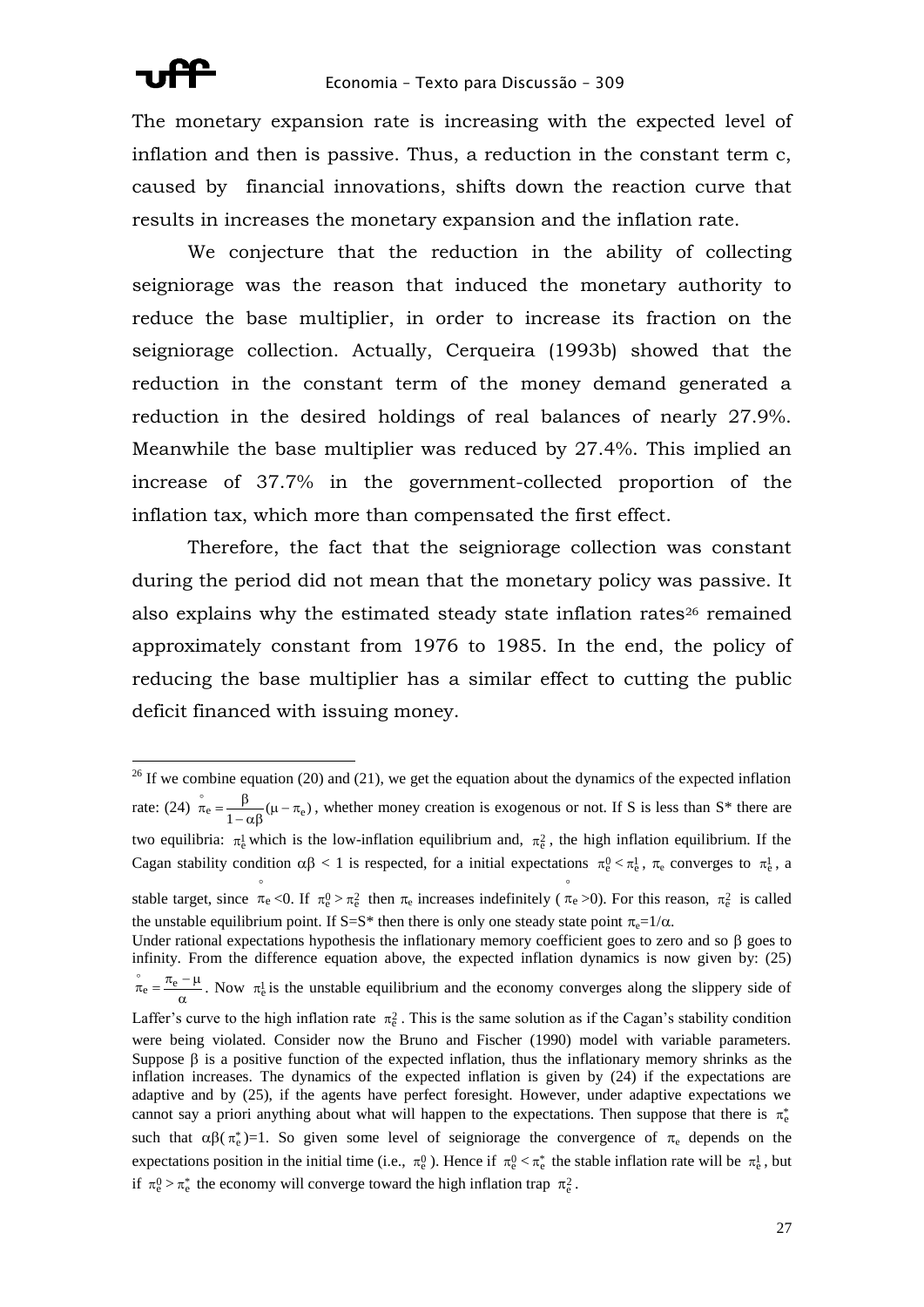The monetary expansion rate is increasing with the expected level of inflation and then is passive. Thus, a reduction in the constant term c, caused by financial innovations, shifts down the reaction curve that results in increases the monetary expansion and the inflation rate.

We conjecture that the reduction in the ability of collecting seigniorage was the reason that induced the monetary authority to reduce the base multiplier, in order to increase its fraction on the seigniorage collection. Actually, Cerqueira (1993b) showed that the reduction in the constant term of the money demand generated a reduction in the desired holdings of real balances of nearly 27.9%. Meanwhile the base multiplier was reduced by 27.4%. This implied an increase of 37.7% in the government-collected proportion of the inflation tax, which more than compensated the first effect.

Therefore, the fact that the seigniorage collection was constant during the period did not mean that the monetary policy was passive. It also explains why the estimated steady state inflation rates<sup>26</sup> remained approximately constant from 1976 to 1985. In the end, the policy of reducing the base multiplier has a similar effect to cutting the public deficit financed with issuing money.

<sup>&</sup>lt;u>.</u>  $26$  If we combine equation (20) and (21), we get the equation about the dynamics of the expected inflation rate: (24)  $\pi_e = \frac{P}{1 - \alpha \beta} (\mu - \pi_e)$  $\int_{\pi_e}^{\pi_e} = \frac{\beta}{\sqrt{2\pi}} (\mu - \pi_e)$ , whether money creation is exogenous or not. If S is less than S<sup>\*</sup> there are two equilibria:  $\pi_e^1$  which is the low-inflation equilibrium and,  $\pi_e^2$ , the high inflation equilibrium. If the Cagan stability condition  $\alpha\beta < 1$  is respected, for a initial expectations  $\pi_e^0 < \pi_e^1$ ,  $\pi_e$  converges to  $\pi_e^1$ , a

stable target, since  $\pi_e$  $\pi_e$  <0. If  $\pi_e^0 > \pi_e^2$  then  $\pi_e$  increases indefinitely ( $\pi_e$ )  $\pi_e > 0$ ). For this reason,  $\pi_e^2$  is called the unstable equilibrium point. If S=S<sup>\*</sup> then there is only one steady state point  $\pi_e=1/\alpha$ .

Under rational expectations hypothesis the inflationary memory coefficient goes to zero and so  $\beta$  goes to infinity. From the difference equation above, the expected inflation dynamics is now given by: (25)  $\alpha$  $\sigma_{\rm e} = \frac{\pi_{\rm e} - \mu}{\sigma}$  $\bar{m}_e = \frac{\pi_e - \mu}{m_e}$ . Now  $\pi_e^1$  is the unstable equilibrium and the economy converges along the slippery side of Laffer's curve to the high inflation rate  $\pi_e^2$ . This is the same solution as if the Cagan's stability condition were being violated. Consider now the Bruno and Fischer (1990) model with variable parameters. Suppose  $\beta$  is a positive function of the expected inflation, thus the inflationary memory shrinks as the inflation increases. The dynamics of the expected inflation is given by (24) if the expectations are adaptive and by (25), if the agents have perfect foresight. However, under adaptive expectations we cannot say a priori anything about what will happen to the expectations. Then suppose that there is  $\pi_e^*$ such that  $\alpha\beta(\pi_e^*)=1$ . So given some level of seigniorage the convergence of  $\pi_e$  depends on the expectations position in the initial time (i.e.,  $\pi_e^0$ ). Hence if  $\pi_e^0 < \pi_e^*$  the stable inflation rate will be  $\pi_e^1$ , but if  $\pi_e^0 > \pi_e^*$  the economy will converge toward the high inflation trap  $\pi_e^2$ .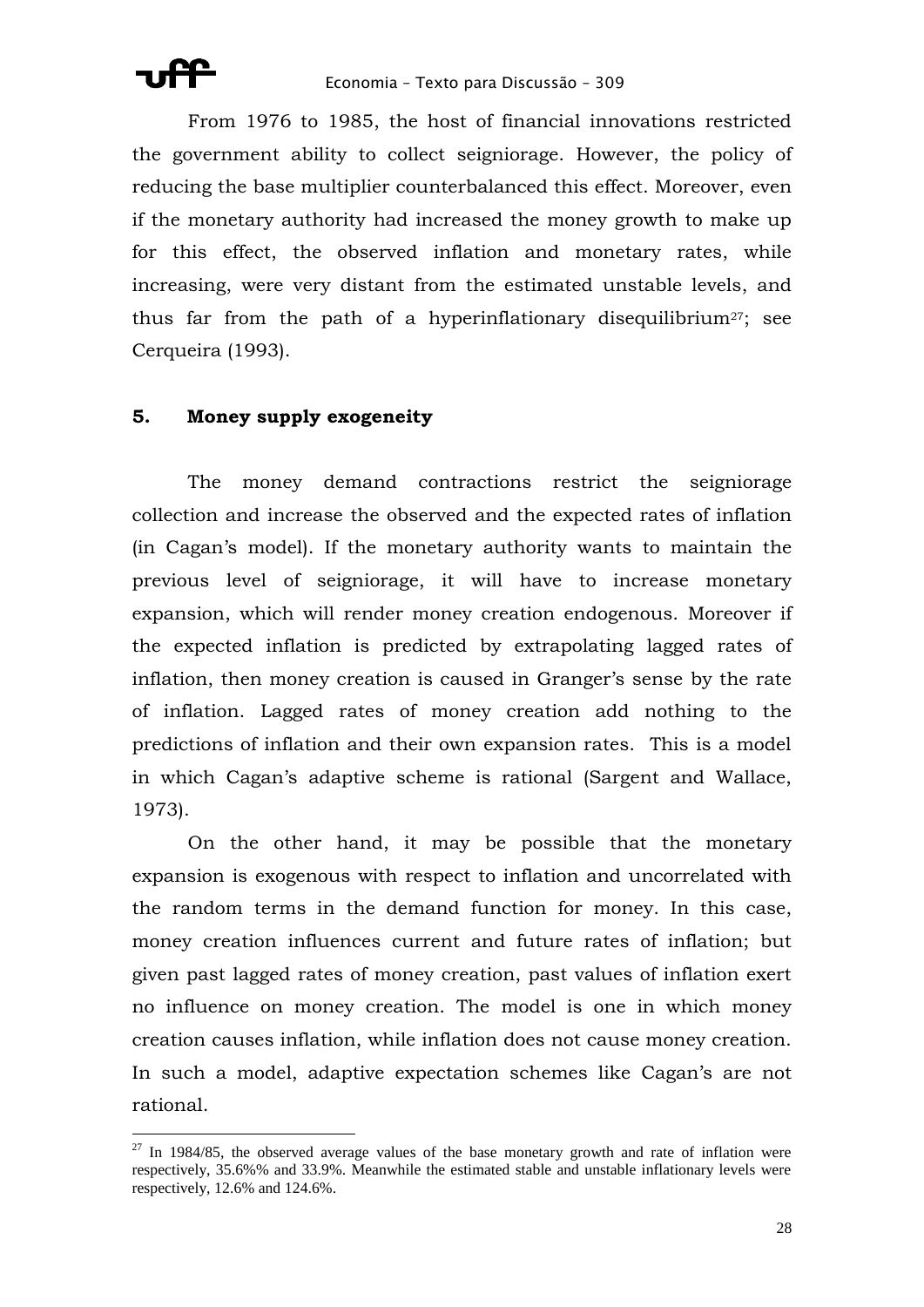

From 1976 to 1985, the host of financial innovations restricted the government ability to collect seigniorage. However, the policy of reducing the base multiplier counterbalanced this effect. Moreover, even if the monetary authority had increased the money growth to make up for this effect, the observed inflation and monetary rates, while increasing, were very distant from the estimated unstable levels, and thus far from the path of a hyperinflationary disequilibrium<sup>27</sup>; see Cerqueira (1993).

### **5. Money supply exogeneity**

The money demand contractions restrict the seigniorage collection and increase the observed and the expected rates of inflation (in Cagan's model). If the monetary authority wants to maintain the previous level of seigniorage, it will have to increase monetary expansion, which will render money creation endogenous. Moreover if the expected inflation is predicted by extrapolating lagged rates of inflation, then money creation is caused in Granger's sense by the rate of inflation. Lagged rates of money creation add nothing to the predictions of inflation and their own expansion rates. This is a model in which Cagan's adaptive scheme is rational (Sargent and Wallace, 1973).

On the other hand, it may be possible that the monetary expansion is exogenous with respect to inflation and uncorrelated with the random terms in the demand function for money. In this case, money creation influences current and future rates of inflation; but given past lagged rates of money creation, past values of inflation exert no influence on money creation. The model is one in which money creation causes inflation, while inflation does not cause money creation. In such a model, adaptive expectation schemes like Cagan's are not rational.

 $27$  In 1984/85, the observed average values of the base monetary growth and rate of inflation were respectively, 35.6%% and 33.9%. Meanwhile the estimated stable and unstable inflationary levels were respectively, 12.6% and 124.6%.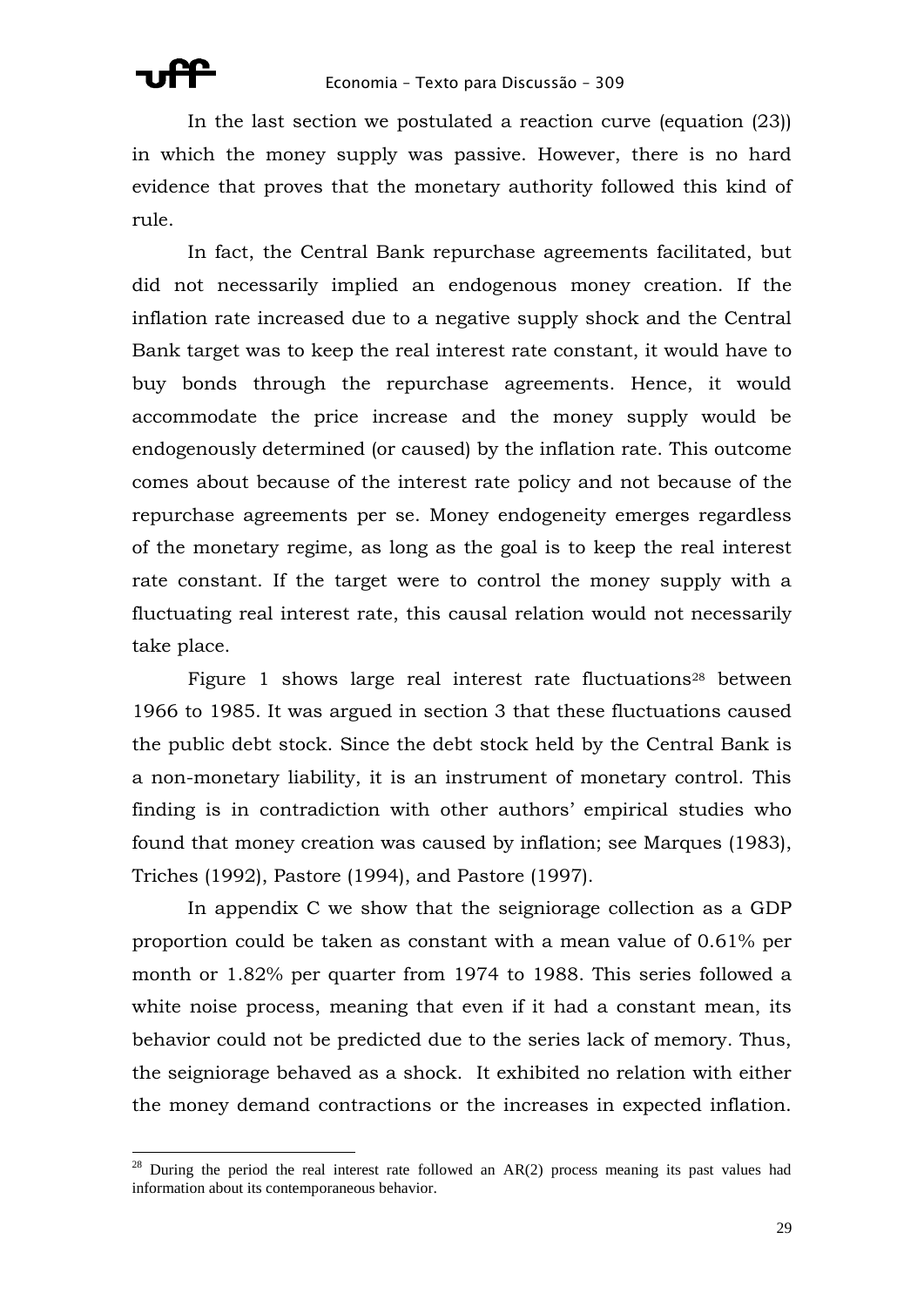In the last section we postulated a reaction curve (equation (23)) in which the money supply was passive. However, there is no hard evidence that proves that the monetary authority followed this kind of rule.

In fact, the Central Bank repurchase agreements facilitated, but did not necessarily implied an endogenous money creation. If the inflation rate increased due to a negative supply shock and the Central Bank target was to keep the real interest rate constant, it would have to buy bonds through the repurchase agreements. Hence, it would accommodate the price increase and the money supply would be endogenously determined (or caused) by the inflation rate. This outcome comes about because of the interest rate policy and not because of the repurchase agreements per se. Money endogeneity emerges regardless of the monetary regime, as long as the goal is to keep the real interest rate constant. If the target were to control the money supply with a fluctuating real interest rate, this causal relation would not necessarily take place.

Figure 1 shows large real interest rate fluctuations<sup>28</sup> between 1966 to 1985. It was argued in section 3 that these fluctuations caused the public debt stock. Since the debt stock held by the Central Bank is a non-monetary liability, it is an instrument of monetary control. This finding is in contradiction with other authors' empirical studies who found that money creation was caused by inflation; see Marques (1983), Triches (1992), Pastore (1994), and Pastore (1997).

In appendix C we show that the seigniorage collection as a GDP proportion could be taken as constant with a mean value of 0.61% per month or 1.82% per quarter from 1974 to 1988. This series followed a white noise process, meaning that even if it had a constant mean, its behavior could not be predicted due to the series lack of memory. Thus, the seigniorage behaved as a shock. It exhibited no relation with either the money demand contractions or the increases in expected inflation.

 $28$  During the period the real interest rate followed an AR(2) process meaning its past values had information about its contemporaneous behavior.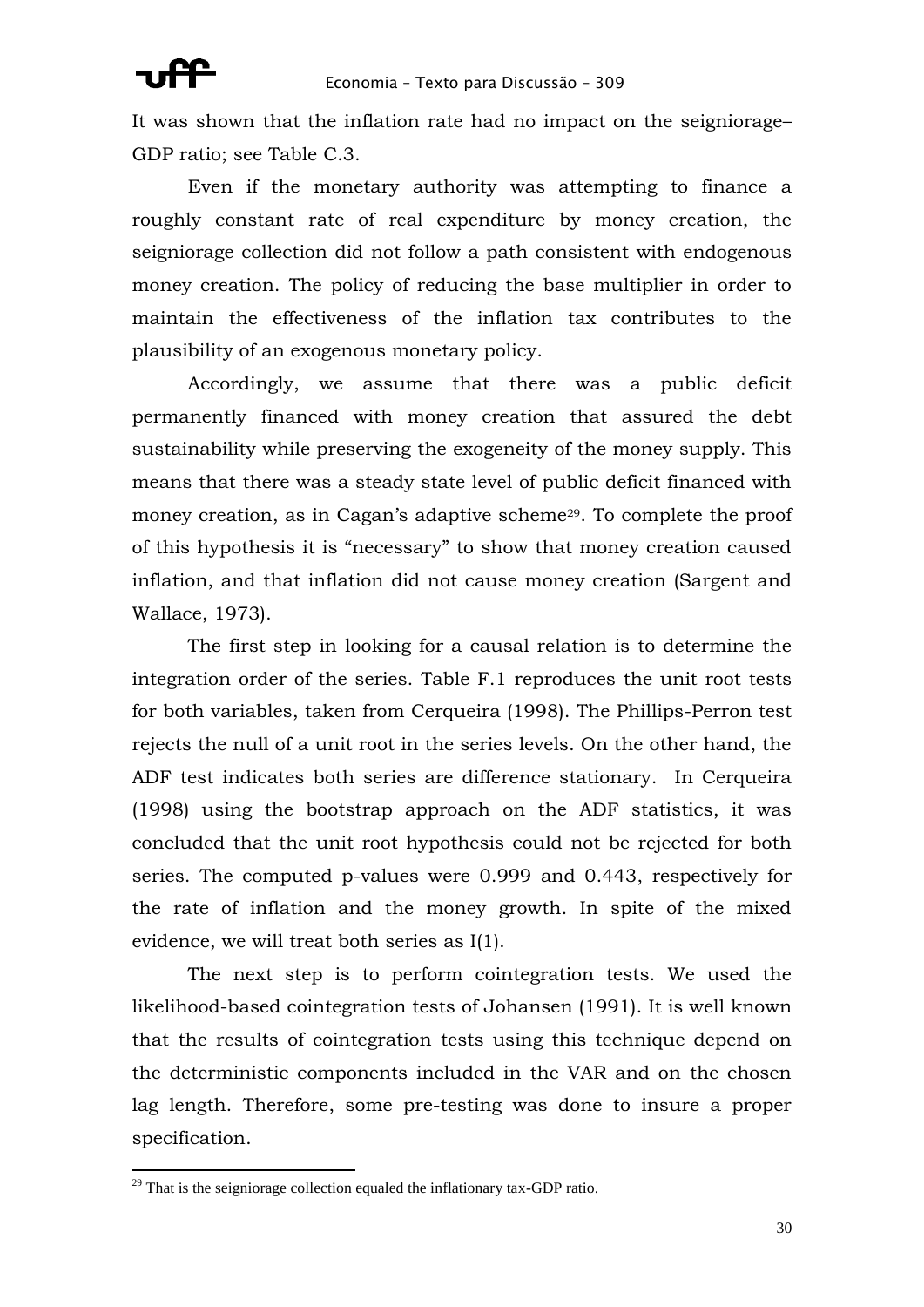It was shown that the inflation rate had no impact on the seigniorage– GDP ratio; see Table C.3.

Even if the monetary authority was attempting to finance a roughly constant rate of real expenditure by money creation, the seigniorage collection did not follow a path consistent with endogenous money creation. The policy of reducing the base multiplier in order to maintain the effectiveness of the inflation tax contributes to the plausibility of an exogenous monetary policy.

Accordingly, we assume that there was a public deficit permanently financed with money creation that assured the debt sustainability while preserving the exogeneity of the money supply. This means that there was a steady state level of public deficit financed with money creation, as in Cagan's adaptive scheme<sup>29</sup>. To complete the proof of this hypothesis it is "necessary" to show that money creation caused inflation, and that inflation did not cause money creation (Sargent and Wallace, 1973).

The first step in looking for a causal relation is to determine the integration order of the series. Table F.1 reproduces the unit root tests for both variables, taken from Cerqueira (1998). The Phillips-Perron test rejects the null of a unit root in the series levels. On the other hand, the ADF test indicates both series are difference stationary. In Cerqueira (1998) using the bootstrap approach on the ADF statistics, it was concluded that the unit root hypothesis could not be rejected for both series. The computed p-values were 0.999 and 0.443, respectively for the rate of inflation and the money growth. In spite of the mixed evidence, we will treat both series as I(1).

The next step is to perform cointegration tests. We used the likelihood-based cointegration tests of Johansen (1991). It is well known that the results of cointegration tests using this technique depend on the deterministic components included in the VAR and on the chosen lag length. Therefore, some pre-testing was done to insure a proper specification.

1

 $29$  That is the seigniorage collection equaled the inflationary tax-GDP ratio.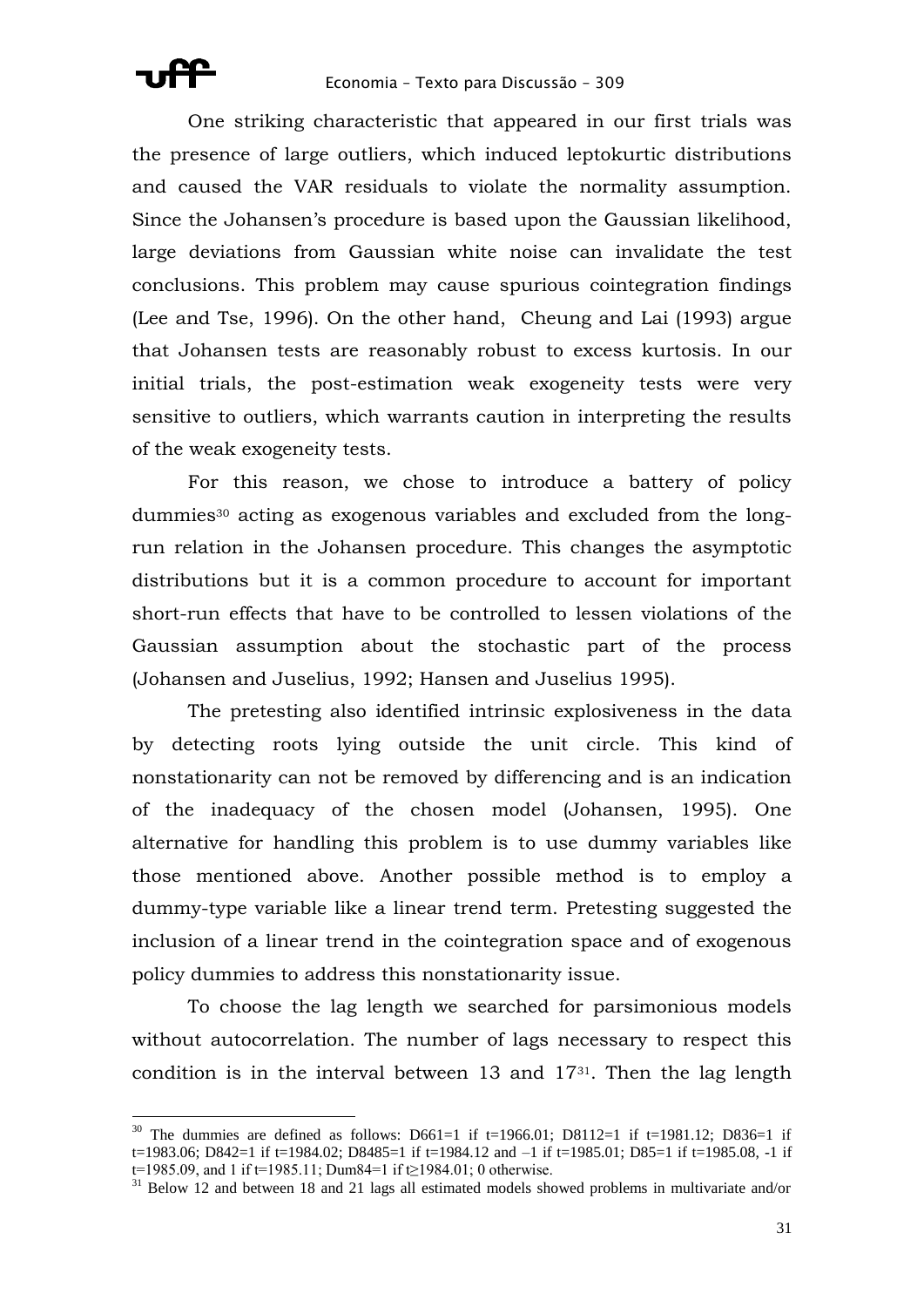One striking characteristic that appeared in our first trials was the presence of large outliers, which induced leptokurtic distributions and caused the VAR residuals to violate the normality assumption. Since the Johansen's procedure is based upon the Gaussian likelihood, large deviations from Gaussian white noise can invalidate the test conclusions. This problem may cause spurious cointegration findings (Lee and Tse, 1996). On the other hand, Cheung and Lai (1993) argue that Johansen tests are reasonably robust to excess kurtosis. In our initial trials, the post-estimation weak exogeneity tests were very sensitive to outliers, which warrants caution in interpreting the results of the weak exogeneity tests.

For this reason, we chose to introduce a battery of policy dummies<sup>30</sup> acting as exogenous variables and excluded from the longrun relation in the Johansen procedure. This changes the asymptotic distributions but it is a common procedure to account for important short-run effects that have to be controlled to lessen violations of the Gaussian assumption about the stochastic part of the process (Johansen and Juselius, 1992; Hansen and Juselius 1995).

The pretesting also identified intrinsic explosiveness in the data by detecting roots lying outside the unit circle. This kind of nonstationarity can not be removed by differencing and is an indication of the inadequacy of the chosen model (Johansen, 1995). One alternative for handling this problem is to use dummy variables like those mentioned above. Another possible method is to employ a dummy-type variable like a linear trend term. Pretesting suggested the inclusion of a linear trend in the cointegration space and of exogenous policy dummies to address this nonstationarity issue.

To choose the lag length we searched for parsimonious models without autocorrelation. The number of lags necessary to respect this condition is in the interval between 13 and 1731. Then the lag length

<u>.</u>

<sup>&</sup>lt;sup>30</sup> The dummies are defined as follows: D661=1 if t=1966.01; D8112=1 if t=1981.12; D836=1 if t=1983.06; D842=1 if t=1984.02; D8485=1 if t=1984.12 and –1 if t=1985.01; D85=1 if t=1985.08, -1 if

t=1985.09, and 1 if t=1985.11; Dum84=1 if t≥1984.01; 0 otherwise.

<sup>&</sup>lt;sup>31</sup> Below 12 and between 18 and 21 lags all estimated models showed problems in multivariate and/or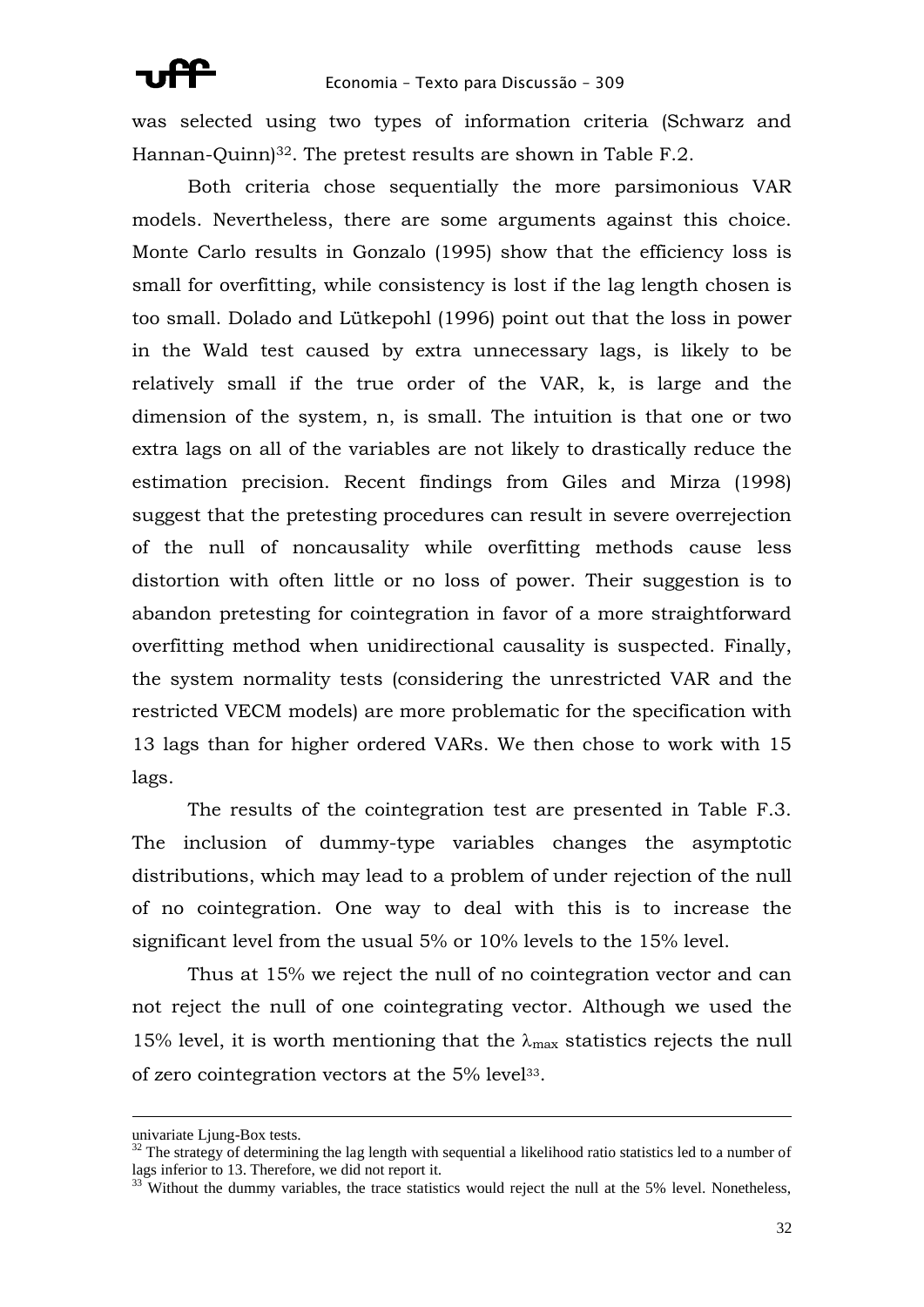was selected using two types of information criteria (Schwarz and Hannan-Quinn)<sup>32</sup>. The pretest results are shown in Table F.2.

Both criteria chose sequentially the more parsimonious VAR models. Nevertheless, there are some arguments against this choice. Monte Carlo results in Gonzalo (1995) show that the efficiency loss is small for overfitting, while consistency is lost if the lag length chosen is too small. Dolado and Lütkepohl (1996) point out that the loss in power in the Wald test caused by extra unnecessary lags, is likely to be relatively small if the true order of the VAR, k, is large and the dimension of the system, n, is small. The intuition is that one or two extra lags on all of the variables are not likely to drastically reduce the estimation precision. Recent findings from Giles and Mirza (1998) suggest that the pretesting procedures can result in severe overrejection of the null of noncausality while overfitting methods cause less distortion with often little or no loss of power. Their suggestion is to abandon pretesting for cointegration in favor of a more straightforward overfitting method when unidirectional causality is suspected. Finally, the system normality tests (considering the unrestricted VAR and the restricted VECM models) are more problematic for the specification with 13 lags than for higher ordered VARs. We then chose to work with 15 lags.

The results of the cointegration test are presented in Table F.3. The inclusion of dummy-type variables changes the asymptotic distributions, which may lead to a problem of under rejection of the null of no cointegration. One way to deal with this is to increase the significant level from the usual 5% or 10% levels to the 15% level.

Thus at 15% we reject the null of no cointegration vector and can not reject the null of one cointegrating vector. Although we used the 15% level, it is worth mentioning that the  $\lambda_{\text{max}}$  statistics rejects the null of zero cointegration vectors at the 5% level33.

<u>.</u>

univariate Ljung-Box tests.

 $32$  The strategy of determining the lag length with sequential a likelihood ratio statistics led to a number of lags inferior to 13. Therefore, we did not report it.

 $33$ <sup>33</sup> Without the dummy variables, the trace statistics would reject the null at the 5% level. Nonetheless,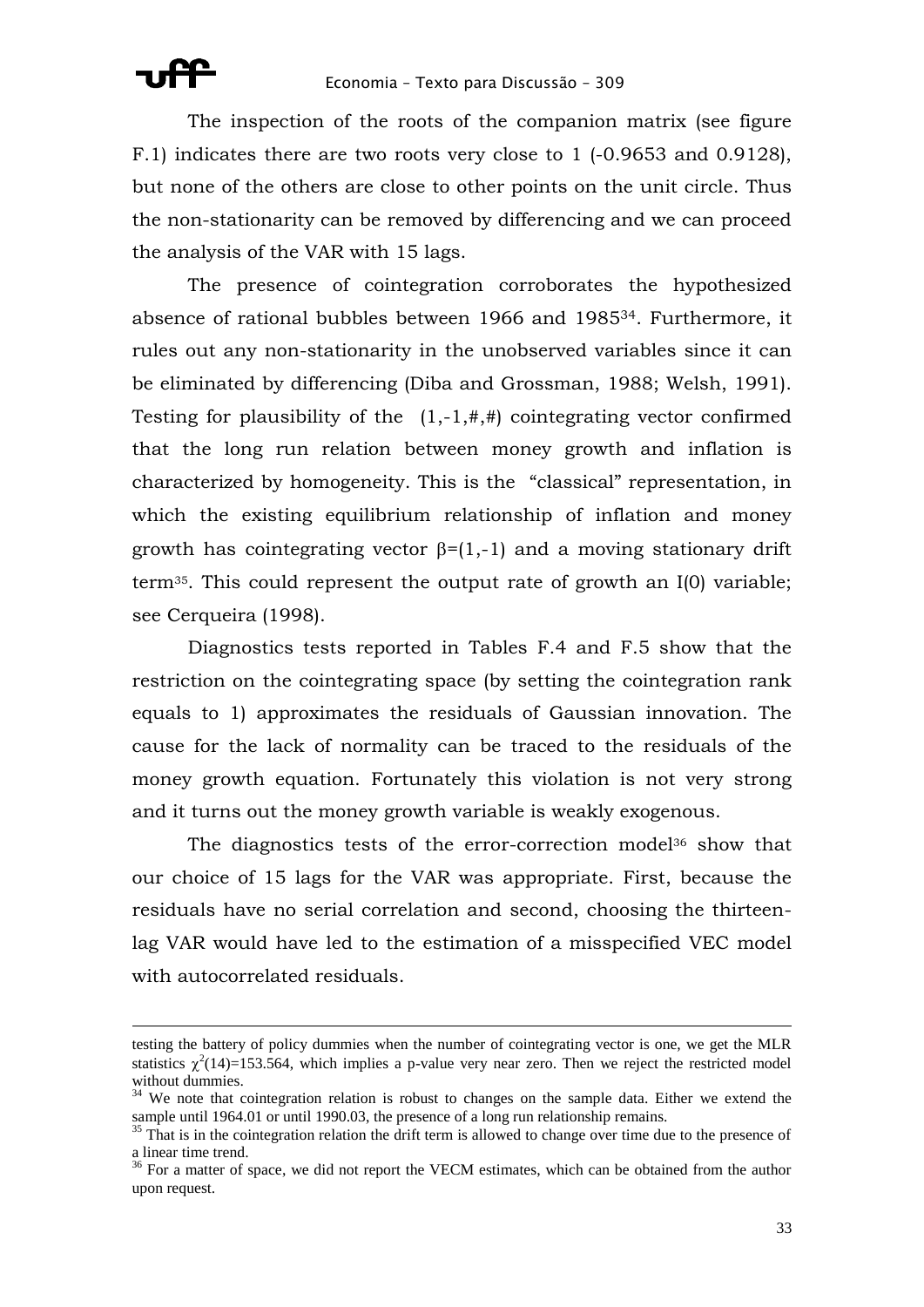The inspection of the roots of the companion matrix (see figure F.1) indicates there are two roots very close to 1 (-0.9653 and 0.9128), but none of the others are close to other points on the unit circle. Thus the non-stationarity can be removed by differencing and we can proceed the analysis of the VAR with 15 lags.

The presence of cointegration corroborates the hypothesized absence of rational bubbles between 1966 and 198534. Furthermore, it rules out any non-stationarity in the unobserved variables since it can be eliminated by differencing (Diba and Grossman, 1988; Welsh, 1991). Testing for plausibility of the  $(1,-1,#,+)$  cointegrating vector confirmed that the long run relation between money growth and inflation is characterized by homogeneity. This is the "classical" representation, in which the existing equilibrium relationship of inflation and money growth has cointegrating vector  $\beta = (1,-1)$  and a moving stationary drift term35. This could represent the output rate of growth an I(0) variable; see Cerqueira (1998).

Diagnostics tests reported in Tables F.4 and F.5 show that the restriction on the cointegrating space (by setting the cointegration rank equals to 1) approximates the residuals of Gaussian innovation. The cause for the lack of normality can be traced to the residuals of the money growth equation. Fortunately this violation is not very strong and it turns out the money growth variable is weakly exogenous.

The diagnostics tests of the error-correction model<sup>36</sup> show that our choice of 15 lags for the VAR was appropriate. First, because the residuals have no serial correlation and second, choosing the thirteenlag VAR would have led to the estimation of a misspecified VEC model with autocorrelated residuals.

testing the battery of policy dummies when the number of cointegrating vector is one, we get the MLR statistics  $\chi^2(14)=153.564$ , which implies a p-value very near zero. Then we reject the restricted model without dummies.

<sup>&</sup>lt;sup>34</sup> We note that cointegration relation is robust to changes on the sample data. Either we extend the sample until 1964.01 or until 1990.03, the presence of a long run relationship remains.

<sup>&</sup>lt;sup>35</sup> That is in the cointegration relation the drift term is allowed to change over time due to the presence of a linear time trend.

<sup>&</sup>lt;sup>36</sup> For a matter of space, we did not report the VECM estimates, which can be obtained from the author upon request.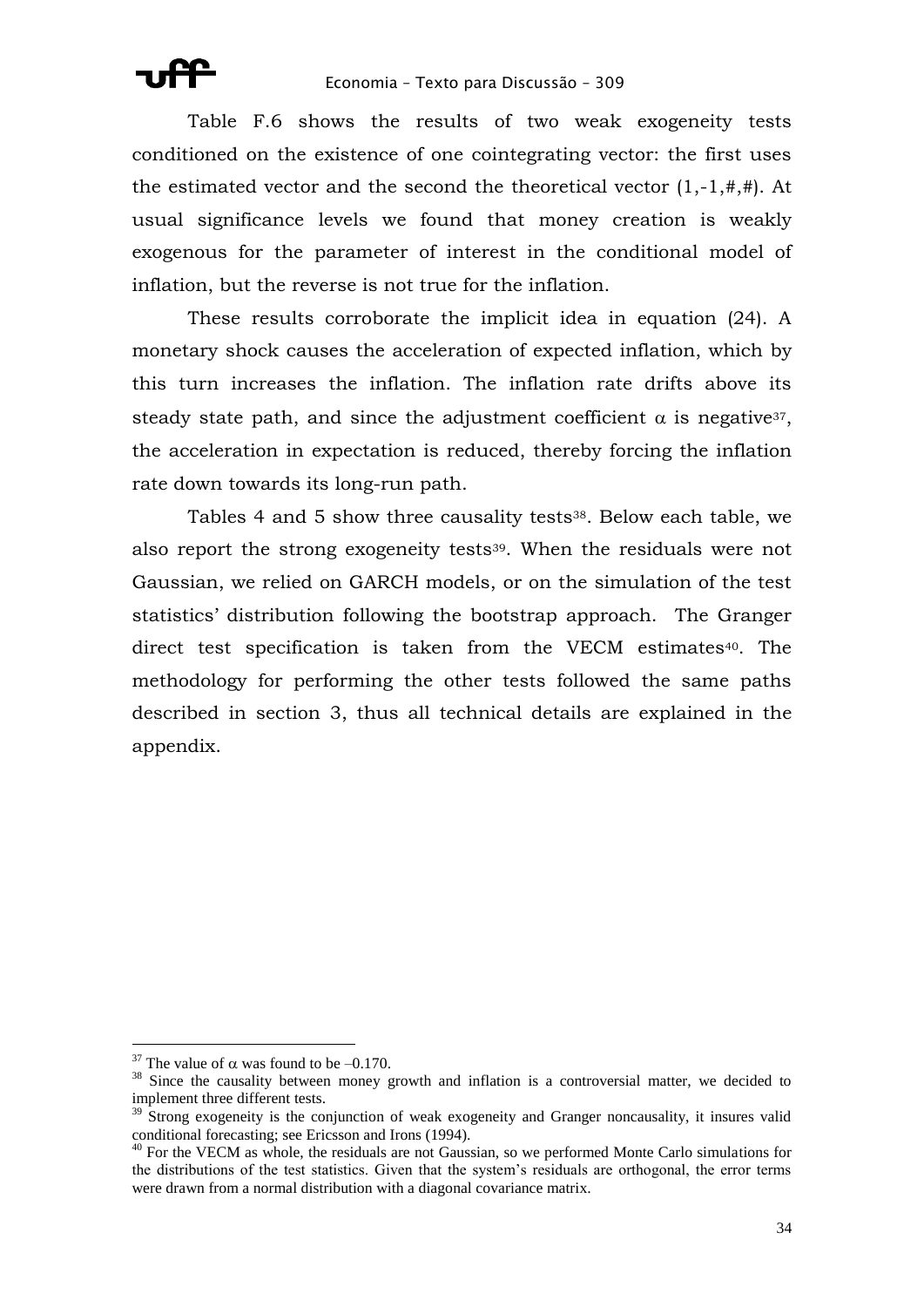Table F.6 shows the results of two weak exogeneity tests conditioned on the existence of one cointegrating vector: the first uses the estimated vector and the second the theoretical vector  $(1,-1,#,+)$ . At usual significance levels we found that money creation is weakly exogenous for the parameter of interest in the conditional model of inflation, but the reverse is not true for the inflation.

These results corroborate the implicit idea in equation (24). A monetary shock causes the acceleration of expected inflation, which by this turn increases the inflation. The inflation rate drifts above its steady state path, and since the adjustment coefficient  $\alpha$  is negative<sup>37</sup>, the acceleration in expectation is reduced, thereby forcing the inflation rate down towards its long-run path.

Tables 4 and 5 show three causality tests<sup>38</sup>. Below each table, we also report the strong exogeneity tests<sup>39</sup>. When the residuals were not Gaussian, we relied on GARCH models, or on the simulation of the test statistics' distribution following the bootstrap approach. The Granger direct test specification is taken from the VECM estimates<sup>40</sup>. The methodology for performing the other tests followed the same paths described in section 3, thus all technical details are explained in the appendix.

<u>.</u>

<sup>&</sup>lt;sup>37</sup> The value of  $\alpha$  was found to be -0.170.

<sup>&</sup>lt;sup>38</sup> Since the causality between money growth and inflation is a controversial matter, we decided to implement three different tests.

 $39\text{ Strong exogeneity}$  is the conjunction of weak exogeneity and Granger noncausality, it insures valid conditional forecasting; see Ericsson and Irons (1994).

<sup>&</sup>lt;sup>40</sup> For the VECM as whole, the residuals are not Gaussian, so we performed Monte Carlo simulations for the distributions of the test statistics. Given that the system's residuals are orthogonal, the error terms were drawn from a normal distribution with a diagonal covariance matrix.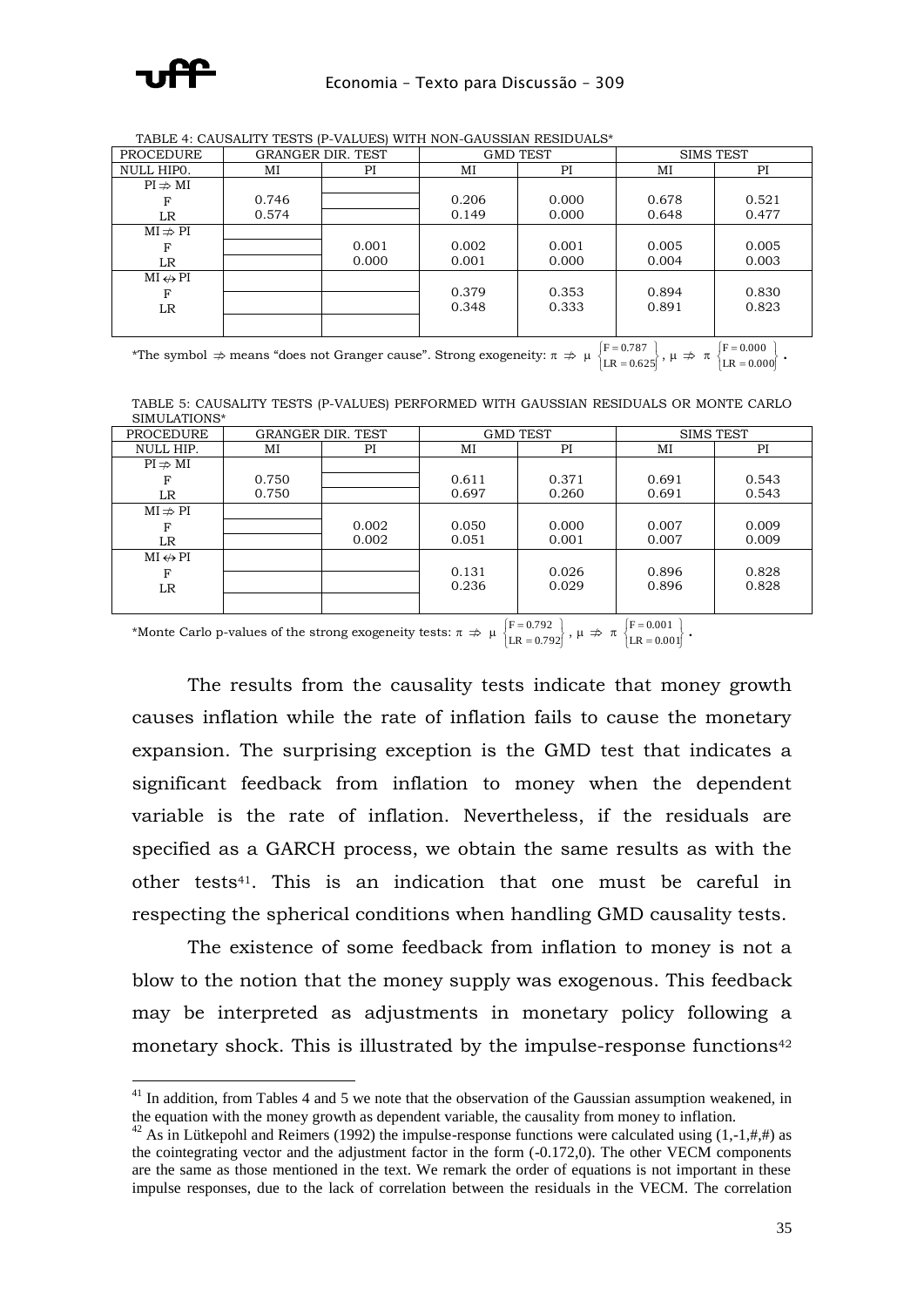

1

| <b>PROCEDURE</b>        |       | <b>GRANGER DIR. TEST</b> | <b>GMD TEST</b> |       | <b>SIMS TEST</b> |       |
|-------------------------|-------|--------------------------|-----------------|-------|------------------|-------|
| NULL HIPO.              | MI    | ΡI                       | MI              | PI    | MI               | PI    |
| $PI \nRightarrow MI$    |       |                          |                 |       |                  |       |
| F                       | 0.746 |                          | 0.206           | 0.000 | 0.678            | 0.521 |
| LR.                     | 0.574 |                          | 0.149           | 0.000 | 0.648            | 0.477 |
| $MI \nRightarrow PI$    |       |                          |                 |       |                  |       |
| F                       |       | 0.001                    | 0.002           | 0.001 | 0.005            | 0.005 |
| LR.                     |       | 0.000                    | 0.001           | 0.000 | 0.004            | 0.003 |
| $MI \leftrightarrow PI$ |       |                          |                 |       |                  |       |
| F                       |       |                          | 0.379           | 0.353 | 0.894            | 0.830 |
| LR                      |       |                          | 0.348           | 0.333 | 0.891            | 0.823 |
|                         |       |                          |                 |       |                  |       |

TABLE 4: CAUSALITY TESTS (P-VALUES) WITH NON-GAUSSIAN RESIDUALS\*

\*The symbol  $\Rightarrow$  means "does not Granger cause". Strong exogeneity:  $\pi \Rightarrow \mu \begin{cases} F = 0.787 \\ LR = 0.625 \end{cases}$  $\begin{array}{c} \begin{array}{c} \end{array} \\ \begin{array}{c} \end{array} \end{array}$ = =  $LR = 0.625$  $F = 0.787$ <br>  $LR = 0.625$ ,  $\mu \Rightarrow \pi$   $\begin{cases} F = 0.000 \\ LR = 0.000 \end{cases}$  $\left\{$ ÷, ÷,  $LR = 0.000$  $F = 0.000$   $\left\{ \begin{array}{c} 0.000 \\ 1.5 \end{array} \right\}$ 

TABLE 5: CAUSALITY TESTS (P-VALUES) PERFORMED WITH GAUSSIAN RESIDUALS OR MONTE CARLO SIMULATIONS\*

| <b>PROCEDURE</b>        |       | <b>GRANGER DIR. TEST</b> | <b>GMD TEST</b> |       | <b>SIMS TEST</b> |       |
|-------------------------|-------|--------------------------|-----------------|-------|------------------|-------|
| NULL HIP.               | MI    | PI                       | MI              | PI    |                  | PI    |
| $PI \nRightarrow MI$    |       |                          |                 |       |                  |       |
| F                       | 0.750 |                          | 0.611           | 0.371 | 0.691            | 0.543 |
| LR                      | 0.750 |                          | 0.697           | 0.260 | 0.691            | 0.543 |
| $MI \nRightarrow PI$    |       |                          |                 |       |                  |       |
| F                       |       | 0.002                    | 0.050           | 0.000 | 0.007            | 0.009 |
| LR                      |       | 0.002                    | 0.051           | 0.001 | 0.007            | 0.009 |
| $MI \leftrightarrow PI$ |       |                          |                 |       |                  |       |
| F                       |       |                          | 0.131           | 0.026 | 0.896            | 0.828 |
| LR                      |       |                          | 0.236           | 0.029 | 0.896            | 0.828 |
|                         |       |                          |                 |       |                  |       |

\*Monte Carlo p-values of the strong exogeneity tests:  $\pi \Rightarrow \mu \begin{cases} F = 0.792 \\ LR = 0.792 \end{cases}$  $\begin{cases} \frac{1}{\sqrt{2}} & \text{if } \frac{1}{\sqrt{2}} \\ \frac{1}{\sqrt{2}} & \text{if } \frac{1}{\sqrt{2}} \leq \frac{1}{\sqrt{2}} \end{cases}$  $\overline{a}$ =  $LR = 0.792$  $\left\{\n \begin{array}{l}\n F = 0.792 \\
 LR = 0.792\n \end{array}\n \right\},\ \mu \Rightarrow \pi \left\{\n \begin{array}{l}\n F = 0.001 \\
 LR = 0.001\n \end{array}\n \right\}$  $\left\{$  $\overline{a}$ =  $LR = 0.001$  $F = 0.001$ 

The results from the causality tests indicate that money growth causes inflation while the rate of inflation fails to cause the monetary expansion. The surprising exception is the GMD test that indicates a significant feedback from inflation to money when the dependent variable is the rate of inflation. Nevertheless, if the residuals are specified as a GARCH process, we obtain the same results as with the other tests41. This is an indication that one must be careful in respecting the spherical conditions when handling GMD causality tests.

The existence of some feedback from inflation to money is not a blow to the notion that the money supply was exogenous. This feedback may be interpreted as adjustments in monetary policy following a monetary shock. This is illustrated by the impulse-response functions<sup>42</sup>

 $41$  In addition, from Tables 4 and 5 we note that the observation of the Gaussian assumption weakened, in the equation with the money growth as dependent variable, the causality from money to inflation.

<sup>&</sup>lt;sup>42</sup> As in Lütkepohl and Reimers (1992) the impulse-response functions were calculated using  $(1,-1,\#,\#)$  as the cointegrating vector and the adjustment factor in the form (-0.172,0). The other VECM components are the same as those mentioned in the text. We remark the order of equations is not important in these impulse responses, due to the lack of correlation between the residuals in the VECM. The correlation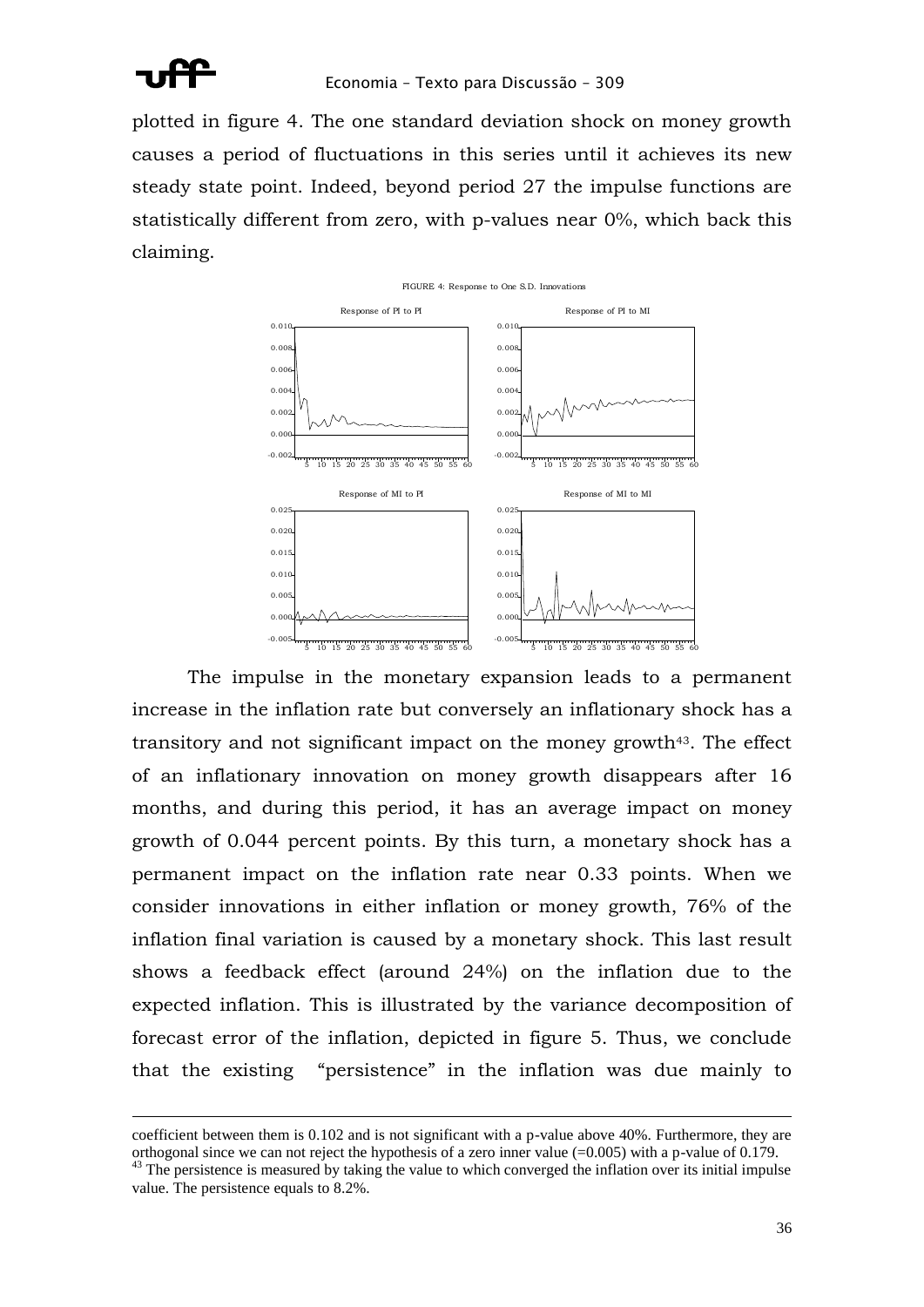

plotted in figure 4. The one standard deviation shock on money growth causes a period of fluctuations in this series until it achieves its new steady state point. Indeed, beyond period 27 the impulse functions are statistically different from zero, with p-values near 0%, which back this claiming.



The impulse in the monetary expansion leads to a permanent increase in the inflation rate but conversely an inflationary shock has a transitory and not significant impact on the money growth43. The effect of an inflationary innovation on money growth disappears after 16 months, and during this period, it has an average impact on money growth of 0.044 percent points. By this turn, a monetary shock has a permanent impact on the inflation rate near 0.33 points. When we consider innovations in either inflation or money growth, 76% of the inflation final variation is caused by a monetary shock. This last result shows a feedback effect (around 24%) on the inflation due to the expected inflation. This is illustrated by the variance decomposition of forecast error of the inflation, depicted in figure 5. Thus, we conclude that the existing "persistence" in the inflation was due mainly to

coefficient between them is 0.102 and is not significant with a p-value above 40%. Furthermore, they are orthogonal since we can not reject the hypothesis of a zero inner value  $(=0.005)$  with a p-value of 0.179.

<sup>&</sup>lt;sup>43</sup> The persistence is measured by taking the value to which converged the inflation over its initial impulse value. The persistence equals to 8.2%.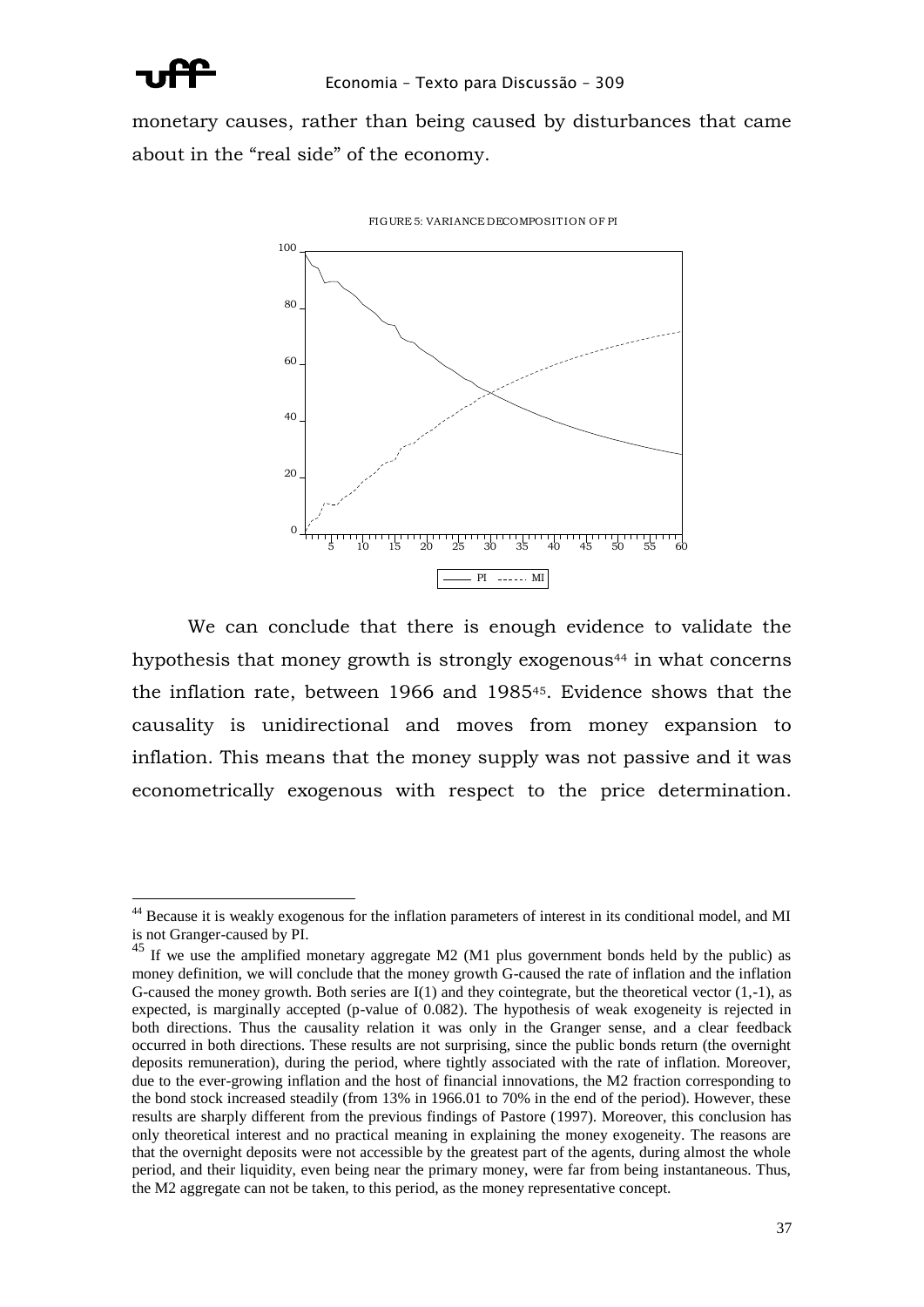

-

monetary causes, rather than being caused by disturbances that came about in the "real side" of the economy.



We can conclude that there is enough evidence to validate the hypothesis that money growth is strongly exogenous<sup>44</sup> in what concerns the inflation rate, between 1966 and 198545. Evidence shows that the causality is unidirectional and moves from money expansion to inflation. This means that the money supply was not passive and it was econometrically exogenous with respect to the price determination.

<sup>&</sup>lt;sup>44</sup> Because it is weakly exogenous for the inflation parameters of interest in its conditional model, and MI is not Granger-caused by PI.

<sup>&</sup>lt;sup>45</sup> If we use the amplified monetary aggregate M2 (M1 plus government bonds held by the public) as money definition, we will conclude that the money growth G-caused the rate of inflation and the inflation G-caused the money growth. Both series are  $I(1)$  and they cointegrate, but the theoretical vector  $(1,-1)$ , as expected, is marginally accepted (p-value of 0.082). The hypothesis of weak exogeneity is rejected in both directions. Thus the causality relation it was only in the Granger sense, and a clear feedback occurred in both directions. These results are not surprising, since the public bonds return (the overnight deposits remuneration), during the period, where tightly associated with the rate of inflation. Moreover, due to the ever-growing inflation and the host of financial innovations, the M2 fraction corresponding to the bond stock increased steadily (from 13% in 1966.01 to 70% in the end of the period). However, these results are sharply different from the previous findings of Pastore (1997). Moreover, this conclusion has only theoretical interest and no practical meaning in explaining the money exogeneity. The reasons are that the overnight deposits were not accessible by the greatest part of the agents, during almost the whole period, and their liquidity, even being near the primary money, were far from being instantaneous. Thus, the M2 aggregate can not be taken, to this period, as the money representative concept.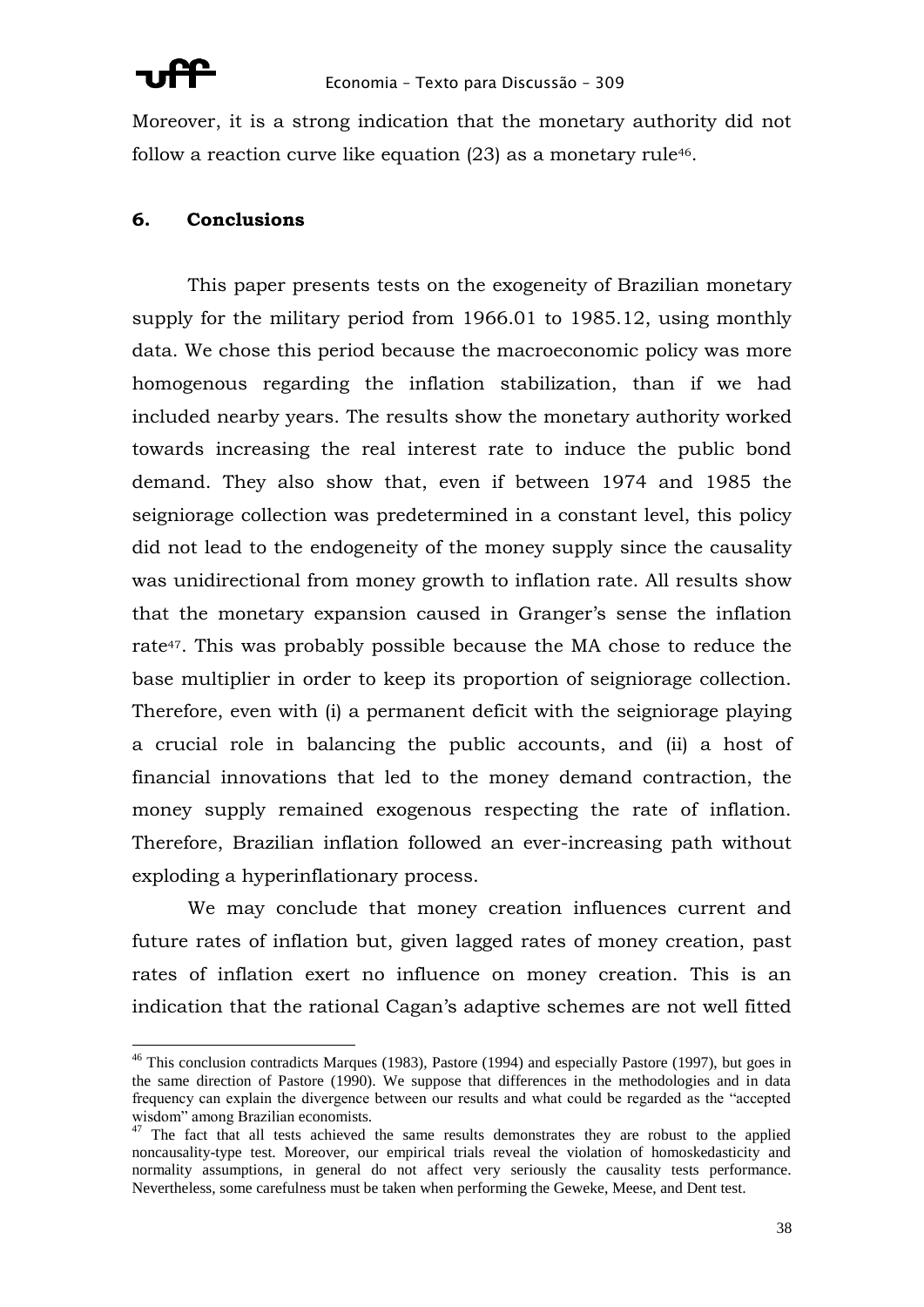

Moreover, it is a strong indication that the monetary authority did not follow a reaction curve like equation  $(23)$  as a monetary rule<sup>46</sup>.

## **6. Conclusions**

This paper presents tests on the exogeneity of Brazilian monetary supply for the military period from 1966.01 to 1985.12, using monthly data. We chose this period because the macroeconomic policy was more homogenous regarding the inflation stabilization, than if we had included nearby years. The results show the monetary authority worked towards increasing the real interest rate to induce the public bond demand. They also show that, even if between 1974 and 1985 the seigniorage collection was predetermined in a constant level, this policy did not lead to the endogeneity of the money supply since the causality was unidirectional from money growth to inflation rate. All results show that the monetary expansion caused in Granger's sense the inflation rate47. This was probably possible because the MA chose to reduce the base multiplier in order to keep its proportion of seigniorage collection. Therefore, even with (i) a permanent deficit with the seigniorage playing a crucial role in balancing the public accounts, and (ii) a host of financial innovations that led to the money demand contraction, the money supply remained exogenous respecting the rate of inflation. Therefore, Brazilian inflation followed an ever-increasing path without exploding a hyperinflationary process.

We may conclude that money creation influences current and future rates of inflation but, given lagged rates of money creation, past rates of inflation exert no influence on money creation. This is an indication that the rational Cagan's adaptive schemes are not well fitted

<sup>&</sup>lt;sup>46</sup> This conclusion contradicts Marques (1983), Pastore (1994) and especially Pastore (1997), but goes in the same direction of Pastore (1990). We suppose that differences in the methodologies and in data frequency can explain the divergence between our results and what could be regarded as the "accepted wisdom" among Brazilian economists.

 $<sup>7</sup>$  The fact that all tests achieved the same results demonstrates they are robust to the applied</sup> noncausality-type test. Moreover, our empirical trials reveal the violation of homoskedasticity and normality assumptions, in general do not affect very seriously the causality tests performance. Nevertheless, some carefulness must be taken when performing the Geweke, Meese, and Dent test.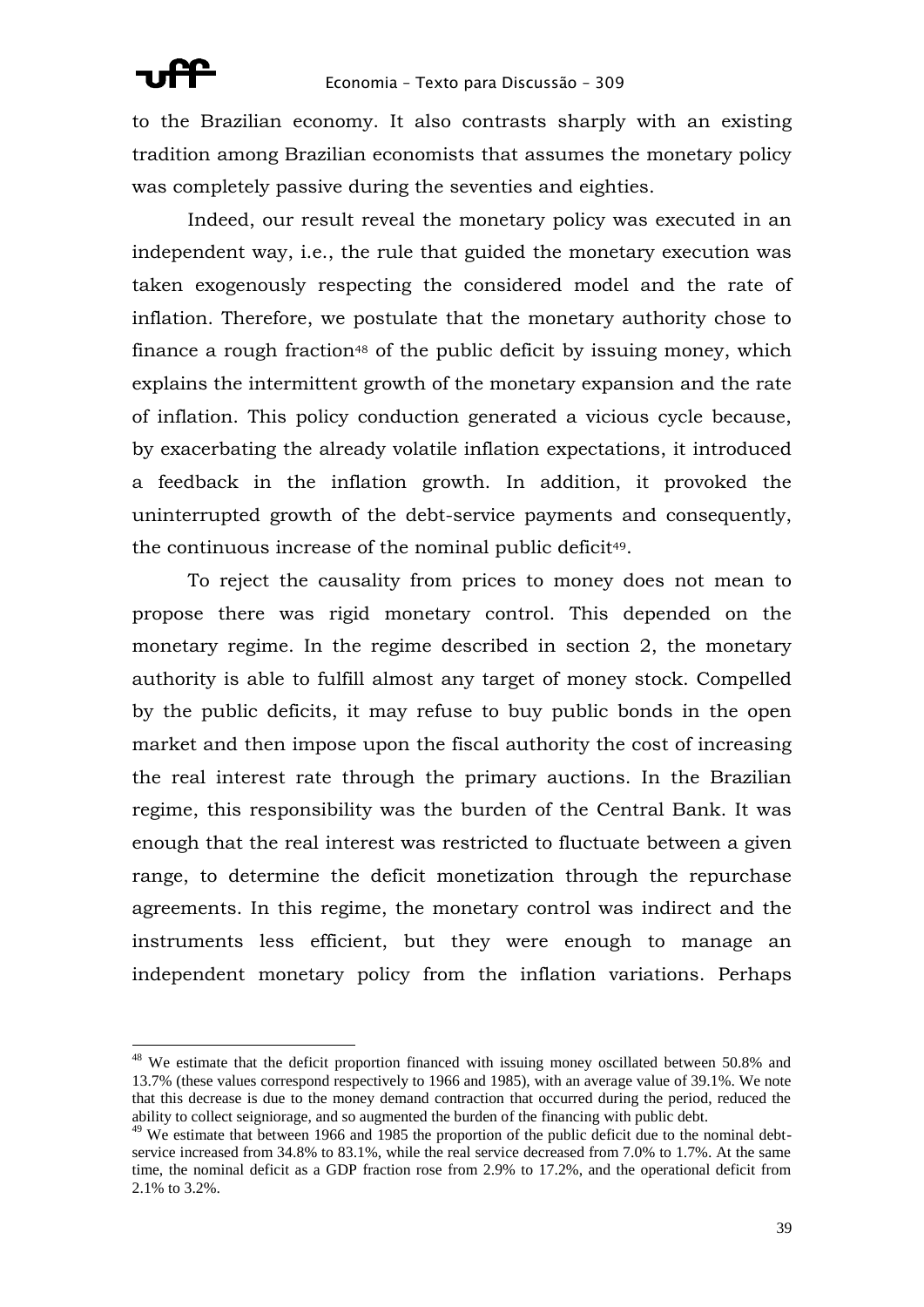to the Brazilian economy. It also contrasts sharply with an existing tradition among Brazilian economists that assumes the monetary policy was completely passive during the seventies and eighties.

Indeed, our result reveal the monetary policy was executed in an independent way, i.e., the rule that guided the monetary execution was taken exogenously respecting the considered model and the rate of inflation. Therefore, we postulate that the monetary authority chose to finance a rough fraction<sup>48</sup> of the public deficit by issuing money, which explains the intermittent growth of the monetary expansion and the rate of inflation. This policy conduction generated a vicious cycle because, by exacerbating the already volatile inflation expectations, it introduced a feedback in the inflation growth. In addition, it provoked the uninterrupted growth of the debt-service payments and consequently, the continuous increase of the nominal public deficit<sup>49</sup>.

To reject the causality from prices to money does not mean to propose there was rigid monetary control. This depended on the monetary regime. In the regime described in section 2, the monetary authority is able to fulfill almost any target of money stock. Compelled by the public deficits, it may refuse to buy public bonds in the open market and then impose upon the fiscal authority the cost of increasing the real interest rate through the primary auctions. In the Brazilian regime, this responsibility was the burden of the Central Bank. It was enough that the real interest was restricted to fluctuate between a given range, to determine the deficit monetization through the repurchase agreements. In this regime, the monetary control was indirect and the instruments less efficient, but they were enough to manage an independent monetary policy from the inflation variations. Perhaps

<sup>&</sup>lt;sup>48</sup> We estimate that the deficit proportion financed with issuing money oscillated between 50.8% and 13.7% (these values correspond respectively to 1966 and 1985), with an average value of 39.1%. We note that this decrease is due to the money demand contraction that occurred during the period, reduced the ability to collect seigniorage, and so augmented the burden of the financing with public debt.

<sup>&</sup>lt;sup>49</sup> We estimate that between 1966 and 1985 the proportion of the public deficit due to the nominal debtservice increased from 34.8% to 83.1%, while the real service decreased from 7.0% to 1.7%. At the same time, the nominal deficit as a GDP fraction rose from 2.9% to 17.2%, and the operational deficit from 2.1% to 3.2%.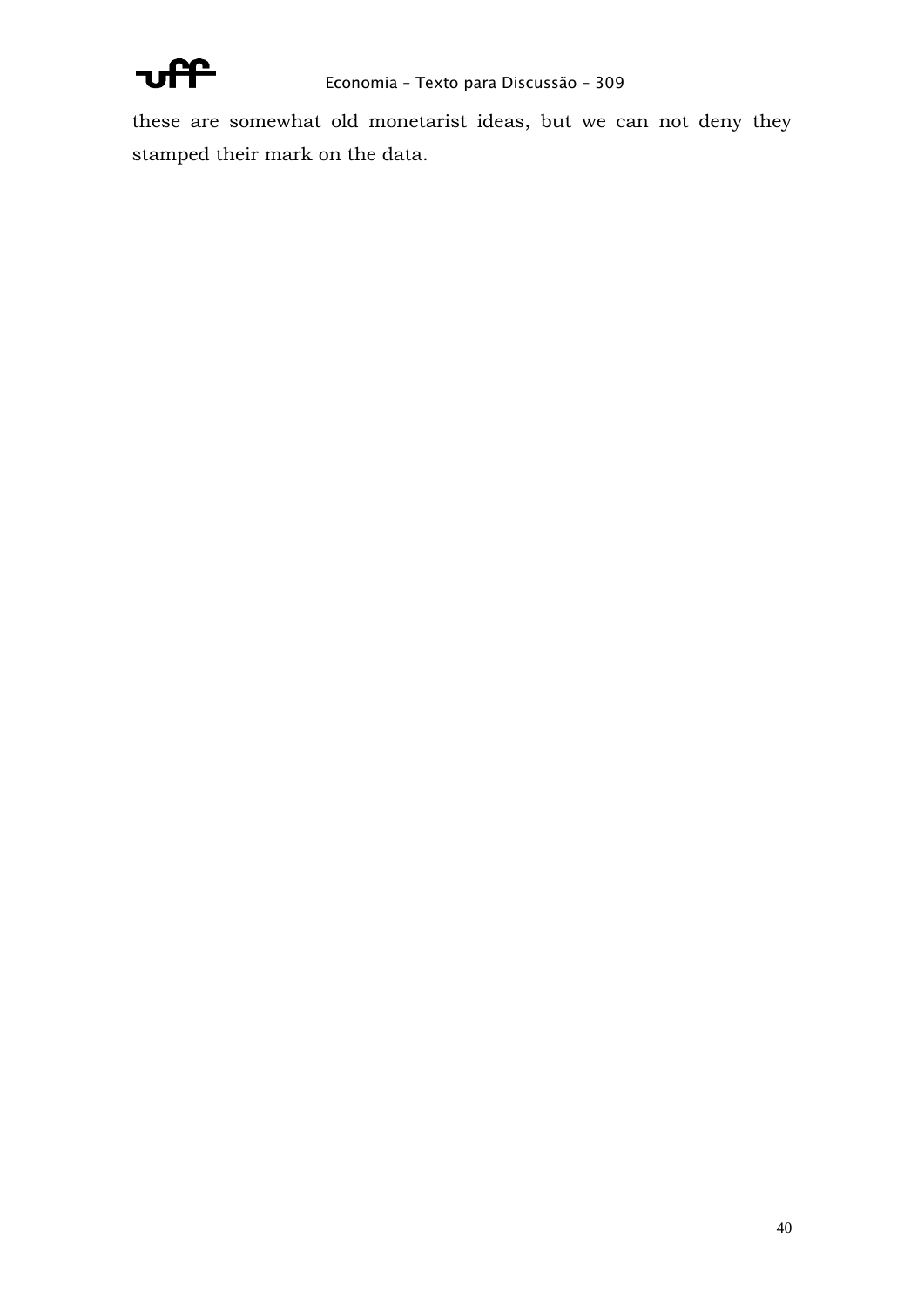

these are somewhat old monetarist ideas, but we can not deny they stamped their mark on the data.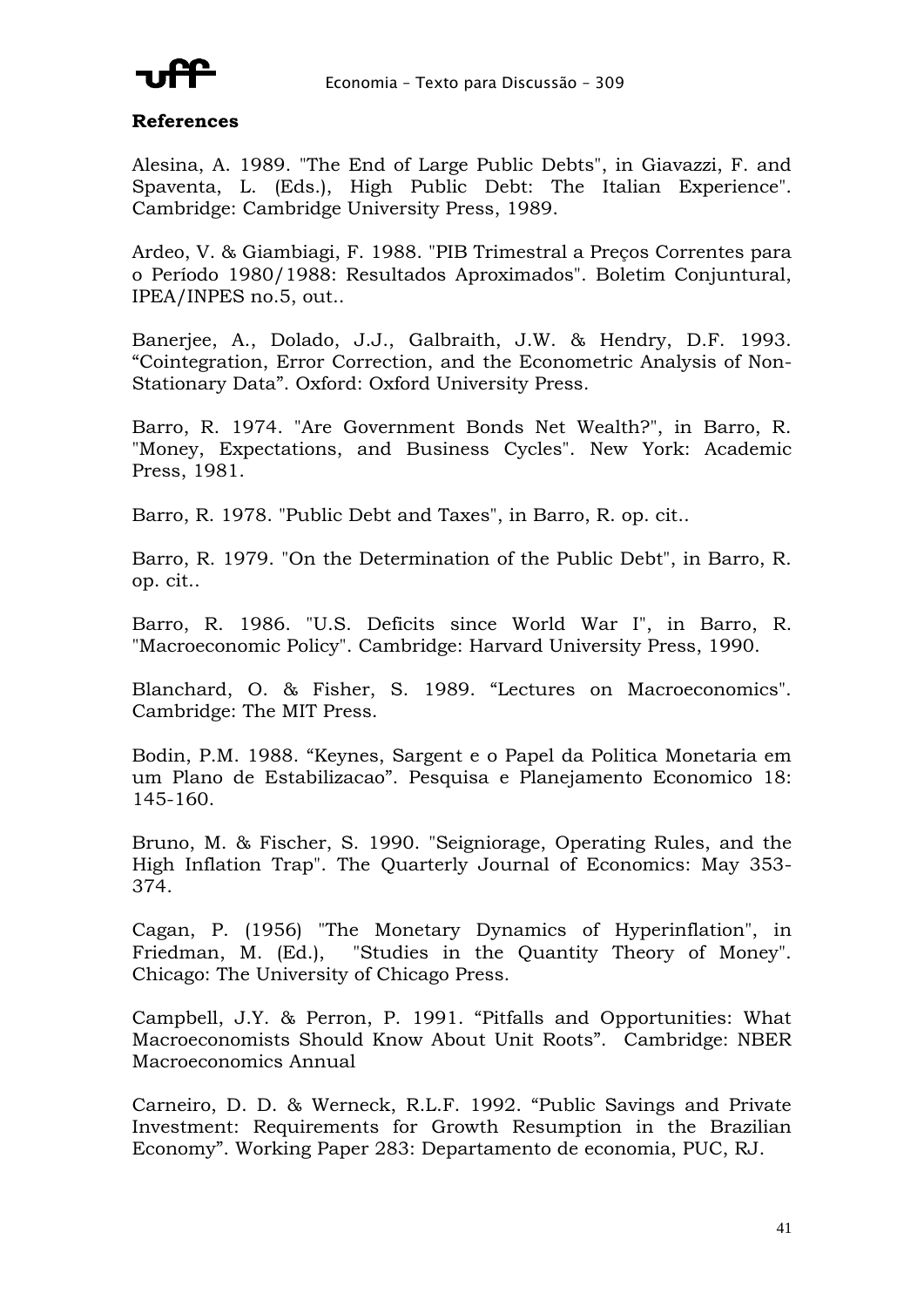

### **References**

Alesina, A. 1989. "The End of Large Public Debts", in Giavazzi, F. and Spaventa, L. (Eds.), High Public Debt: The Italian Experience". Cambridge: Cambridge University Press, 1989.

Ardeo, V. & Giambiagi, F. 1988. "PIB Trimestral a Preços Correntes para o Período 1980/1988: Resultados Aproximados". Boletim Conjuntural, IPEA/INPES no.5, out..

Banerjee, A., Dolado, J.J., Galbraith, J.W. & Hendry, D.F. 1993. "Cointegration, Error Correction, and the Econometric Analysis of Non-Stationary Data". Oxford: Oxford University Press.

Barro, R. 1974. "Are Government Bonds Net Wealth?", in Barro, R. "Money, Expectations, and Business Cycles". New York: Academic Press, 1981.

Barro, R. 1978. "Public Debt and Taxes", in Barro, R. op. cit..

Barro, R. 1979. "On the Determination of the Public Debt", in Barro, R. op. cit..

Barro, R. 1986. "U.S. Deficits since World War I", in Barro, R. "Macroeconomic Policy". Cambridge: Harvard University Press, 1990.

Blanchard, O. & Fisher, S. 1989. "Lectures on Macroeconomics". Cambridge: The MIT Press.

Bodin, P.M. 1988. "Keynes, Sargent e o Papel da Politica Monetaria em um Plano de Estabilizacao". Pesquisa e Planejamento Economico 18: 145-160.

Bruno, M. & Fischer, S. 1990. "Seigniorage, Operating Rules, and the High Inflation Trap". The Quarterly Journal of Economics: May 353- 374.

Cagan, P. (1956) "The Monetary Dynamics of Hyperinflation", in Friedman, M. (Ed.), "Studies in the Quantity Theory of Money". Chicago: The University of Chicago Press.

Campbell, J.Y. & Perron, P. 1991. "Pitfalls and Opportunities: What Macroeconomists Should Know About Unit Roots". Cambridge: NBER Macroeconomics Annual

Carneiro, D. D. & Werneck, R.L.F. 1992. "Public Savings and Private Investment: Requirements for Growth Resumption in the Brazilian Economy". Working Paper 283: Departamento de economia, PUC, RJ.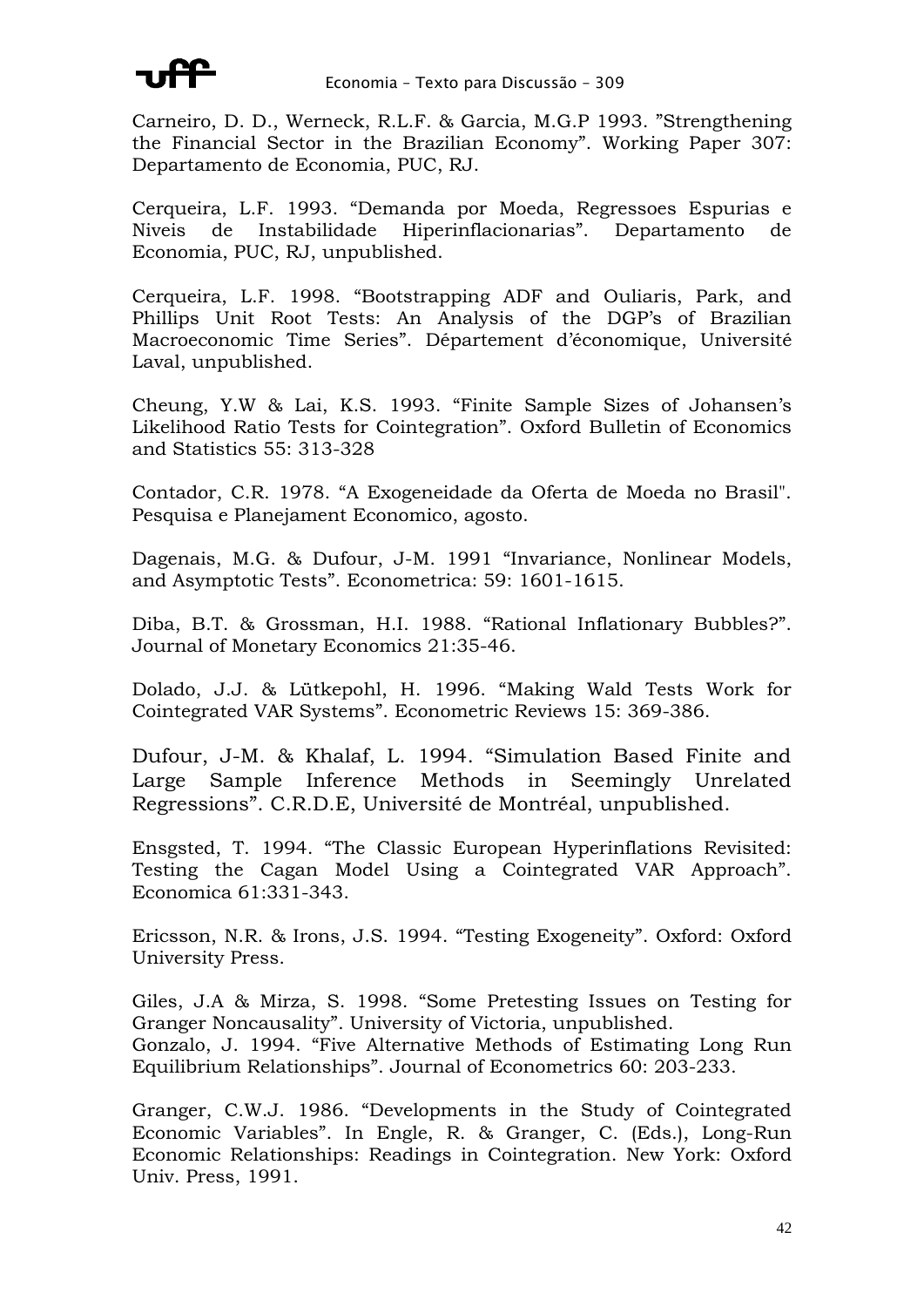

Carneiro, D. D., Werneck, R.L.F. & Garcia, M.G.P 1993. "Strengthening the Financial Sector in the Brazilian Economy". Working Paper 307: Departamento de Economia, PUC, RJ.

Cerqueira, L.F. 1993. "Demanda por Moeda, Regressoes Espurias e Niveis de Instabilidade Hiperinflacionarias". Departamento de Economia, PUC, RJ, unpublished.

Cerqueira, L.F. 1998. "Bootstrapping ADF and Ouliaris, Park, and Phillips Unit Root Tests: An Analysis of the DGP's of Brazilian Macroeconomic Time Series". Département d'économique, Université Laval, unpublished.

Cheung, Y.W & Lai, K.S. 1993. "Finite Sample Sizes of Johansen's Likelihood Ratio Tests for Cointegration". Oxford Bulletin of Economics and Statistics 55: 313-328

Contador, C.R. 1978. "A Exogeneidade da Oferta de Moeda no Brasil". Pesquisa e Planejament Economico, agosto.

Dagenais, M.G. & Dufour, J-M. 1991 "Invariance, Nonlinear Models, and Asymptotic Tests". Econometrica: 59: 1601-1615.

Diba, B.T. & Grossman, H.I. 1988. "Rational Inflationary Bubbles?". Journal of Monetary Economics 21:35-46.

Dolado, J.J. & Lütkepohl, H. 1996. "Making Wald Tests Work for Cointegrated VAR Systems". Econometric Reviews 15: 369-386.

Dufour, J-M. & Khalaf, L. 1994. "Simulation Based Finite and Large Sample Inference Methods in Seemingly Unrelated Regressions". C.R.D.E, Université de Montréal, unpublished.

Ensgsted, T. 1994. "The Classic European Hyperinflations Revisited: Testing the Cagan Model Using a Cointegrated VAR Approach". Economica 61:331-343.

Ericsson, N.R. & Irons, J.S. 1994. "Testing Exogeneity". Oxford: Oxford University Press.

Giles, J.A & Mirza, S. 1998. "Some Pretesting Issues on Testing for Granger Noncausality". University of Victoria, unpublished. Gonzalo, J. 1994. "Five Alternative Methods of Estimating Long Run Equilibrium Relationships". Journal of Econometrics 60: 203-233.

Granger, C.W.J. 1986. "Developments in the Study of Cointegrated Economic Variables". In Engle, R. & Granger, C. (Eds.), Long-Run Economic Relationships: Readings in Cointegration. New York: Oxford Univ. Press, 1991.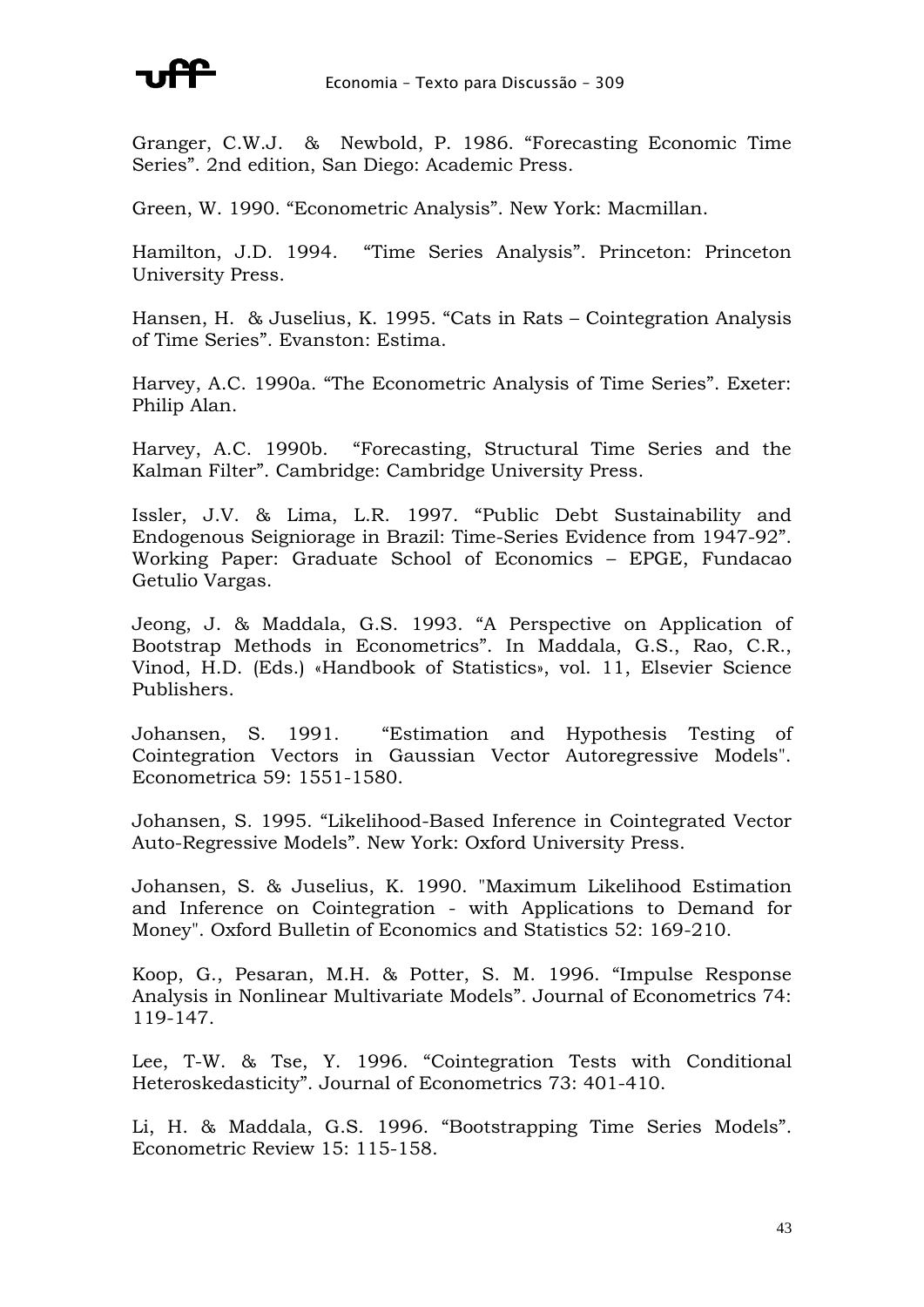

Granger, C.W.J. & Newbold, P. 1986. "Forecasting Economic Time Series". 2nd edition, San Diego: Academic Press.

Green, W. 1990. "Econometric Analysis". New York: Macmillan.

Hamilton, J.D. 1994. "Time Series Analysis". Princeton: Princeton University Press.

Hansen, H. & Juselius, K. 1995. "Cats in Rats – Cointegration Analysis of Time Series". Evanston: Estima.

Harvey, A.C. 1990a. "The Econometric Analysis of Time Series". Exeter: Philip Alan.

Harvey, A.C. 1990b. "Forecasting, Structural Time Series and the Kalman Filter". Cambridge: Cambridge University Press.

Issler, J.V. & Lima, L.R. 1997. "Public Debt Sustainability and Endogenous Seigniorage in Brazil: Time-Series Evidence from 1947-92". Working Paper: Graduate School of Economics – EPGE, Fundacao Getulio Vargas.

Jeong, J. & Maddala, G.S. 1993. "A Perspective on Application of Bootstrap Methods in Econometrics". In Maddala, G.S., Rao, C.R., Vinod, H.D. (Eds.) «Handbook of Statistics», vol. 11, Elsevier Science Publishers.

Johansen, S. 1991. "Estimation and Hypothesis Testing of Cointegration Vectors in Gaussian Vector Autoregressive Models". Econometrica 59: 1551-1580.

Johansen, S. 1995. "Likelihood-Based Inference in Cointegrated Vector Auto-Regressive Models". New York: Oxford University Press.

Johansen, S. & Juselius, K. 1990. "Maximum Likelihood Estimation and Inference on Cointegration - with Applications to Demand for Money". Oxford Bulletin of Economics and Statistics 52: 169-210.

Koop, G., Pesaran, M.H. & Potter, S. M. 1996. "Impulse Response Analysis in Nonlinear Multivariate Models". Journal of Econometrics 74: 119-147.

Lee, T-W. & Tse, Y. 1996. "Cointegration Tests with Conditional Heteroskedasticity". Journal of Econometrics 73: 401-410.

Li, H. & Maddala, G.S. 1996. "Bootstrapping Time Series Models". Econometric Review 15: 115-158.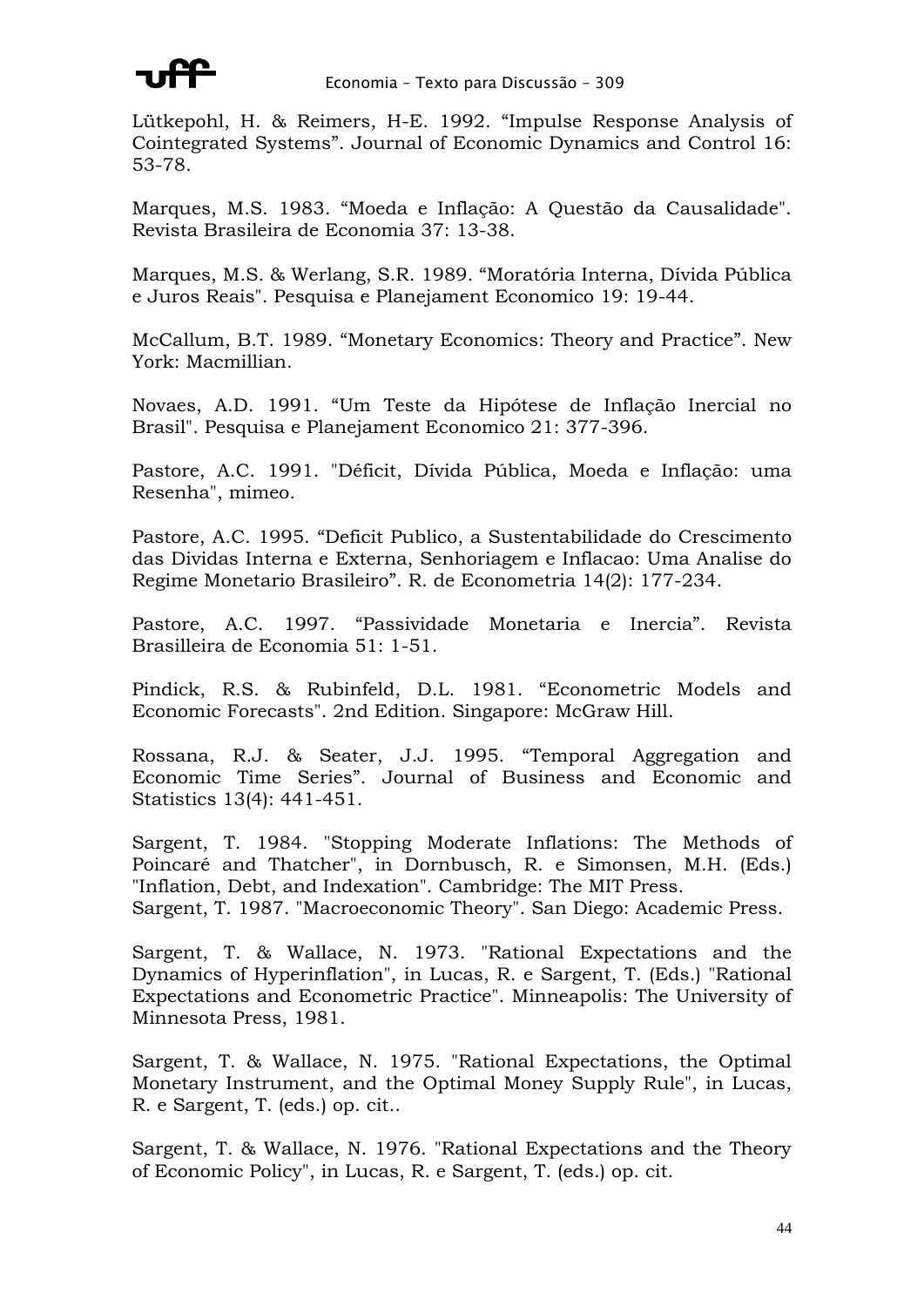

Lütkepohl, H. & Reimers, H-E. 1992. "Impulse Response Analysis of Cointegrated Systems". Journal of Economic Dynamics and Control 16: 53-78.

Marques, M.S. 1983. "Moeda e Inflação: A Questão da Causalidade". Revista Brasileira de Economia 37: 13-38.

Marques, M.S. & Werlang, S.R. 1989. "Moratória Interna, Dívida Pública e Juros Reais". Pesquisa e Planejament Economico 19: 19-44.

McCallum, B.T. 1989. "Monetary Economics: Theory and Practice". New York: Macmillian.

Novaes, A.D. 1991. "Um Teste da Hipótese de Inflação Inercial no Brasil". Pesquisa e Planejament Economico 21: 377-396.

Pastore, A.C. 1991. "Déficit, Dívida Pública, Moeda e Inflação: uma Resenha", mimeo.

Pastore, A.C. 1995. "Deficit Publico, a Sustentabilidade do Crescimento das Dividas Interna e Externa, Senhoriagem e Inflacao: Uma Analise do Regime Monetario Brasileiro". R. de Econometria 14(2): 177-234.

Pastore, A.C. 1997. "Passividade Monetaria e Inercia". Revista Brasilleira de Economia 51: 1-51.

Pindick, R.S. & Rubinfeld, D.L. 1981. "Econometric Models and Economic Forecasts". 2nd Edition. Singapore: McGraw Hill.

Rossana, R.J. & Seater, J.J. 1995. "Temporal Aggregation and Economic Time Series". Journal of Business and Economic and Statistics 13(4): 441-451.

Sargent, T. 1984. "Stopping Moderate Inflations: The Methods of Poincaré and Thatcher", in Dornbusch, R. e Simonsen, M.H. (Eds.) "Inflation, Debt, and Indexation". Cambridge: The MIT Press. Sargent, T. 1987. "Macroeconomic Theory". San Diego: Academic Press.

Sargent, T. & Wallace, N. 1973. "Rational Expectations and the Dynamics of Hyperinflation", in Lucas, R. e Sargent, T. (Eds.) "Rational Expectations and Econometric Practice". Minneapolis: The University of Minnesota Press, 1981.

Sargent, T. & Wallace, N. 1975. "Rational Expectations, the Optimal Monetary Instrument, and the Optimal Money Supply Rule", in Lucas, R. e Sargent, T. (eds.) op. cit..

Sargent, T. & Wallace, N. 1976. "Rational Expectations and the Theory of Economic Policy", in Lucas, R. e Sargent, T. (eds.) op. cit.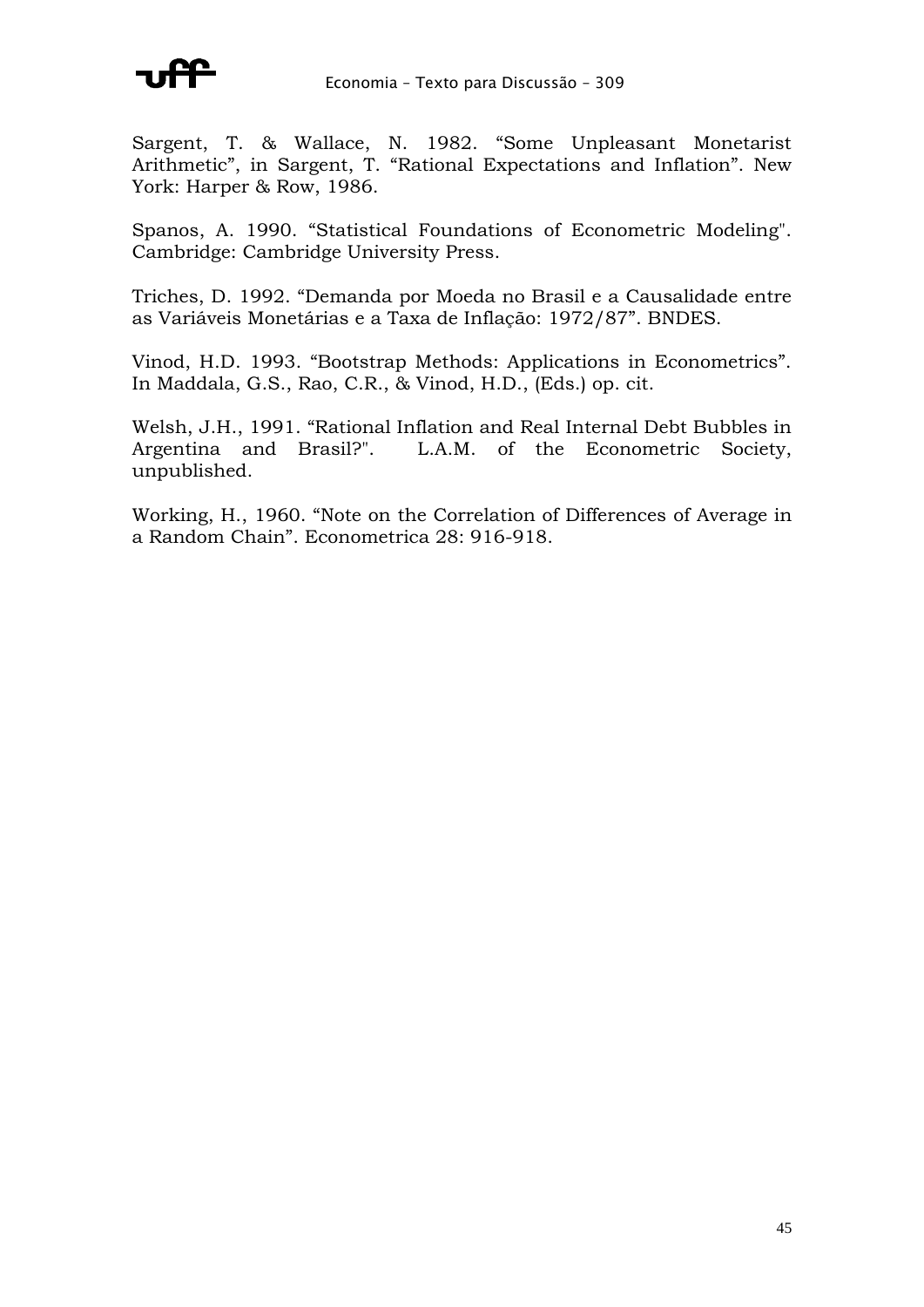

Sargent, T. & Wallace, N. 1982. "Some Unpleasant Monetarist Arithmetic", in Sargent, T. "Rational Expectations and Inflation". New York: Harper & Row, 1986.

Spanos, A. 1990. "Statistical Foundations of Econometric Modeling". Cambridge: Cambridge University Press.

Triches, D. 1992. "Demanda por Moeda no Brasil e a Causalidade entre as Variáveis Monetárias e a Taxa de Inflação: 1972/87". BNDES.

Vinod, H.D. 1993. "Bootstrap Methods: Applications in Econometrics". In Maddala, G.S., Rao, C.R., & Vinod, H.D., (Eds.) op. cit.

Welsh, J.H., 1991. "Rational Inflation and Real Internal Debt Bubbles in Argentina and Brasil?". L.A.M. of the Econometric Society, unpublished.

Working, H., 1960. "Note on the Correlation of Differences of Average in a Random Chain". Econometrica 28: 916-918.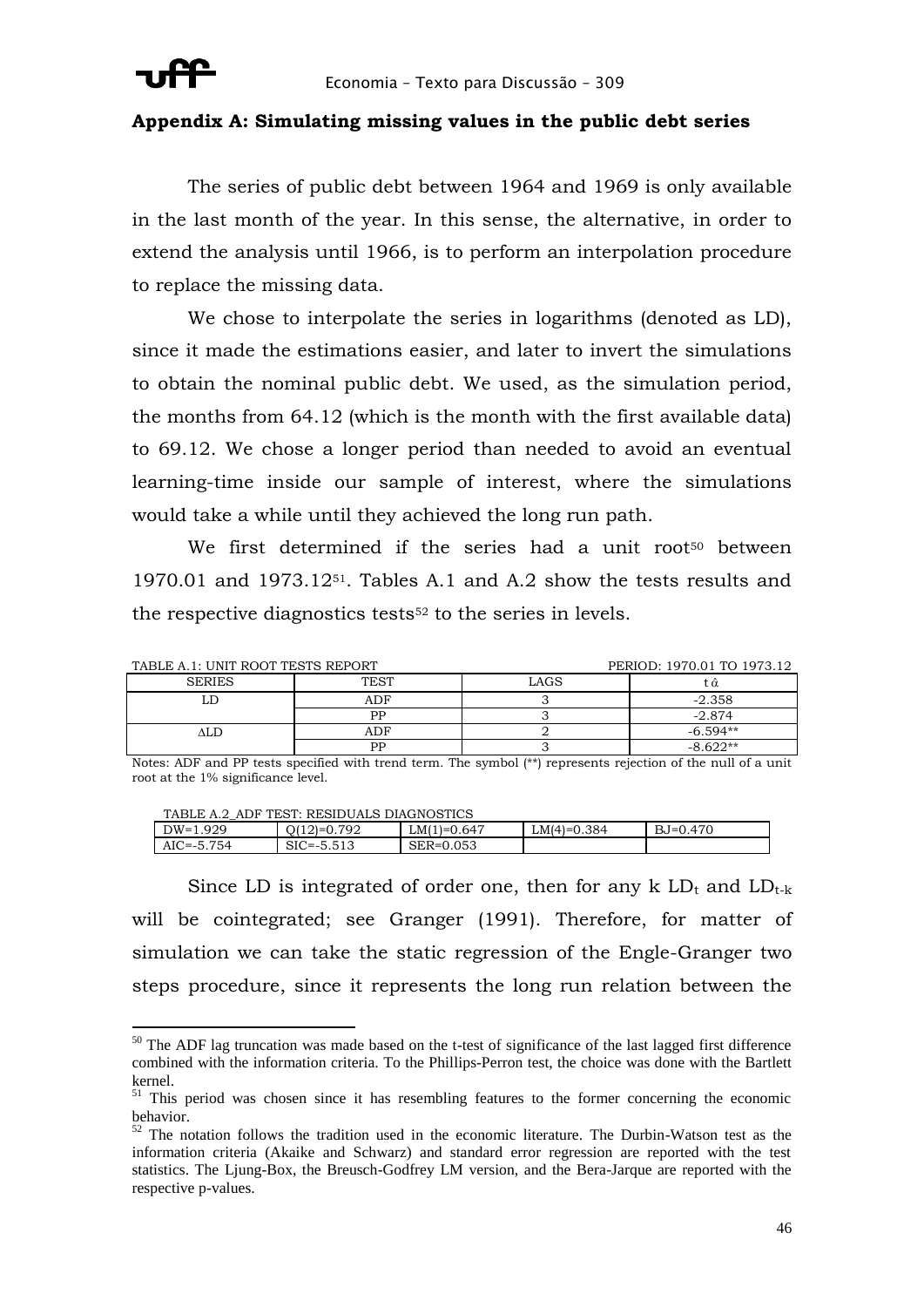

### **Appendix A: Simulating missing values in the public debt series**

The series of public debt between 1964 and 1969 is only available in the last month of the year. In this sense, the alternative, in order to extend the analysis until 1966, is to perform an interpolation procedure to replace the missing data.

We chose to interpolate the series in logarithms (denoted as LD), since it made the estimations easier, and later to invert the simulations to obtain the nominal public debt. We used, as the simulation period, the months from 64.12 (which is the month with the first available data) to 69.12. We chose a longer period than needed to avoid an eventual learning-time inside our sample of interest, where the simulations would take a while until they achieved the long run path.

We first determined if the series had a unit root<sup>50</sup> between 1970.01 and 1973.1251. Tables A.1 and A.2 show the tests results and the respective diagnostics tests<sup>52</sup> to the series in levels.

| TABLE A.1: UNIT ROOT TESTS REPORT |             | PERIOD: 1970.01 TO 1973.12 |            |
|-----------------------------------|-------------|----------------------------|------------|
| <b>SERIES</b>                     | <b>TEST</b> | LAGS                       | ι α        |
|                                   | ADF         |                            | $-2.358$   |
|                                   | ÞР          |                            | $-2.874$   |
|                                   | ADF         |                            | $-6.594**$ |
|                                   | DD          |                            | -8.622**   |

Notes: ADF and PP tests specified with trend term. The symbol (\*\*) represents rejection of the null of a unit root at the 1% significance level.

| TABLE A.2 ADF TEST: RESIDUALS DIAGNOSTICS |  |
|-------------------------------------------|--|
|                                           |  |

| .929<br>$DW=1$    | 792<br>$21=0$<br>. | 1=0.647<br>' MU' | .384<br>$LM(4)=0$ | $BJ=0.470$ |  |
|-------------------|--------------------|------------------|-------------------|------------|--|
| 754<br>$AIC = -5$ | SIC<br>∵ `≔--      | .053<br>SER=0    |                   |            |  |
|                   |                    |                  |                   |            |  |

Since LD is integrated of order one, then for any  $k$  LD<sub>t</sub> and LD<sub>t-k</sub> will be cointegrated; see Granger (1991). Therefore, for matter of simulation we can take the static regression of the Engle-Granger two steps procedure, since it represents the long run relation between the

 $50$  The ADF lag truncation was made based on the t-test of significance of the last lagged first difference combined with the information criteria. To the Phillips-Perron test, the choice was done with the Bartlett kernel.

<sup>&</sup>lt;sup>51</sup> This period was chosen since it has resembling features to the former concerning the economic behavior.

<sup>&</sup>lt;sup>2</sup> The notation follows the tradition used in the economic literature. The Durbin-Watson test as the information criteria (Akaike and Schwarz) and standard error regression are reported with the test statistics. The Ljung-Box, the Breusch-Godfrey LM version, and the Bera-Jarque are reported with the respective p-values.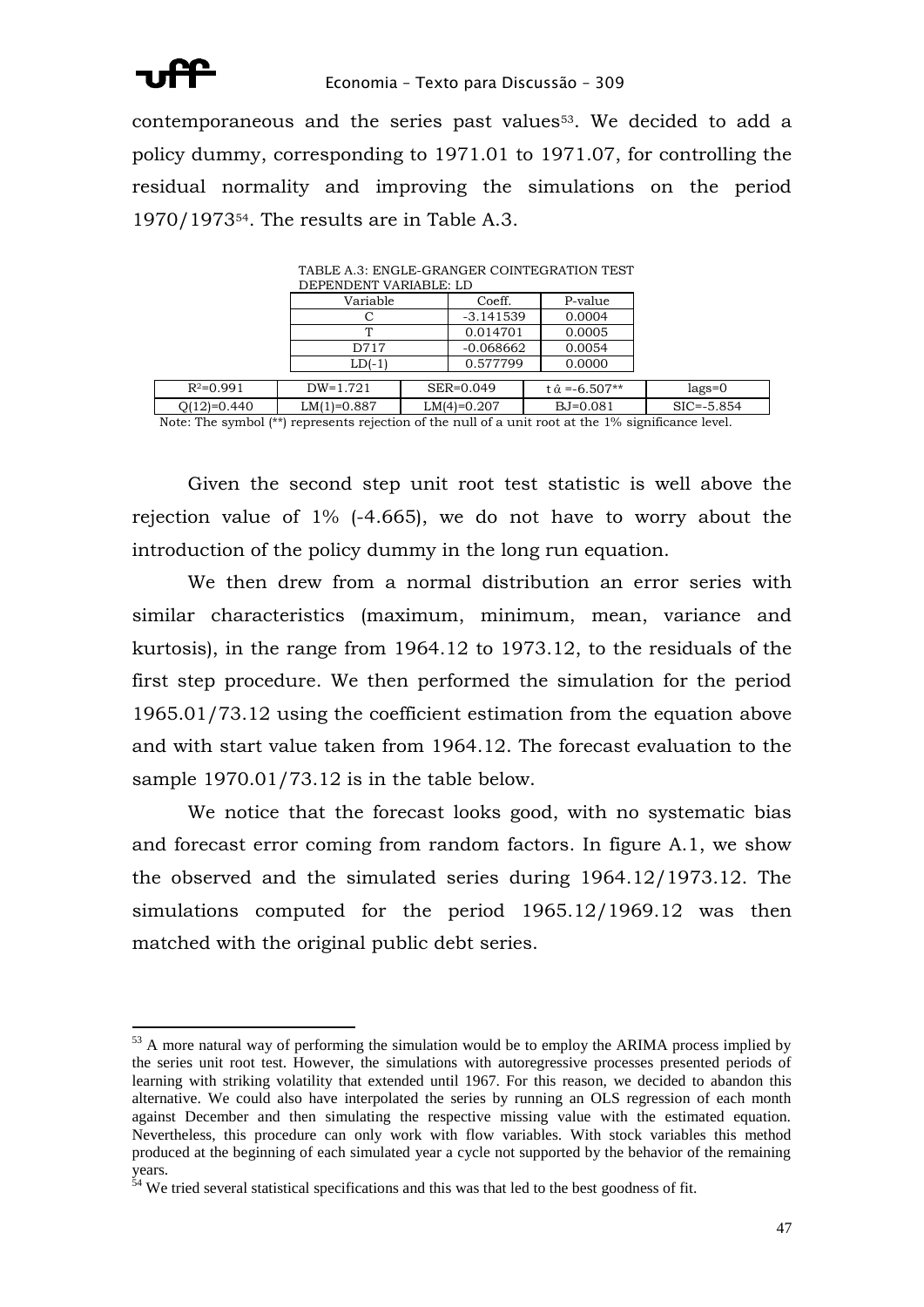

contemporaneous and the series past values53. We decided to add a policy dummy, corresponding to 1971.01 to 1971.07, for controlling the residual normality and improving the simulations on the period 1970/197354. The results are in Table A.3.

| DEPENDENT VARIABLE: LD |               |  |               |                           |                |  |
|------------------------|---------------|--|---------------|---------------------------|----------------|--|
|                        | Variable      |  |               | P-value                   |                |  |
|                        |               |  | -3.141539     | 0.0004                    |                |  |
|                        |               |  | 0.014701      | 0.0005                    |                |  |
|                        | D717          |  | $-0.068662$   | 0.0054                    |                |  |
|                        | $LD(-1)$      |  | 0.577799      | 0.0000                    |                |  |
| $R^2=0.991$            | $DW=1.721$    |  | SER=0.049     | $\hat{\alpha} = -6.507**$ | $lags=0$       |  |
|                        |               |  |               |                           |                |  |
| $Q(12)=0.440$          | $LM(1)=0.887$ |  | $LM(4)=0.207$ | $BJ=0.081$                | $SIC = -5.854$ |  |

TABLE A.3: ENGLE-GRANGER COINTEGRATION TEST

Note: The symbol (\*\*) represents rejection of the null of a unit root at the 1% significance level.

Given the second step unit root test statistic is well above the rejection value of 1% (-4.665), we do not have to worry about the introduction of the policy dummy in the long run equation.

We then drew from a normal distribution an error series with similar characteristics (maximum, minimum, mean, variance and kurtosis), in the range from 1964.12 to 1973.12, to the residuals of the first step procedure. We then performed the simulation for the period 1965.01/73.12 using the coefficient estimation from the equation above and with start value taken from 1964.12. The forecast evaluation to the sample 1970.01/73.12 is in the table below.

We notice that the forecast looks good, with no systematic bias and forecast error coming from random factors. In figure A.1, we show the observed and the simulated series during 1964.12/1973.12. The simulations computed for the period 1965.12/1969.12 was then matched with the original public debt series.

 $53$  A more natural way of performing the simulation would be to employ the ARIMA process implied by the series unit root test. However, the simulations with autoregressive processes presented periods of learning with striking volatility that extended until 1967. For this reason, we decided to abandon this alternative. We could also have interpolated the series by running an OLS regression of each month against December and then simulating the respective missing value with the estimated equation. Nevertheless, this procedure can only work with flow variables. With stock variables this method produced at the beginning of each simulated year a cycle not supported by the behavior of the remaining years.

<sup>&</sup>lt;sup>54</sup> We tried several statistical specifications and this was that led to the best goodness of fit.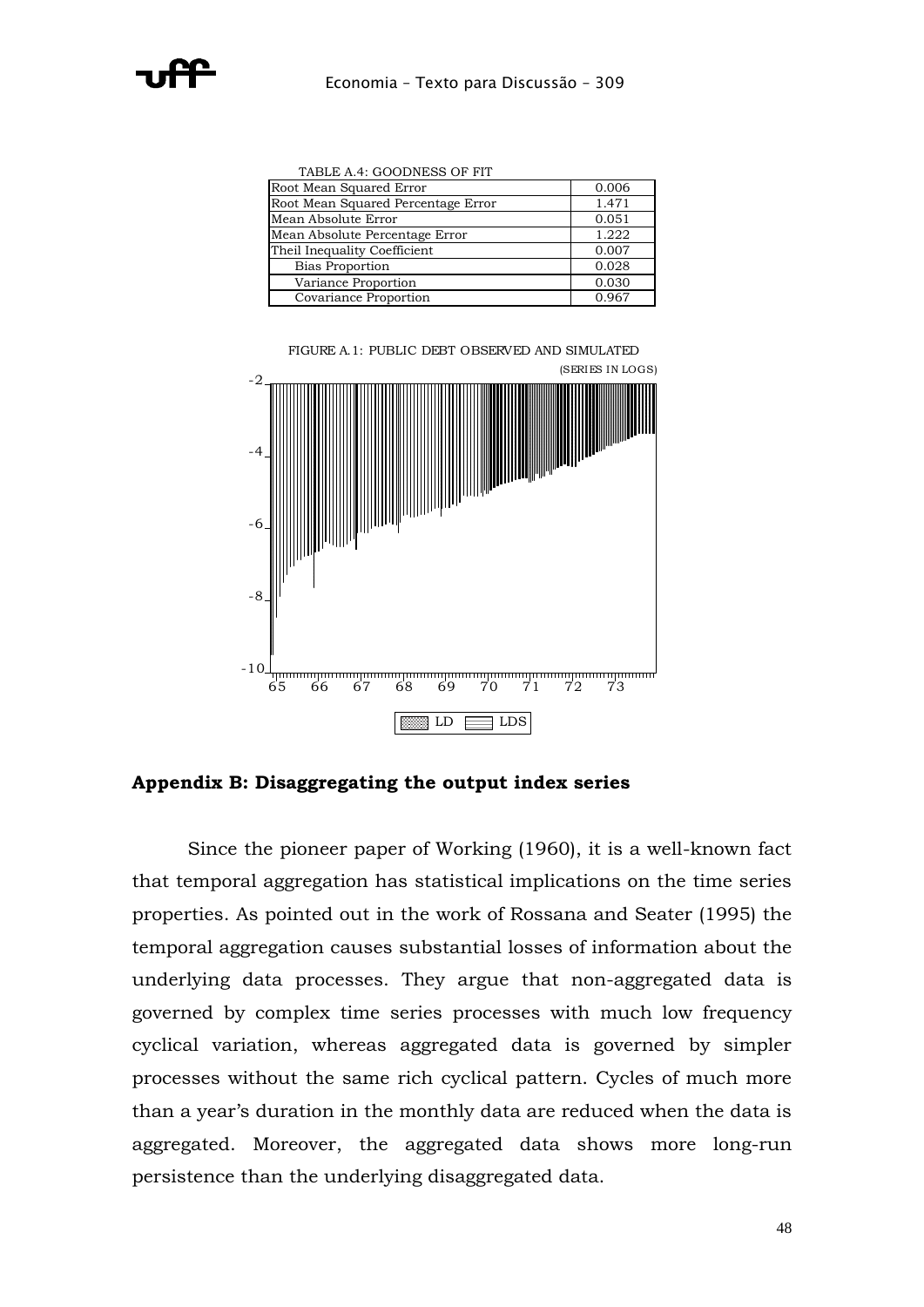TABLE A.4: GOODNESS OF FIT

| Root Mean Squared Error            | 0.006 |
|------------------------------------|-------|
| Root Mean Squared Percentage Error | 1.471 |
| Mean Absolute Error                | 0.051 |
| Mean Absolute Percentage Error     | 1.222 |
| Theil Inequality Coefficient       | 0.007 |
| <b>Bias Proportion</b>             | 0.028 |
| Variance Proportion                | 0.030 |
| Covariance Proportion              | 0.967 |

FIGURE A.1: PUBLIC DEBT OBSERVED AND SIMULATED (SERIES IN LOGS)



**Appendix B: Disaggregating the output index series**

Since the pioneer paper of Working (1960), it is a well-known fact that temporal aggregation has statistical implications on the time series properties. As pointed out in the work of Rossana and Seater (1995) the temporal aggregation causes substantial losses of information about the underlying data processes. They argue that non-aggregated data is governed by complex time series processes with much low frequency cyclical variation, whereas aggregated data is governed by simpler processes without the same rich cyclical pattern. Cycles of much more than a year's duration in the monthly data are reduced when the data is aggregated. Moreover, the aggregated data shows more long-run persistence than the underlying disaggregated data.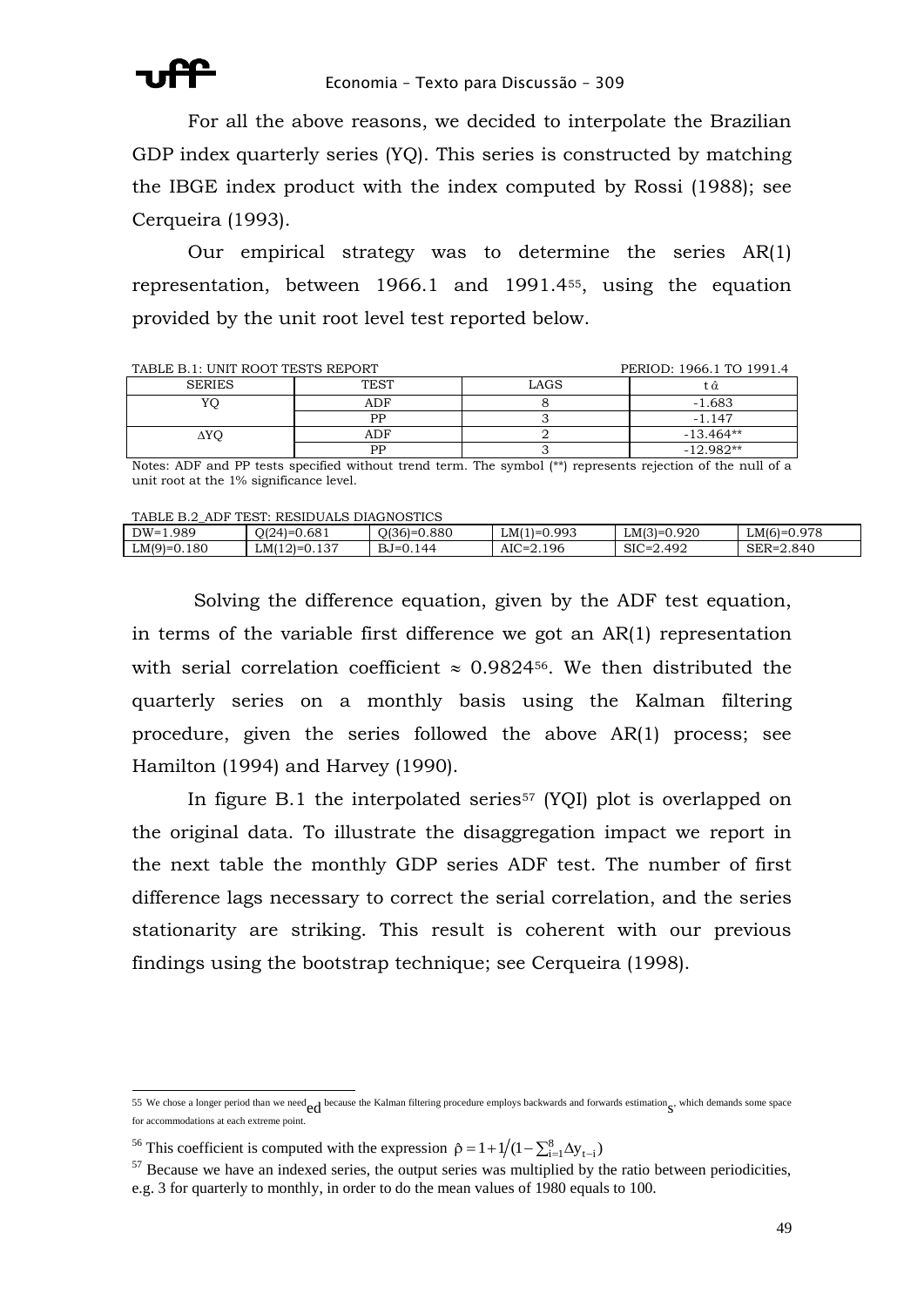For all the above reasons, we decided to interpolate the Brazilian GDP index quarterly series (YQ). This series is constructed by matching the IBGE index product with the index computed by Rossi (1988); see Cerqueira (1993).

Our empirical strategy was to determine the series AR(1) representation, between 1966.1 and 1991.455, using the equation provided by the unit root level test reported below.

| TABLE B.1: UNIT ROOT TESTS REPORT |             |           | PERIOD: 1966.1 TO 1991.4 |
|-----------------------------------|-------------|-----------|--------------------------|
| <b>SERIES</b>                     | <b>TEST</b> | LAGS      | Ω                        |
| YС                                | ADF         |           | $-1.683$                 |
|                                   | РP          |           | $-1.147$                 |
| ΔYO                               | ADF         |           | $-13.464**$              |
|                                   | PP          |           | $-12.982**$              |
| _____<br>.<br>___                 |             | .<br>$-1$ | .                        |

Notes: ADF and PP tests specified without trend term. The symbol (\*\*) represents rejection of the null of a unit root at the 1% significance level.

TABLE B.2\_ADF TEST: RESIDUALS DIAGNOSTICS

| 989<br>$DW =$     | .681<br>$\bigcap_{1 \leq j \leq n} \bigcup_{i=1}^{n}$<br>. | .880<br>$\sim$ 10 $\sim$<br>)1.361=1 | 0.993<br>' اللاب<br>$1 = 1$ | 0.920<br>$LM(3)=C$                | 978<br>$LMl^r$     |  |
|-------------------|------------------------------------------------------------|--------------------------------------|-----------------------------|-----------------------------------|--------------------|--|
| .180<br>$LM(9)=C$ | 0.137<br>∟MI ∶<br>$\lfloor 2 \rfloor = 1$                  | ' 44<br>$\Gamma = 0.1$               | 2.196<br>$AIC =$            | .492<br>$\gamma$ IO.<br>`='<br>OК | 2.840<br>$SER = 2$ |  |
|                   |                                                            |                                      |                             |                                   |                    |  |

Solving the difference equation, given by the ADF test equation, in terms of the variable first difference we got an AR(1) representation with serial correlation coefficient  $\approx 0.9824$ <sup>56</sup>. We then distributed the quarterly series on a monthly basis using the Kalman filtering procedure, given the series followed the above AR(1) process; see Hamilton (1994) and Harvey (1990).

In figure B.1 the interpolated series<sup>57</sup> (YQI) plot is overlapped on the original data. To illustrate the disaggregation impact we report in the next table the monthly GDP series ADF test. The number of first difference lags necessary to correct the serial correlation, and the series stationarity are striking. This result is coherent with our previous findings using the bootstrap technique; see Cerqueira (1998).

<sup>1</sup> 55 We chose a longer period than we need  $ed$  because the Kalman filtering procedure employs backwards and forwards estimation  $s$ , which demands some space for accommodations at each extreme point.

<sup>&</sup>lt;sup>56</sup> This coefficient is computed with the expression  $\hat{\rho} = 1 + 1/(1 - \sum_{i=1}^{8} \Delta y_{t-i})$ 

 $<sup>57</sup>$  Because we have an indexed series, the output series was multiplied by the ratio between periodicities,</sup> e.g. 3 for quarterly to monthly, in order to do the mean values of 1980 equals to 100.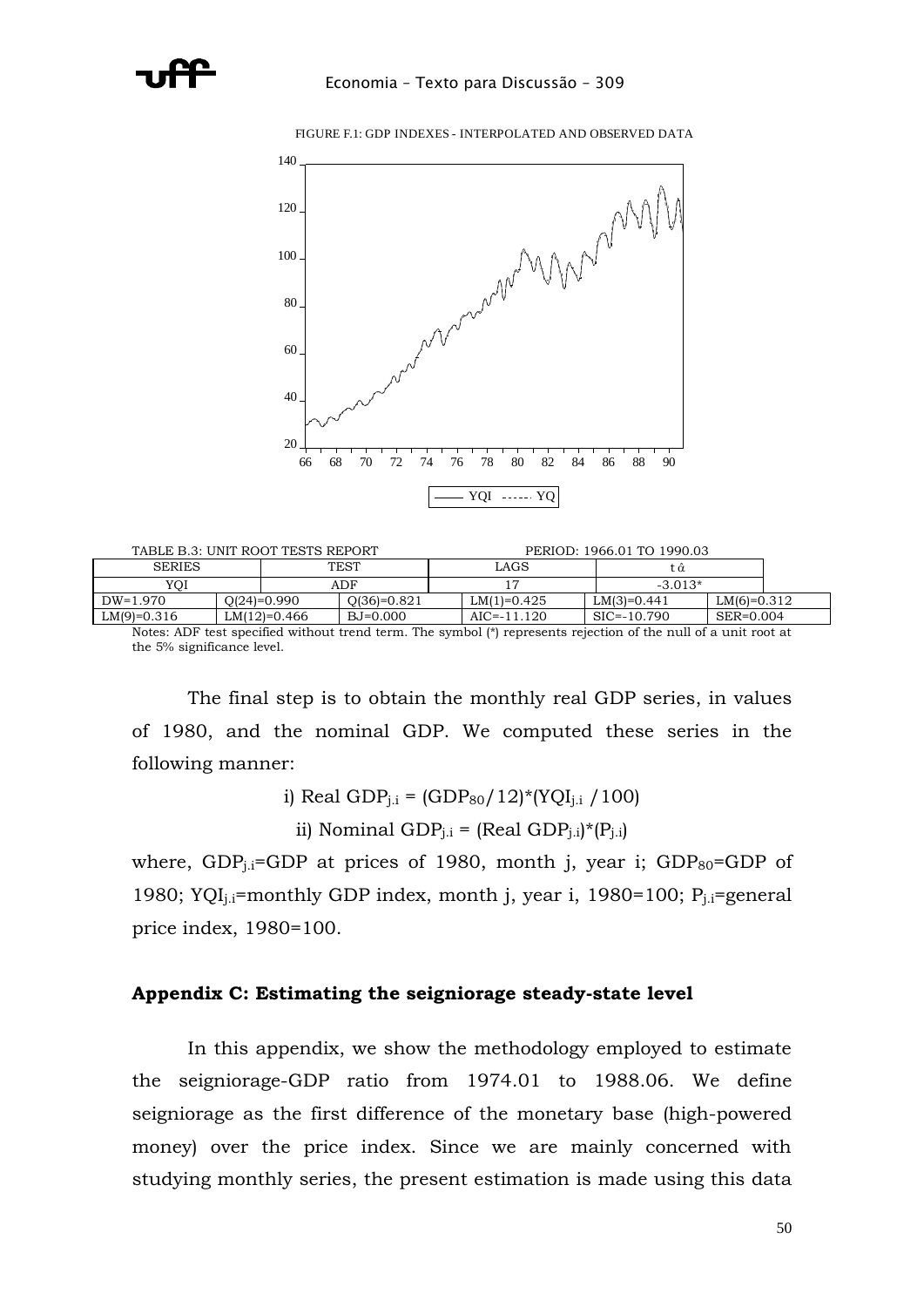

FIGURE F.1: GDP INDEXES - INTERPOLATED AND OBSERVED DATA

| TABLE B.3: UNIT ROOT TESTS REPORT |  |                |               | PERIOD: 1966.01 TO 1990.03 |                 |  |                 |               |  |
|-----------------------------------|--|----------------|---------------|----------------------------|-----------------|--|-----------------|---------------|--|
| <b>SERIES</b>                     |  |                | <b>TEST</b>   |                            | LAGS            |  | : α             |               |  |
| YOI                               |  |                | ADF           |                            |                 |  | $-3.013*$       |               |  |
| $DW=1.970$                        |  | $O(24)=0.990$  | $Q(36)=0.821$ |                            | $LM(1)=0.425$   |  | $LM(3)=0.441$   | $LM(6)=0.312$ |  |
| $LM(9)=0.316$                     |  | $LM(12)=0.466$ | BJ=0.000      |                            | $AIC = -11.120$ |  | $SIC = -10.790$ | SER=0.004     |  |

Notes: ADF test specified without trend term. The symbol (\*) represents rejection of the null of a unit root at the 5% significance level.

The final step is to obtain the monthly real GDP series, in values of 1980, and the nominal GDP. We computed these series in the following manner:

i) Real GDP<sub>j.i</sub> =  $(GDP_{80}/12)$ \*(YQI<sub>j.i</sub> / 100)

ii) Nominal GDP<sub>i.i</sub> = (Real GDP<sub>i.i</sub>)\*(P<sub>i.i</sub>)

where, GDP<sub>i.i</sub>=GDP at prices of 1980, month j, year i; GDP $_{80}$ =GDP of 1980; YQI<sub>i.i</sub>=monthly GDP index, month j, year i, 1980=100; P<sub>i.i</sub>=general price index, 1980=100.

## **Appendix C: Estimating the seigniorage steady-state level**

In this appendix, we show the methodology employed to estimate the seigniorage-GDP ratio from 1974.01 to 1988.06. We define seigniorage as the first difference of the monetary base (high-powered money) over the price index. Since we are mainly concerned with studying monthly series, the present estimation is made using this data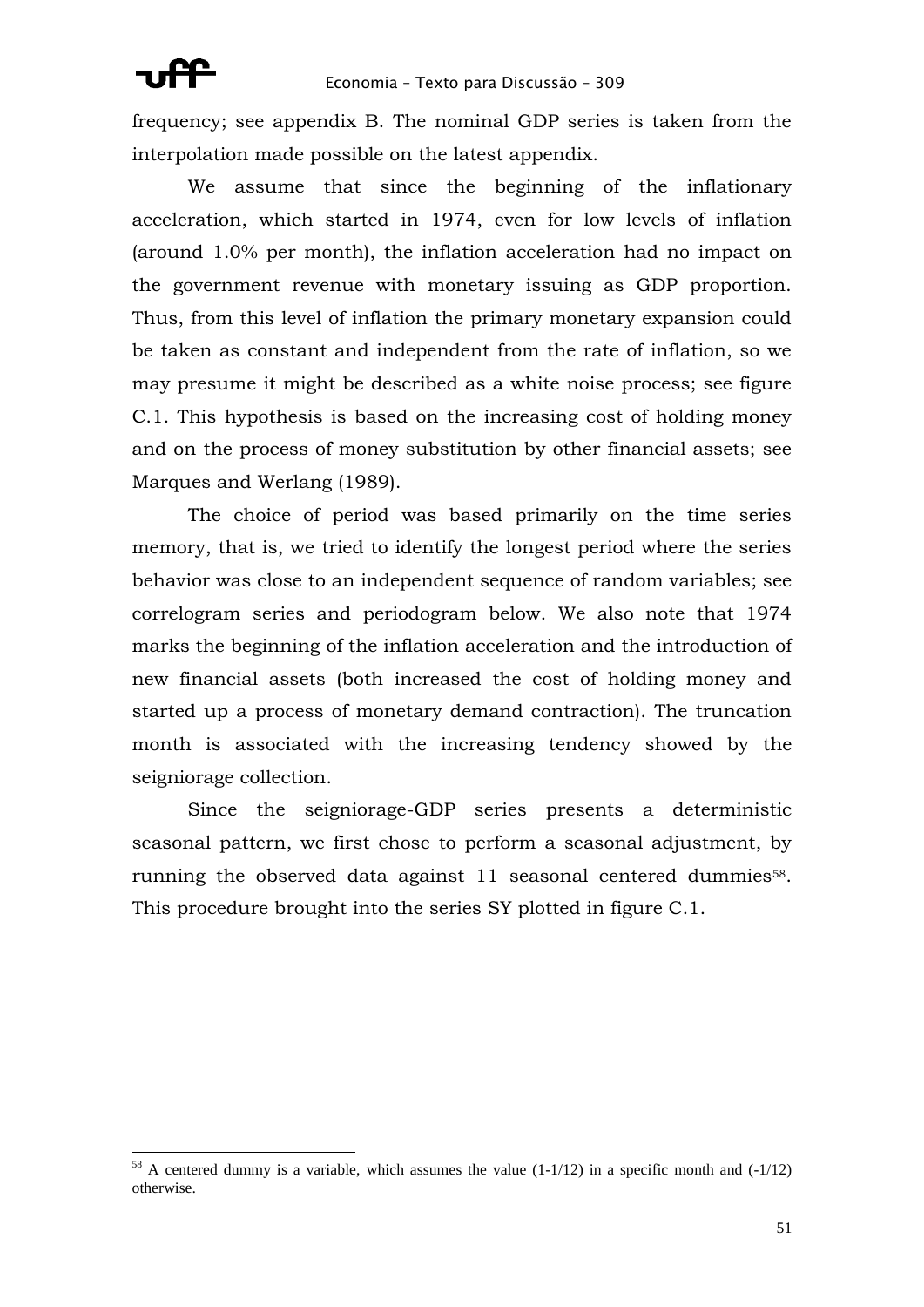frequency; see appendix B. The nominal GDP series is taken from the interpolation made possible on the latest appendix.

We assume that since the beginning of the inflationary acceleration, which started in 1974, even for low levels of inflation (around 1.0% per month), the inflation acceleration had no impact on the government revenue with monetary issuing as GDP proportion. Thus, from this level of inflation the primary monetary expansion could be taken as constant and independent from the rate of inflation, so we may presume it might be described as a white noise process; see figure C.1. This hypothesis is based on the increasing cost of holding money and on the process of money substitution by other financial assets; see Marques and Werlang (1989).

The choice of period was based primarily on the time series memory, that is, we tried to identify the longest period where the series behavior was close to an independent sequence of random variables; see correlogram series and periodogram below. We also note that 1974 marks the beginning of the inflation acceleration and the introduction of new financial assets (both increased the cost of holding money and started up a process of monetary demand contraction). The truncation month is associated with the increasing tendency showed by the seigniorage collection.

Since the seigniorage-GDP series presents a deterministic seasonal pattern, we first chose to perform a seasonal adjustment, by running the observed data against 11 seasonal centered dummies<sup>58</sup>. This procedure brought into the series SY plotted in figure C.1.

 $58$  A centered dummy is a variable, which assumes the value (1-1/12) in a specific month and (-1/12) otherwise.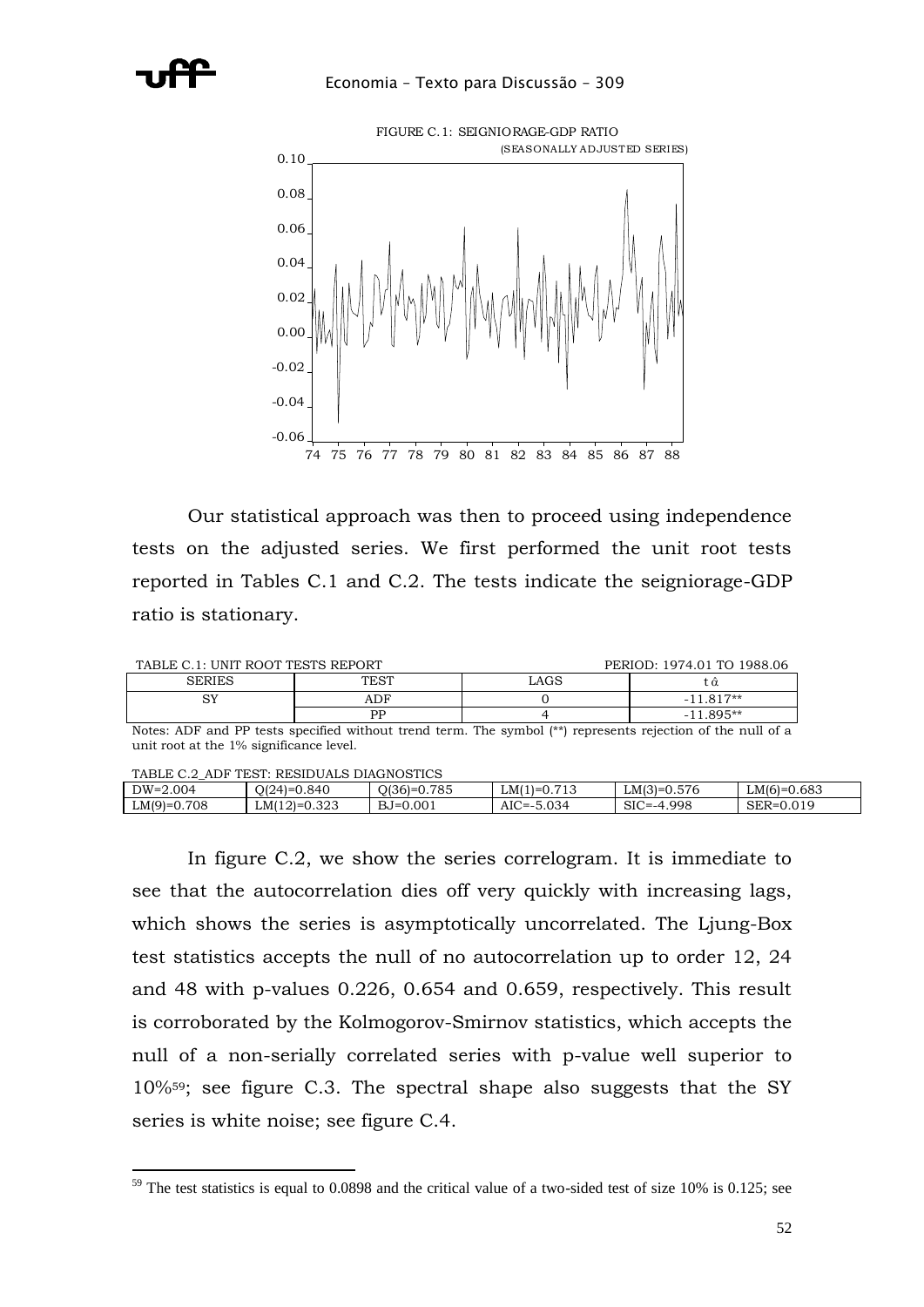

Our statistical approach was then to proceed using independence tests on the adjusted series. We first performed the unit root tests reported in Tables C.1 and C.2. The tests indicate the seigniorage-GDP ratio is stationary.

| TABLE C.1: UNIT ROOT TESTS REPORT |      | PERIOD: 1974.01 TO 1988.06 |             |
|-----------------------------------|------|----------------------------|-------------|
| <b>SERIES</b>                     | TEST | _AGS                       |             |
| ςv                                | ADF  |                            | $-11.817**$ |
|                                   | РP   |                            | $-11.895**$ |

Notes: ADF and PP tests specified without trend term. The symbol (\*\*) represents rejection of the null of a unit root at the 1% significance level.

| TABLE<br>ADF TEST:<br>RESIDUALS DIAGNOSTICS |                   |                    |                |                     |               |  |
|---------------------------------------------|-------------------|--------------------|----------------|---------------------|---------------|--|
| $DW=2.004$                                  | .840<br>$O(24)=0$ | 0.785<br>$O(36)=0$ | $LM(1)=0.713$  | $LM(3)=0.576$       | $LM(6)=0.683$ |  |
| 0.708<br>$LM(9)=C$                          | $LM(12)=0.323$    | $BJ=0.001$         | $AIC = -5.034$ | .998<br>SIC<br>`=_4 | SER=0.019     |  |

In figure C.2, we show the series correlogram. It is immediate to see that the autocorrelation dies off very quickly with increasing lags, which shows the series is asymptotically uncorrelated. The Ljung-Box test statistics accepts the null of no autocorrelation up to order 12, 24 and 48 with p-values 0.226, 0.654 and 0.659, respectively. This result is corroborated by the Kolmogorov-Smirnov statistics, which accepts the null of a non-serially correlated series with p-value well superior to 10%59; see figure C.3. The spectral shape also suggests that the SY series is white noise; see figure C.4.

<sup>1</sup> <sup>59</sup> The test statistics is equal to 0.0898 and the critical value of a two-sided test of size 10% is 0.125; see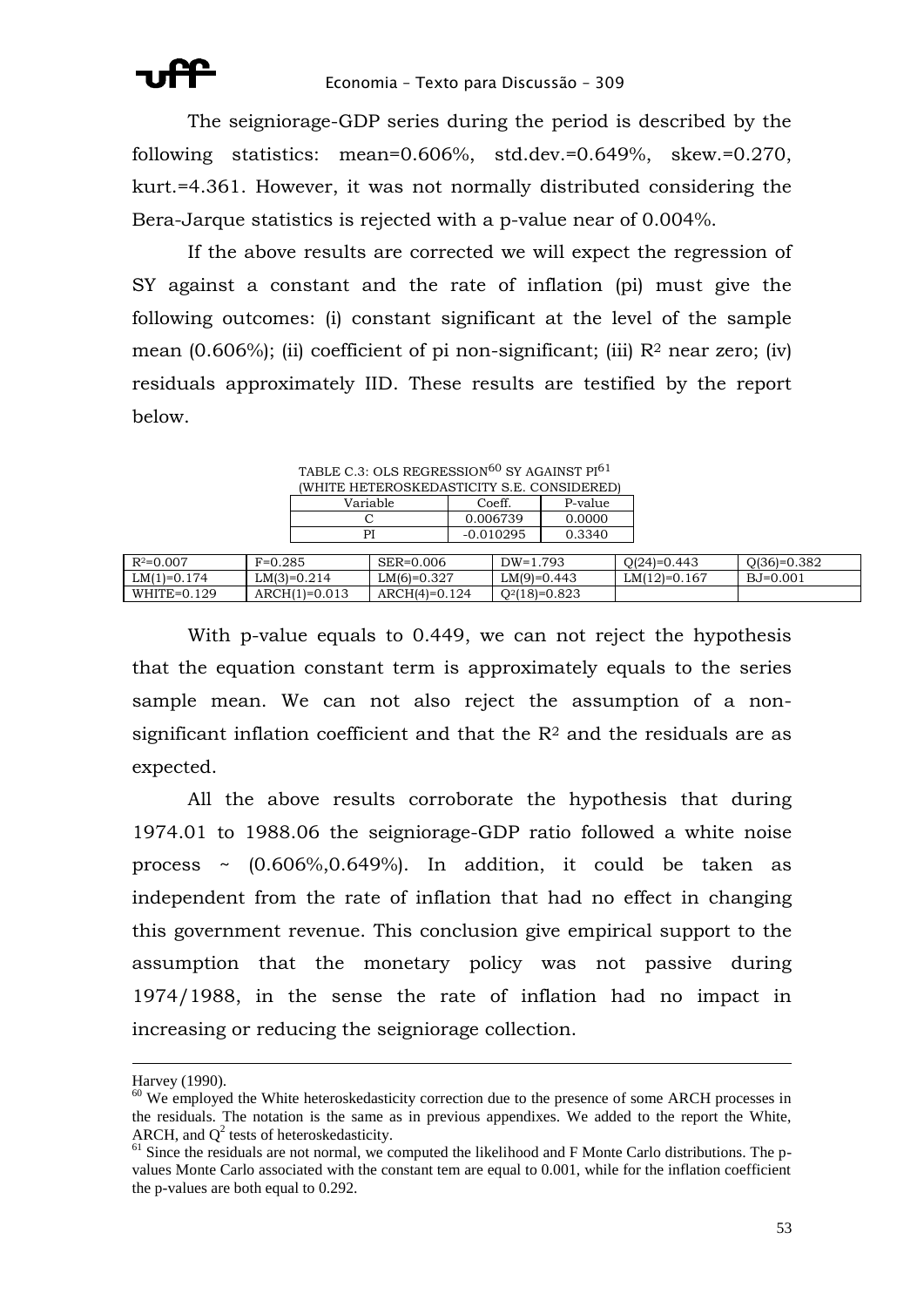The seigniorage-GDP series during the period is described by the following statistics: mean=0.606%, std.dev.=0.649%, skew.=0.270, kurt.=4.361. However, it was not normally distributed considering the Bera-Jarque statistics is rejected with a p-value near of 0.004%.

If the above results are corrected we will expect the regression of SY against a constant and the rate of inflation (pi) must give the following outcomes: (i) constant significant at the level of the sample mean  $(0.606\%)$ ; (ii) coefficient of pi non-significant; (iii)  $R<sup>2</sup>$  near zero; (iv) residuals approximately IID. These results are testified by the report below.

|               |           | TABLE C.3: OLS REGRESSION <sup>60</sup> SY AGAINST PI <sup>61</sup> |                                            |  |             |         |       |
|---------------|-----------|---------------------------------------------------------------------|--------------------------------------------|--|-------------|---------|-------|
|               |           |                                                                     | (WHITE HETEROSKEDASTICITY S.E. CONSIDERED) |  |             |         |       |
|               |           |                                                                     | Variable                                   |  | Coeff.      | P-value |       |
|               |           |                                                                     |                                            |  | 0.006739    | 0.0000  |       |
|               |           | PI                                                                  |                                            |  | $-0.010295$ | 0.3340  |       |
|               |           |                                                                     |                                            |  |             |         |       |
| $R^2 = 0.007$ | $F=0.285$ |                                                                     | SER=0.006                                  |  | $DW=1.793$  |         | -0.4ا |

| $R^2 = 0.007$     | $F=0.285$       | SER=0.006       | $DW=1.793$      | Q(24)=0.443    | $O(36)=0.382$ |
|-------------------|-----------------|-----------------|-----------------|----------------|---------------|
| $LM(1)=0.174$     | $LM(3)=0.214$   | $LM(6)=0.327$   | $LM(9)=0.443$   | $LM(12)=0.167$ | BJ=0.001      |
| 0.129<br>WHITE=0. | $ARCH(1)=0.013$ | $ARCH(4)=0.124$ | $Q^2(18)=0.823$ |                |               |

With p-value equals to 0.449, we can not reject the hypothesis that the equation constant term is approximately equals to the series sample mean. We can not also reject the assumption of a nonsignificant inflation coefficient and that the  $R<sup>2</sup>$  and the residuals are as expected.

All the above results corroborate the hypothesis that during 1974.01 to 1988.06 the seigniorage-GDP ratio followed a white noise process  $\sim$  (0.606%,0.649%). In addition, it could be taken as independent from the rate of inflation that had no effect in changing this government revenue. This conclusion give empirical support to the assumption that the monetary policy was not passive during 1974/1988, in the sense the rate of inflation had no impact in increasing or reducing the seigniorage collection.

<u>.</u>

Harvey (1990).

<sup>&</sup>lt;sup>60</sup> We employed the White heteroskedasticity correction due to the presence of some ARCH processes in the residuals. The notation is the same as in previous appendixes. We added to the report the White, ARCH, and  $Q^2$  tests of heteroskedasticity.

 $61$  Since the residuals are not normal, we computed the likelihood and F Monte Carlo distributions. The pvalues Monte Carlo associated with the constant tem are equal to 0.001, while for the inflation coefficient the p-values are both equal to 0.292.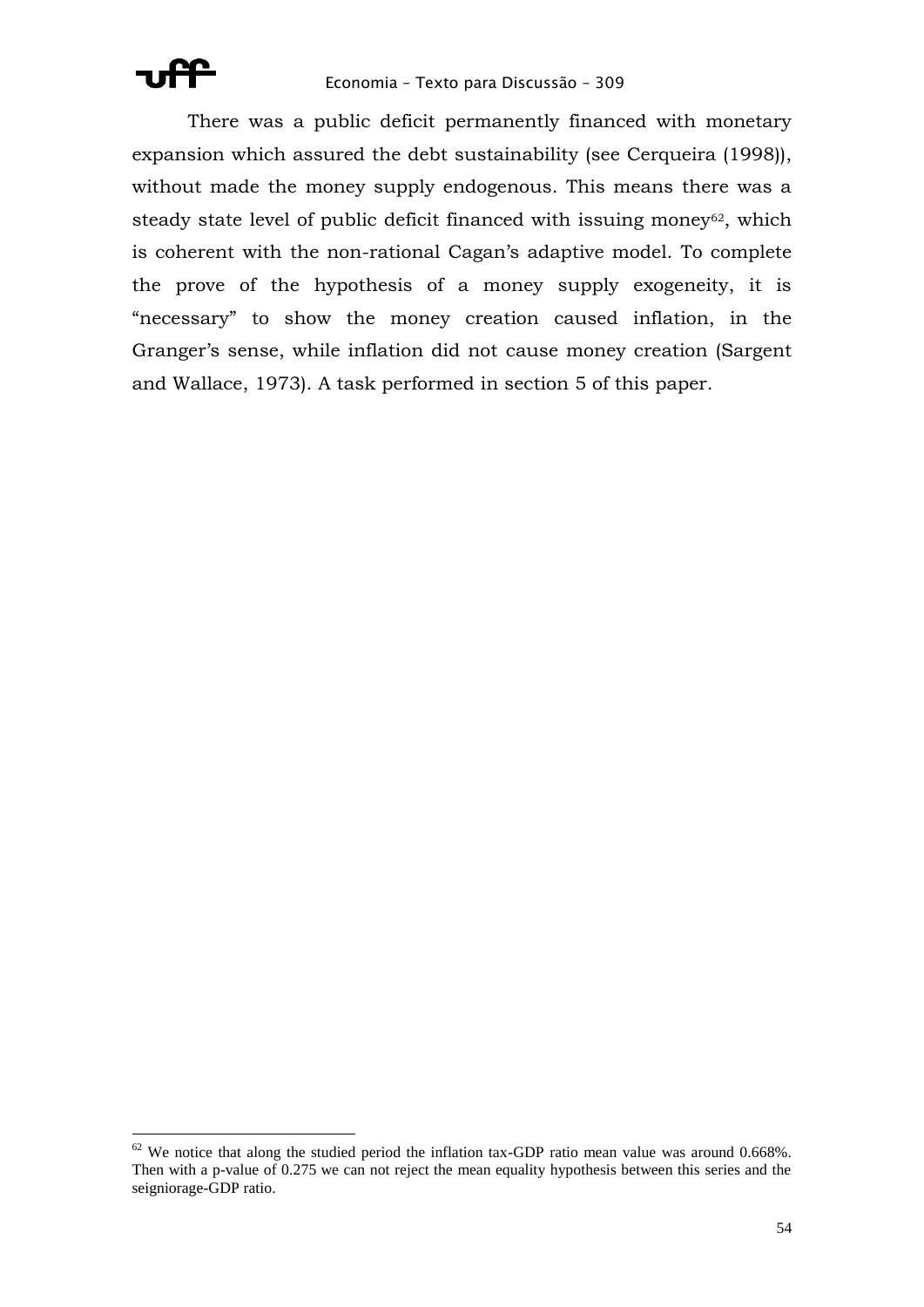

There was a public deficit permanently financed with monetary expansion which assured the debt sustainability (see Cerqueira (1998)), without made the money supply endogenous. This means there was a steady state level of public deficit financed with issuing money<sup>62</sup>, which is coherent with the non-rational Cagan's adaptive model. To complete the prove of the hypothesis of a money supply exogeneity, it is "necessary" to show the money creation caused inflation, in the Granger's sense, while inflation did not cause money creation (Sargent and Wallace, 1973). A task performed in section 5 of this paper.

 $62$  We notice that along the studied period the inflation tax-GDP ratio mean value was around 0.668%. Then with a p-value of 0.275 we can not reject the mean equality hypothesis between this series and the seigniorage-GDP ratio.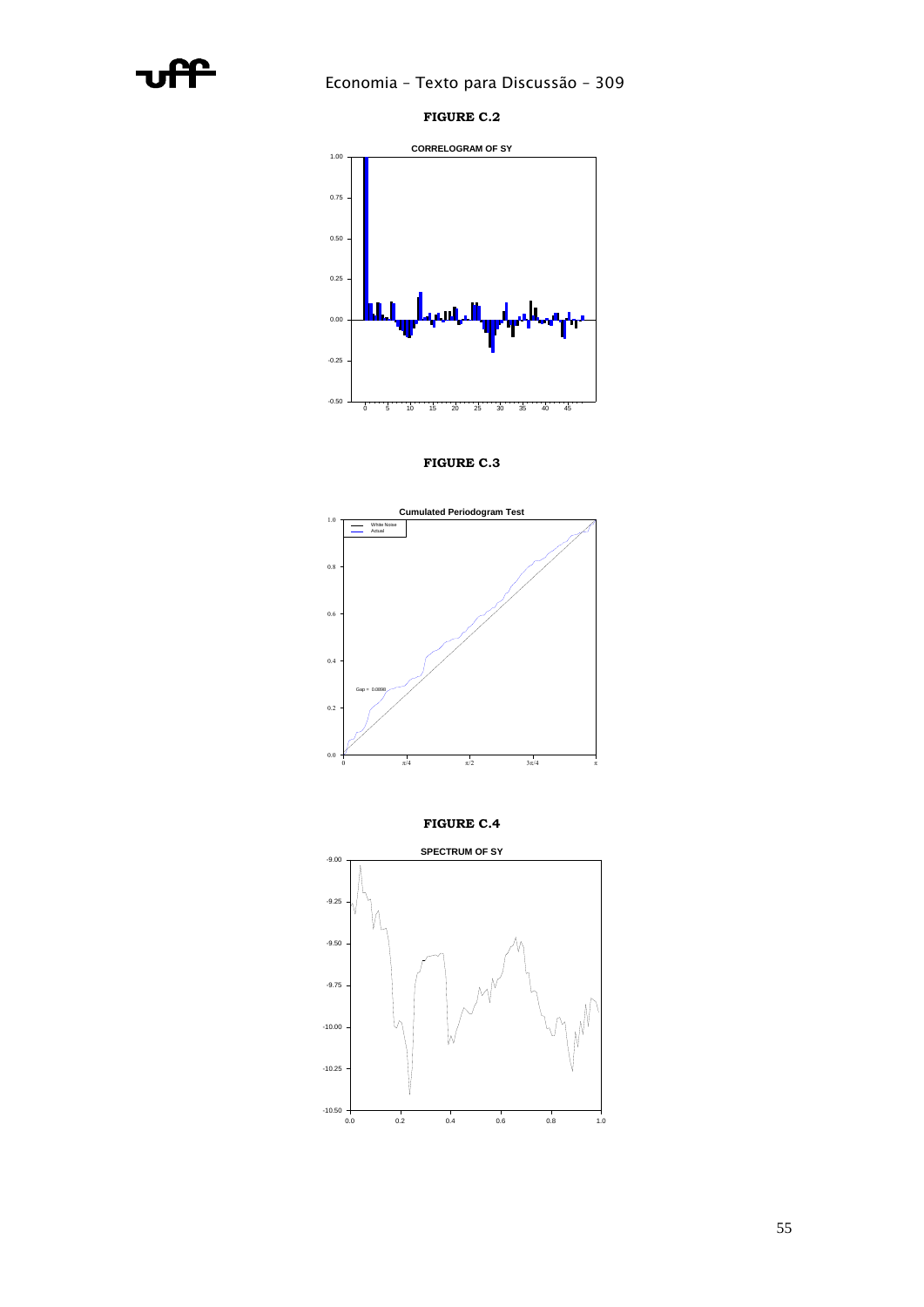





**FIGURE C.3**



**FIGURE C.4**

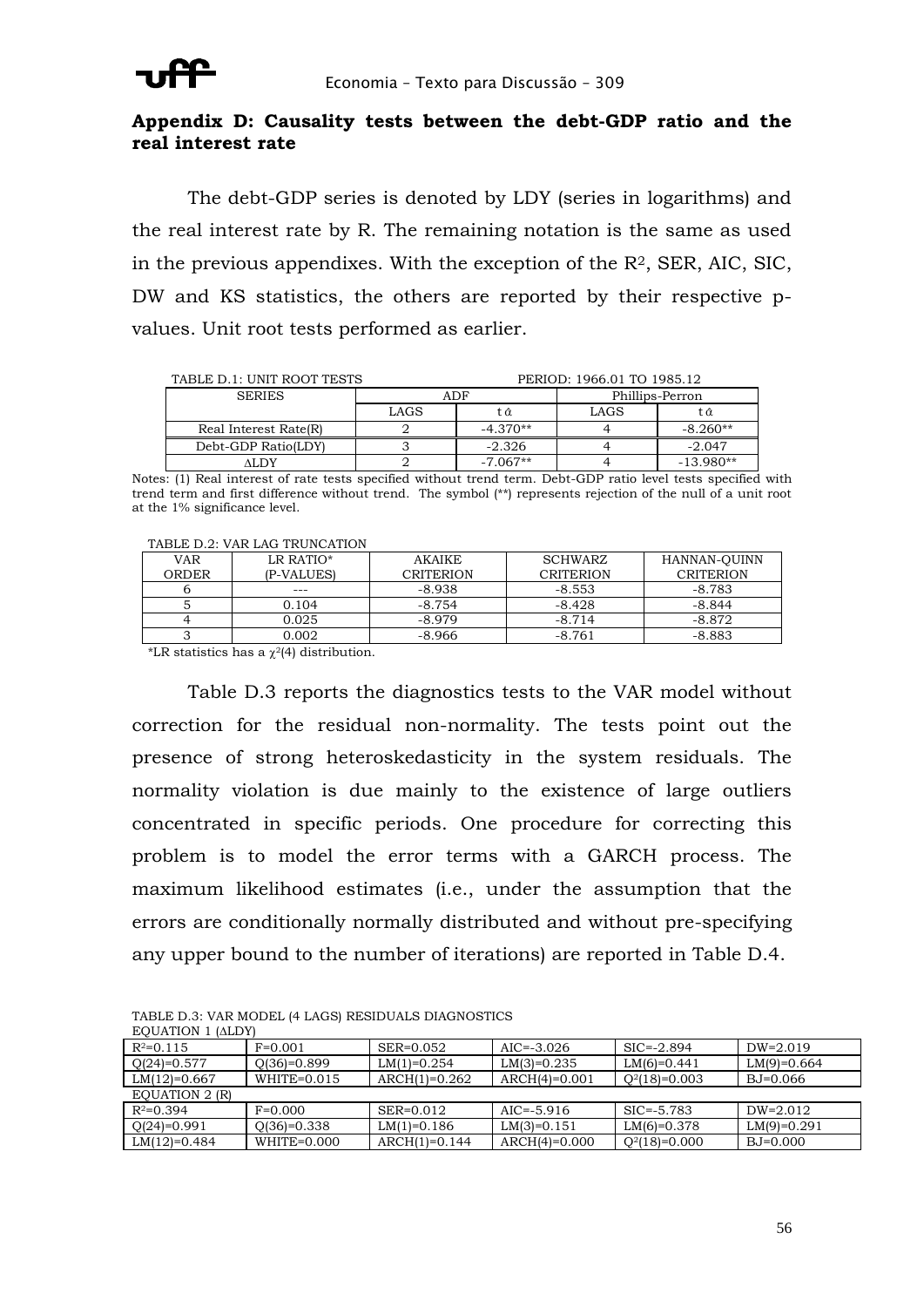

### **Appendix D: Causality tests between the debt-GDP ratio and the real interest rate**

The debt-GDP series is denoted by LDY (series in logarithms) and the real interest rate by R. The remaining notation is the same as used in the previous appendixes. With the exception of the  $R<sup>2</sup>$ , SER, AIC, SIC, DW and KS statistics, the others are reported by their respective pvalues. Unit root tests performed as earlier.

| PERIOD: 1966.01 TO 1985.12<br>TABLE D.1: UNIT ROOT TESTS |      |            |                 |             |
|----------------------------------------------------------|------|------------|-----------------|-------------|
| <b>SERIES</b>                                            |      | ADF        | Phillips-Perron |             |
|                                                          | LAGS | tα         | LAGS            | tα          |
| Real Interest Rate(R)                                    |      | $-4.370**$ |                 | $-8.260**$  |
| Debt-GDP Ratio(LDY)                                      |      | $-2.326$   |                 | $-2.047$    |
| ALDY                                                     |      | $-7.067**$ |                 | $-13.980**$ |

Notes: (1) Real interest of rate tests specified without trend term. Debt-GDP ratio level tests specified with trend term and first difference without trend. The symbol (\*\*) represents rejection of the null of a unit root at the 1% significance level.

|  | TABLE D.2: VAR LAG TRUNCATION |
|--|-------------------------------|
|  |                               |

| <b>VAR</b> | LR RATIO*  | AKAIKE           | <b>SCHWARZ</b>   | HANNAN-OUINN     |
|------------|------------|------------------|------------------|------------------|
| ORDER      | (P-VALUES) | <b>CRITERION</b> | <b>CRITERION</b> | <b>CRITERION</b> |
|            | $---$      | $-8.938$         | $-8.553$         | -8.783           |
|            | 0.104      | $-8.754$         | $-8.428$         | $-8.844$         |
|            | 0.025      | $-8.979$         | $-8.714$         | $-8.872$         |
|            | 0.002      | -8.966           | $-8.761$         | $-8.883$         |

\*LR statistics has a  $\chi^2$ (4) distribution.

Table D.3 reports the diagnostics tests to the VAR model without correction for the residual non-normality. The tests point out the presence of strong heteroskedasticity in the system residuals. The normality violation is due mainly to the existence of large outliers concentrated in specific periods. One procedure for correcting this problem is to model the error terms with a GARCH process. The maximum likelihood estimates (i.e., under the assumption that the errors are conditionally normally distributed and without pre-specifying any upper bound to the number of iterations) are reported in Table D.4.

| EQUATION I (ALD I) |                 |                 |                 |                 |               |
|--------------------|-----------------|-----------------|-----------------|-----------------|---------------|
| $R^2=0.115$        | $F=0.001$       | $SER = 0.052$   | $AIC = -3.026$  | $SIC = -2.894$  | $DW=2.019$    |
| $Q(24)=0.577$      | $Q(36)=0.899$   | $LM(1)=0.254$   | $LM(3)=0.235$   | $LM(6)=0.441$   | $LM(9)=0.664$ |
| LM(12)=0.667       | $WHITE = 0.015$ | $ARCH(1)=0.262$ | $ARCH(4)=0.001$ | $Q^2(18)=0.003$ | BJ=0.066      |
| EQUATION 2 (R)     |                 |                 |                 |                 |               |
| $R^2=0.394$        | $F=0.000$       | $SER = 0.012$   | $AIC = -5.916$  | $SIC = -5.783$  | $DW=2.012$    |
| $Q(24)=0.991$      | $Q(36)=0.338$   | $LM(1)=0.186$   | $LM(3)=0.151$   | $LM(6)=0.378$   | $LM(9)=0.291$ |
| $LM(12)=0.484$     | WHITE=0.000     | $ARCH(1)=0.144$ | $ARCH(4)=0.000$ | $Q^2(18)=0.000$ | BJ=0.000      |

TABLE D.3: VAR MODEL (4 LAGS) RESIDUALS DIAGNOSTICS EQUATION 1 (ALDV)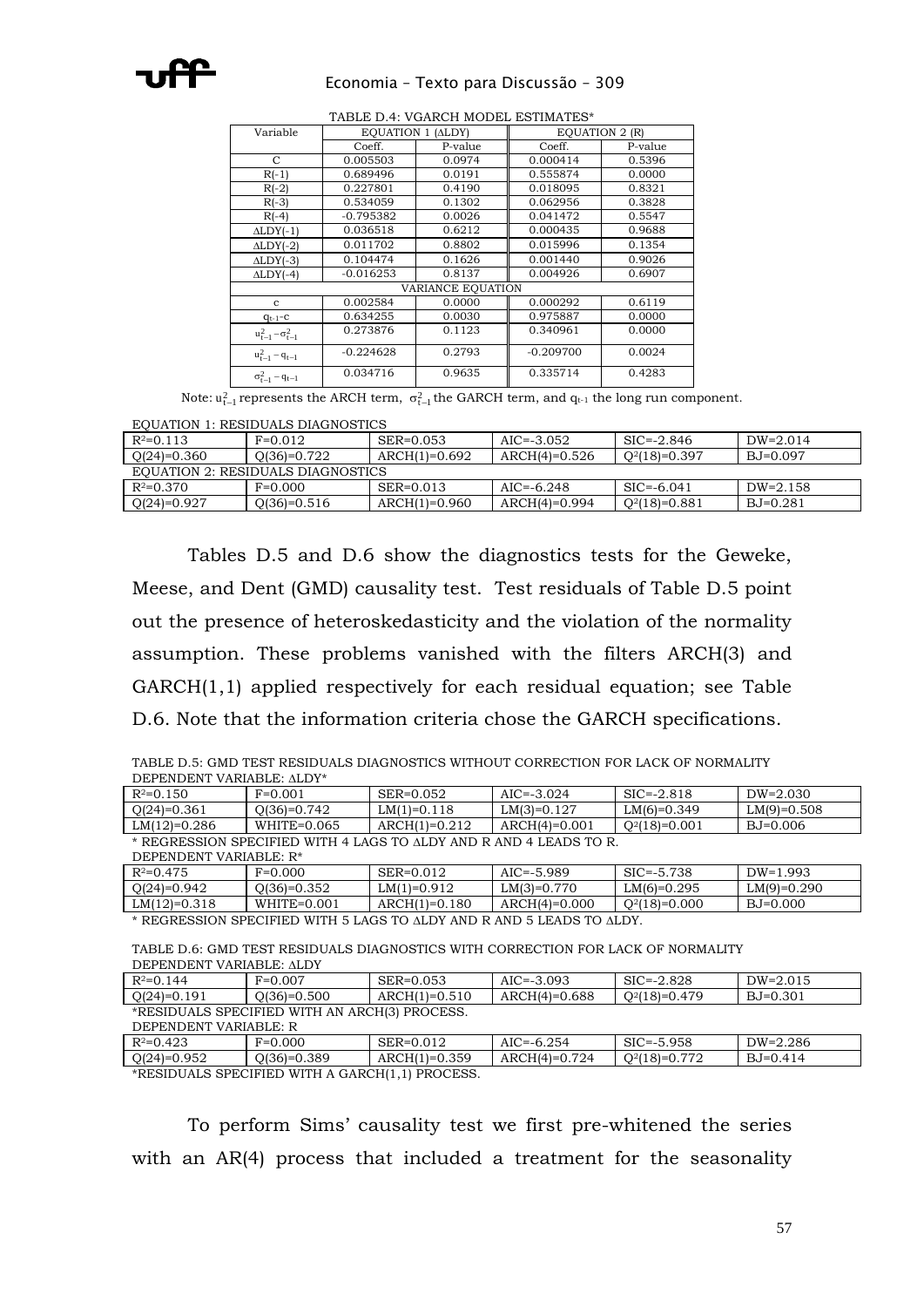### Economia – Texto para Discussão – 309

| Variable                     | EQUATION 1 (ALDY) |                   | <b>EQUATION 2 (R)</b> |         |
|------------------------------|-------------------|-------------------|-----------------------|---------|
|                              | Coeff.            | P-value           | Coeff.                | P-value |
| C                            | 0.005503          | 0.0974            | 0.000414              | 0.5396  |
| $R(-1)$                      | 0.689496          | 0.0191            | 0.555874              | 0.0000  |
| $R(-2)$                      | 0.227801          | 0.4190            | 0.018095              | 0.8321  |
| $R(-3)$                      | 0.534059          | 0.1302            | 0.062956              | 0.3828  |
| $R(-4)$                      | -0.795382         | 0.0026            | 0.041472              | 0.5547  |
| $\triangle LDY(-1)$          | 0.036518          | 0.6212            | 0.000435              | 0.9688  |
| $\triangle LDY(-2)$          | 0.011702          | 0.8802            | 0.015996              | 0.1354  |
| $\triangle LDY(-3)$          | 0.104474          | 0.1626            | 0.001440              | 0.9026  |
| $\triangle LDY(-4)$          | $-0.016253$       | 0.8137            | 0.004926              | 0.6907  |
|                              |                   | VARIANCE EQUATION |                       |         |
| $\mathbf{c}$                 | 0.002584          | 0.0000            | 0.000292              | 0.6119  |
| $q_{t-1}$ -C                 | 0.634255          | 0.0030            | 0.975887              | 0.0000  |
| $u_{t-1}^2 - \sigma_{t-1}^2$ | 0.273876          | 0.1123            | 0.340961              | 0.0000  |
| $u_{t-1}^2 - q_{t-1}$        | $-0.224628$       | 0.2793            | $-0.209700$           | 0.0024  |
| $\sigma_{t-1}^2 - q_{t-1}$   | 0.034716          | 0.9635            | 0.335714              | 0.4283  |

TABLE D.4: VGARCH MODEL ESTIMATES\*

Note:  $\mathfrak{u}^2_{\mathfrak{t}-1}$  represents the ARCH term,  $\sigma^2_{\mathfrak{t}-1}$  the GARCH term, and  $\mathfrak{q}_{\mathfrak{t}^{\mathfrak{t}-1}}$  the long run component.

### EQUATION 1: RESIDUALS DIAGNOSTICS

| $R^2 = 0.113$                     | $F=0.012$     | SER=0.053       | $AIC = -3.052$ | $\text{SIC} = -2.846$ | $DW=2.014$         |
|-----------------------------------|---------------|-----------------|----------------|-----------------------|--------------------|
| $Q(24)=0.360$                     | $Q(36)=0.722$ | ARCH(1)=0.692   | ARCH(4)=0.526  | $Q^2(18)=0.397$       | B <sub>0.097</sub> |
| EQUATION 2: RESIDUALS DIAGNOSTICS |               |                 |                |                       |                    |
| $R^2=0.370$                       | $F=0.000$     | $SER = 0.013$   | $AIC = -6.248$ | $SIC = -6.041$        | $DW=2.158$         |
| $Q(24)=0.927$                     | $Q(36)=0.516$ | $ARCH(1)=0.960$ | ARCH(4)=0.994  | $Q^2(18)=0.881$       | BJ=0.281           |

Tables D.5 and D.6 show the diagnostics tests for the Geweke, Meese, and Dent (GMD) causality test. Test residuals of Table D.5 point out the presence of heteroskedasticity and the violation of the normality assumption. These problems vanished with the filters ARCH(3) and GARCH(1,1) applied respectively for each residual equation; see Table D.6. Note that the information criteria chose the GARCH specifications.

| TABLE D.5: GMD TEST RESIDUALS DIAGNOSTICS WITHOUT CORRECTION FOR LACK OF NORMALITY |  |
|------------------------------------------------------------------------------------|--|
| DEPENDENT VARIABLE: ALDY*                                                          |  |

| $R^2=0.150$                                                                                  | $F=0.001$       | SER=0.052       | $AIC = -3.024$  | $SIC = -2.818$  | $DW=2.030$    |
|----------------------------------------------------------------------------------------------|-----------------|-----------------|-----------------|-----------------|---------------|
| $Q(24)=0.361$                                                                                | $Q(36)=0.742$   | $LM(1)=0.118$   | $LM(3)=0.127$   | $LM(6)=0.349$   | $LM(9)=0.508$ |
| $LM(12)=0.286$                                                                               | $WHITE = 0.065$ | $ARCH(1)=0.212$ | $ARCH(4)=0.001$ | $Q^2(18)=0.001$ | $BJ=0.006$    |
| * REGRESSION SPECIFIED WITH 4 LAGS TO ALDY AND R AND 4 LEADS TO R.<br>DEPENDENT VARIABLE: R* |                 |                 |                 |                 |               |
| $R^2 = 0.475$                                                                                | $F=0.000$       | SER=0.012       | $AIC = -5.989$  | $SIC = -5.738$  | $DW=1.993$    |
| $Q(24)=0.942$                                                                                | $Q(36)=0.352$   | $LM(1)=0.912$   | $LM(3)=0.770$   | $LM(6)=0.295$   | $LM(9)=0.290$ |
| $LM(12)=0.318$                                                                               | $WHITE = 0.001$ | $ARCH(1)=0.180$ | $ARCH(4)=0.000$ | $Q^2(18)=0.000$ | $BJ=0.000$    |
| * REGRESSION SPECIFIED WITH 5 LAGS TO ALDY AND R AND 5 LEADS TO ALDY.                        |                 |                 |                 |                 |               |
| TABLE D.6: GMD TEST RESIDUALS DIAGNOSTICS WITH CORRECTION FOR LACK OF NORMALITY              |                 |                 |                 |                 |               |

| DEPENDENT VARIABLE: ALDY                      |               |                 |                 |                       |                    |
|-----------------------------------------------|---------------|-----------------|-----------------|-----------------------|--------------------|
| $R^2=0.144$                                   | $F=0.007$     | $SER = 0.053$   | $AIC=-3.093$    | $\text{SIC} = -2.828$ | $DW=2.015$         |
| $Q(24)=0.191$                                 | $O(36)=0.500$ | $ARCH(1)=0.510$ | ARCH(4)=0.688   | $Q^2(18)=0.479$       | B <sub>0.301</sub> |
| *RESIDUALS SPECIFIED WITH AN ARCH(3) PROCESS. |               |                 |                 |                       |                    |
| DEPENDENT VARIABLE: R                         |               |                 |                 |                       |                    |
| $R^2=0.423$                                   | $F=0.000$     | $SER = 0.012$   | $AIC = -6.254$  | $SIC = -5.958$        | DW=2.286           |
| $Q(24)=0.952$                                 | $Q(36)=0.389$ | $ARCH(1)=0.359$ | $ARCH(4)=0.724$ | $Q^2(18)=0.772$       | $B1=0.414$         |

\*RESIDUALS SPECIFIED WITH A GARCH(1,1) PROCESS.

To perform Sims' causality test we first pre-whitened the series with an AR(4) process that included a treatment for the seasonality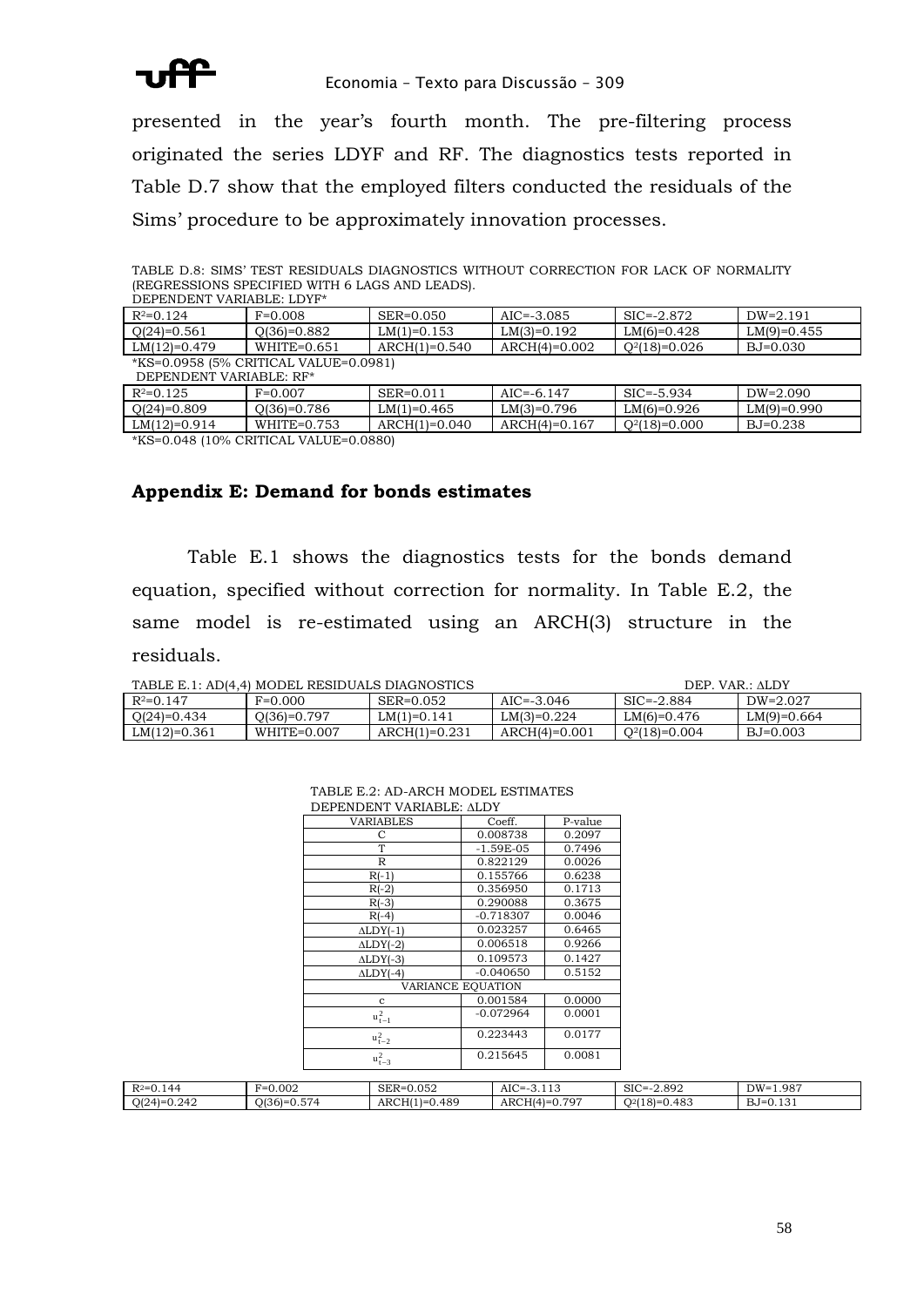

presented in the year's fourth month. The pre-filtering process originated the series LDYF and RF. The diagnostics tests reported in Table D.7 show that the employed filters conducted the residuals of the Sims' procedure to be approximately innovation processes.

| <u>INDONDONO OI DOIMDD WITH O DNOD NND DDIWOL.</u><br>DEPENDENT VARIABLE: LDYF* |                                       |                 |                 |                       |               |
|---------------------------------------------------------------------------------|---------------------------------------|-----------------|-----------------|-----------------------|---------------|
| $R^2=0.124$                                                                     | $F=0.008$                             | SER=0.050       | $AIC = -3.085$  | $\text{SIC} = -2.872$ | $DW=2.191$    |
| $Q(24)=0.561$                                                                   | $Q(36)=0.882$                         | $LM(1)=0.153$   | $LM(3)=0.192$   | $LM(6)=0.428$         | $LM(9)=0.455$ |
| $LM(12)=0.479$                                                                  | $WHITE = 0.651$                       | $ARCH(1)=0.540$ | $ARCH(4)=0.002$ | $Q^2(18)=0.026$       | $BJ=0.030$    |
|                                                                                 | *KS=0.0958 (5% CRITICAL VALUE=0.0981) |                 |                 |                       |               |
| DEPENDENT VARIABLE: RF*                                                         |                                       |                 |                 |                       |               |
| $R^2=0.125$                                                                     | $F=0.007$                             | SER=0.011       | $AIC = -6.147$  | $SIC = -5.934$        | $DW=2.090$    |
| $Q(24)=0.809$                                                                   | $Q(36)=0.786$                         | $LM(1)=0.465$   | $LM(3)=0.796$   | $LM(6)=0.926$         | $LM(9)=0.990$ |
| $LM(12)=0.914$                                                                  | $WHITE = 0.753$                       | $ARCH(1)=0.040$ | $ARCH(4)=0.167$ | $Q^2(18)=0.000$       | $BJ=0.238$    |

TABLE D.8: SIMS' TEST RESIDUALS DIAGNOSTICS WITHOUT CORRECTION FOR LACK OF NORMALITY (REGRESSIONS SPECIFIED WITH 6 LAGS AND LEADS).

\*KS=0.048 (10% CRITICAL VALUE=0.0880)

### **Appendix E: Demand for bonds estimates**

Table E.1 shows the diagnostics tests for the bonds demand equation, specified without correction for normality. In Table E.2, the same model is re-estimated using an ARCH(3) structure in the residuals.

| TABLE E.1: AD(4,4) MODEL RESIDUALS DIAGNOSTICS |  |  |
|------------------------------------------------|--|--|

| TABLE E.1: AD(4,4) MODEL RESIDUALS DIAGNOSTICS |                 |                 |               | $DEF$ $VAR : ALDY$ |               |
|------------------------------------------------|-----------------|-----------------|---------------|--------------------|---------------|
| $R^2=0.147$                                    | $F=0.000$       | SER=0.052       | $AIC=-3.046$  | $SIC = -2.884$     | DW=2.027      |
| $Q(24)=0.434$                                  | $Q(36)=0.797$   | $LM(1)=0.141$   | $LM(3)=0.224$ | $LM(6)=0.476$      | $LM(9)=0.664$ |
| $LM(12)=0.361$                                 | $WHITE = 0.007$ | $ARCH(1)=0.231$ | ARCH(4)=0.001 | $Q^2(18)=0.004$    | $BJ=0.003$    |

| DEPENDENT VARIABLE: ALDY   |                   |         |
|----------------------------|-------------------|---------|
| <b>VARIABLES</b>           | Coeff.            | P-value |
| С                          | 0.008738          | 0.2097  |
| T                          | $-1.59E-05$       | 0.7496  |
| R                          | 0.822129          | 0.0026  |
| $R(-1)$                    | 0.155766          | 0.6238  |
| $R(-2)$                    | 0.356950          | 0.1713  |
| $R(-3)$                    | 0.290088          | 0.3675  |
| $R(-4)$                    | $-0.718307$       | 0.0046  |
| $\triangle LDY(-1)$        | 0.023257          | 0.6465  |
| $\triangle LDY(-2)$        | 0.006518          | 0.9266  |
| $\triangle LDY(-3)$        | 0.109573          | 0.1427  |
| $\triangle LDY(-4)$        | $-0.040650$       | 0.5152  |
|                            | VARIANCE EQUATION |         |
| c                          | 0.001584          | 0.0000  |
| $\mathbf{u}_{\,t-1}^{\,2}$ | $-0.072964$       | 0.0001  |
| $u_{t-2}^2$                | 0.223443          | 0.0177  |
| $u_{t-3}^2$                | 0.215645          | 0.0081  |
|                            |                   |         |

# TABLE E.2: AD-ARCH MODEL ESTIMATES

| $R^2=0$<br>$\sim$ $\sim$<br>$\Delta$<br>$\mathsf{v} \cdot \mathsf{r}$ | 0.002<br>$\sim$<br>$\sim$<br>$F=0$                                   | 0.052<br><b>CIPD</b><br>SER=(          | AIC<br>$\sim$<br>=.<br>. | SIC<br>$-2.892$<br>`≕–             | 1.987<br>$DW =$                                 |
|-----------------------------------------------------------------------|----------------------------------------------------------------------|----------------------------------------|--------------------------|------------------------------------|-------------------------------------------------|
| 0.242<br>$O(24)=$                                                     | $\sim$ 10 $\sim$<br>$-$<br>JI361-<br>. 74<br>$\cup \cdot \cup \cdot$ | 0.489<br>ARCH <sub>(1</sub><br>$l = l$ | 707<br>ARCH<br>HI4       | 0.483<br>$\cap$ 21<br>$R = 0$<br>. | $\mathbf{r}$<br>$\sim$<br>'=ل ک<br><u>v.ivi</u> |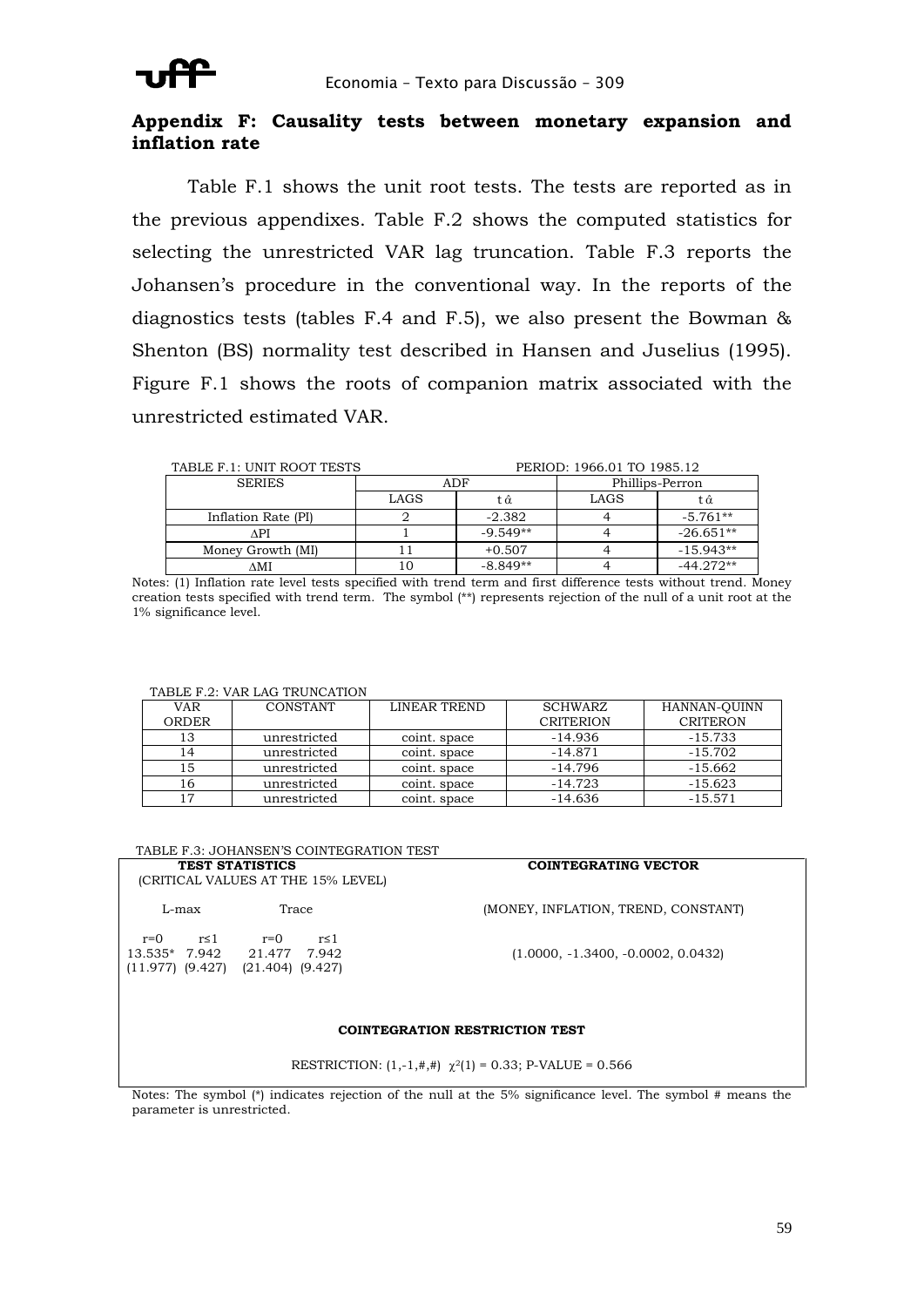## **Appendix F: Causality tests between monetary expansion and inflation rate**

Table F.1 shows the unit root tests. The tests are reported as in the previous appendixes. Table F.2 shows the computed statistics for selecting the unrestricted VAR lag truncation. Table F.3 reports the Johansen's procedure in the conventional way. In the reports of the diagnostics tests (tables F.4 and F.5), we also present the Bowman & Shenton (BS) normality test described in Hansen and Juselius (1995). Figure F.1 shows the roots of companion matrix associated with the unrestricted estimated VAR.

| TABLE F.1: UNIT ROOT TESTS |      |            | PERIOD: 1966.01 TO 1985.12 |                 |
|----------------------------|------|------------|----------------------------|-----------------|
| <b>SERIES</b>              |      | ADF        |                            | Phillips-Perron |
|                            | LAGS | t â        | LAGS                       | tά              |
| Inflation Rate (PI)        |      | $-2.382$   |                            | -5.761**        |
| ۸PI                        |      | $-9.549**$ |                            | $-26.651**$     |
| Money Growth (MI)          |      | $+0.507$   |                            | $-15.943**$     |
| ΛMI                        | 10   | $-8.849**$ |                            | $-44.272**$     |

Notes: (1) Inflation rate level tests specified with trend term and first difference tests without trend. Money creation tests specified with trend term. The symbol (\*\*) represents rejection of the null of a unit root at the 1% significance level.

### TABLE F.2: VAR LAG TRUNCATION

| VAR   | CONSTANT     | LINEAR TREND | <b>SCHWARZ</b>   | HANNAN-QUINN    |
|-------|--------------|--------------|------------------|-----------------|
| ORDER |              |              | <b>CRITERION</b> | <b>CRITERON</b> |
| 13    | unrestricted | coint. space | $-14.936$        | $-15.733$       |
|       | unrestricted | coint, space | $-14.871$        | $-15.702$       |
|       | unrestricted | coint, space | $-14.796$        | $-15.662$       |
| 16    | unrestricted | coint, space | -14.723          | $-15.623$       |
|       | unrestricted | coint, space | -14.636          | $-15.571$       |

| TABLE F.3: JOHANSEN'S COINTEGRATION TEST                     |                                                                                           |                                      |  |  |
|--------------------------------------------------------------|-------------------------------------------------------------------------------------------|--------------------------------------|--|--|
| <b>TEST STATISTICS</b><br>(CRITICAL VALUES AT THE 15% LEVEL) |                                                                                           | <b>COINTEGRATING VECTOR</b>          |  |  |
| L-max                                                        | Trace                                                                                     | (MONEY, INFLATION, TREND, CONSTANT)  |  |  |
| r≤1<br>$r=()$                                                | $r=()$<br>r≤ 1<br>13.535* 7.942 21.477 7.942<br>$(11.977)$ $(9.427)$ $(21.404)$ $(9.427)$ | $(1.0000, -1.3400, -0.0002, 0.0432)$ |  |  |
| <b>COINTEGRATION RESTRICTION TEST</b>                        |                                                                                           |                                      |  |  |

RESTRICTION:  $(1,-1,#,+)$   $\chi^2(1) = 0.33$ ; P-VALUE = 0.566

Notes: The symbol (\*) indicates rejection of the null at the 5% significance level. The symbol # means the parameter is unrestricted.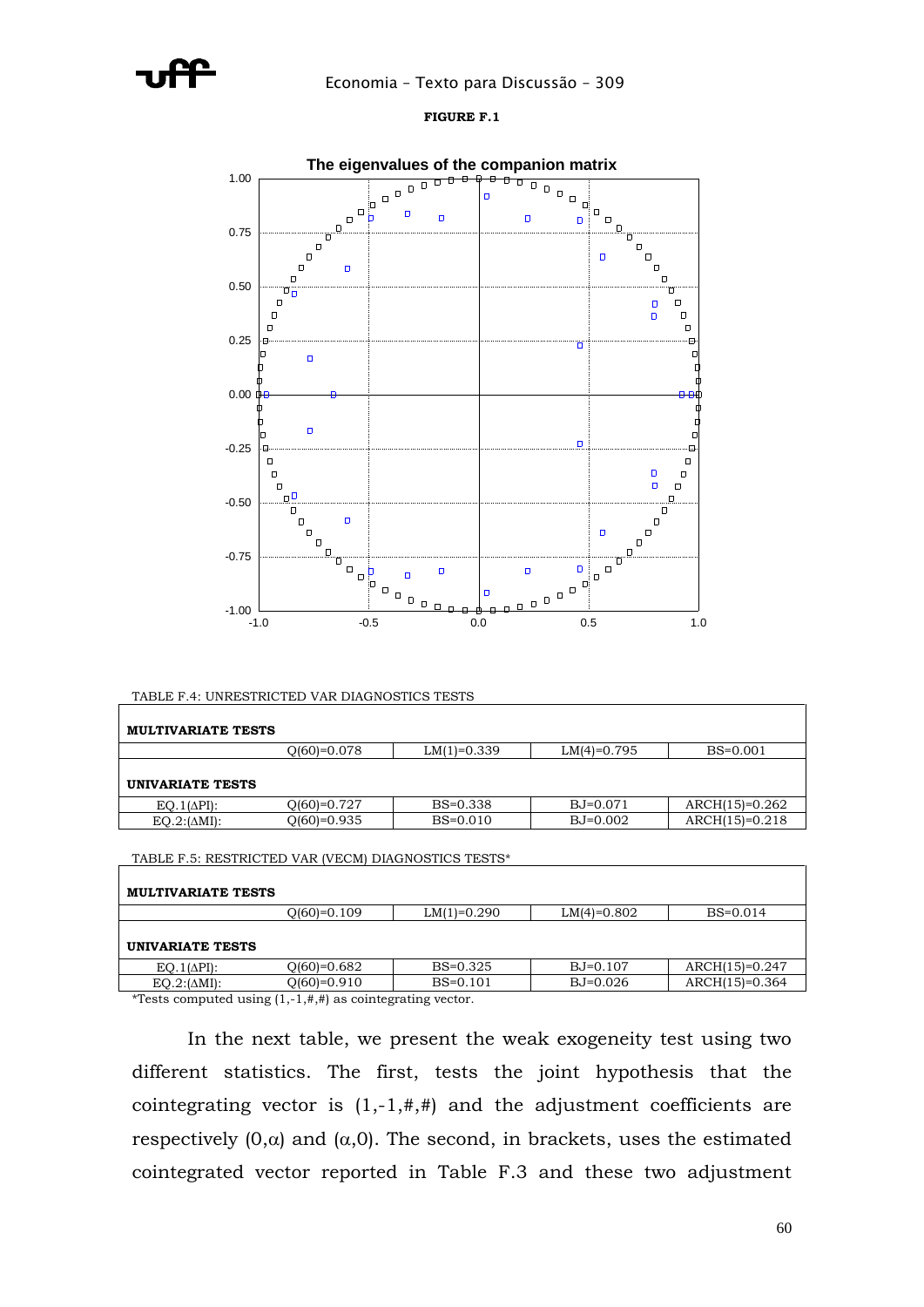

### **FIGURE F.1**



TABLE F.4: UNRESTRICTED VAR DIAGNOSTICS TESTS

| <b>MULTIVARIATE TESTS</b> |             |               |               |                  |
|---------------------------|-------------|---------------|---------------|------------------|
|                           | 0(60)=0.078 | $LM(1)=0.339$ | $LM(4)=0.795$ | $BS = 0.001$     |
| UNIVARIATE TESTS          |             |               |               |                  |
| $EQ.1(\Delta PI)$ :       | 0(60)=0.727 | $BS = 0.338$  | $BJ=0.071$    | $ARCH(15)=0.262$ |
| $EQ.2:(\Delta MI)$ :      | 0(60)=0.935 | $BS = 0.010$  | $BJ=0.002$    | $ARCH(15)=0.218$ |

TABLE F.5: RESTRICTED VAR (VECM) DIAGNOSTICS TESTS\*

| <b>MULTIVARIATE TESTS</b> |               |               |               |                  |  |  |
|---------------------------|---------------|---------------|---------------|------------------|--|--|
|                           | $O(60)=0.109$ | $LM(1)=0.290$ | $LM(4)=0.802$ | $BS = 0.014$     |  |  |
| UNIVARIATE TESTS          |               |               |               |                  |  |  |
| $EO.1(\Delta PI)$ :       | $O(60)=0.682$ | $BS=0.325$    | $BJ=0.107$    | $ARCH(15)=0.247$ |  |  |
| $EO.2:(\Delta MI):$       | $O(60)=0.910$ | $BS = 0.101$  | $BJ=0.026$    | $ARCH(15)=0.364$ |  |  |
|                           |               |               |               |                  |  |  |

\*Tests computed using  $(1,-1,#,+)$  as cointegrating vector.

In the next table, we present the weak exogeneity test using two different statistics. The first, tests the joint hypothesis that the cointegrating vector is  $(1,-1,#,+)$  and the adjustment coefficients are respectively  $(0, \alpha)$  and  $(\alpha, 0)$ . The second, in brackets, uses the estimated cointegrated vector reported in Table F.3 and these two adjustment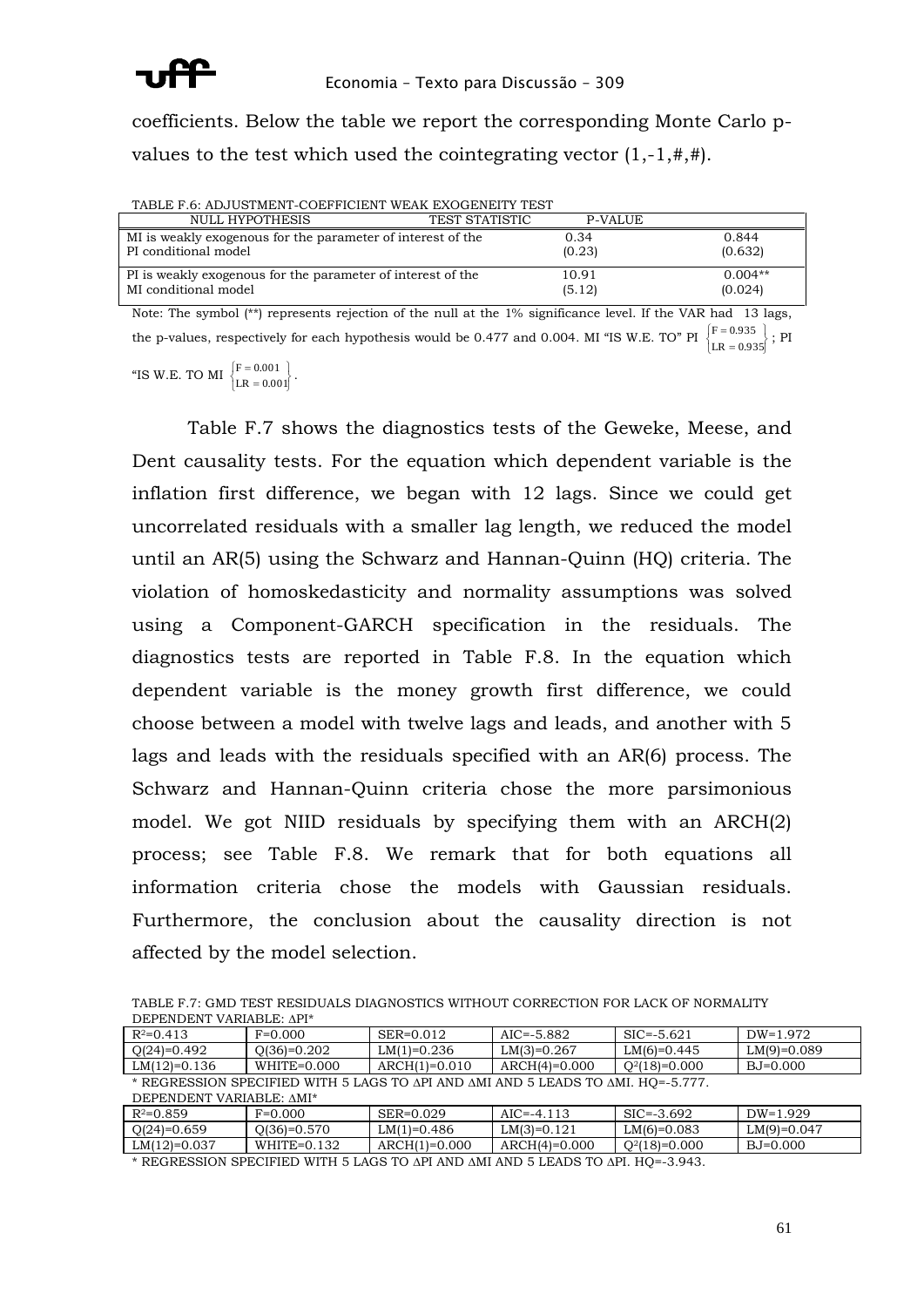

coefficients. Below the table we report the corresponding Monte Carlo pvalues to the test which used the cointegrating vector  $(1,-1,#,+)$ .

| TABLE F.6: ADJUSTMENT-COEFFICIENT WEAK EXOGENEITY TEST      |                       |         |           |
|-------------------------------------------------------------|-----------------------|---------|-----------|
| NULL HYPOTHESIS                                             | <b>TEST STATISTIC</b> | P-VALUE |           |
| MI is weakly exogenous for the parameter of interest of the |                       | 0.34    | 0.844     |
| PI conditional model                                        |                       | (0.23)  | (0.632)   |
| PI is weakly exogenous for the parameter of interest of the |                       | 10.91   | $0.004**$ |
| MI conditional model                                        |                       | (5.12)  | (0.024)   |

Note: The symbol (\*\*) represents rejection of the null at the 1% significance level. If the VAR had 13 lags, the p-values, respectively for each hypothesis would be 0.477 and 0.004. MI "IS W.E. TO" PI  $\begin{cases} F = 0.935 \\ LR = 0.935 \end{cases}$  $\begin{array}{c} \n\downarrow \\
\downarrow\n\end{array}$ ÷, ÷,  $LR = 0.935$  $F = 0.935$ ; PI =

"IS W.E. TO MI  $\left\{ \begin{aligned} F = 0.001 \\ LR = 0.001 \end{aligned} \right\}$  $\begin{array}{c} \n\downarrow \\ \n\downarrow \n\end{array}$ =  $LR = 0.001$  $F = 0.001$ 

Table F.7 shows the diagnostics tests of the Geweke, Meese, and Dent causality tests. For the equation which dependent variable is the inflation first difference, we began with 12 lags. Since we could get uncorrelated residuals with a smaller lag length, we reduced the model until an AR(5) using the Schwarz and Hannan-Quinn (HQ) criteria. The violation of homoskedasticity and normality assumptions was solved using a Component-GARCH specification in the residuals. The diagnostics tests are reported in Table F.8. In the equation which dependent variable is the money growth first difference, we could choose between a model with twelve lags and leads, and another with 5 lags and leads with the residuals specified with an AR(6) process. The Schwarz and Hannan-Quinn criteria chose the more parsimonious model. We got NIID residuals by specifying them with an ARCH(2) process; see Table F.8. We remark that for both equations all information criteria chose the models with Gaussian residuals. Furthermore, the conclusion about the causality direction is not affected by the model selection.

TABLE F.7: GMD TEST RESIDUALS DIAGNOSTICS WITHOUT CORRECTION FOR LACK OF NORMALITY DEPENDENT VARIABLE: API\*

| $R^2=0.413$                                                                      | $F=0.000$       | SER=0.012       | $AIC = -5.882$  | $SIC = -5.621$  | DW=1.972      |  |
|----------------------------------------------------------------------------------|-----------------|-----------------|-----------------|-----------------|---------------|--|
| $Q(24)=0.492$                                                                    | $O(36)=0.202$   | $LM(1)=0.236$   | $LM(3)=0.267$   | $LM(6)=0.445$   | $LM(9)=0.089$ |  |
| $LM(12)=0.136$                                                                   | $WHITE = 0.000$ | $ARCH(1)=0.010$ | $ARCH(4)=0.000$ | $Q^2(18)=0.000$ | BJ=0.000      |  |
| * REGRESSION SPECIFIED WITH 5 LAGS TO API AND AMI AND 5 LEADS TO AMI. HO=-5.777. |                 |                 |                 |                 |               |  |
| DEPENDENT VARIABLE: AMI*                                                         |                 |                 |                 |                 |               |  |
| $R^2=0.859$                                                                      | $F=0.000$       | $SER = 0.029$   | $AIC=-4.113$    | $SIC = -3.692$  | $DW=1.929$    |  |
| $Q(24)=0.659$                                                                    | $Q(36)=0.570$   | $LM(1)=0.486$   | $LM(3)=0.121$   | $LM(6)=0.083$   | $LM(9)=0.047$ |  |
| $LM(12)=0.037$                                                                   | $WHITE = 0.132$ | $ARCH(1)=0.000$ | $ARCH(4)=0.000$ | $Q^2(18)=0.000$ | $BJ=0.000$    |  |

 $*$  REGRESSION SPECIFIED WITH 5 LAGS TO API AND AMI AND 5 LEADS TO API. HQ=-3.943.